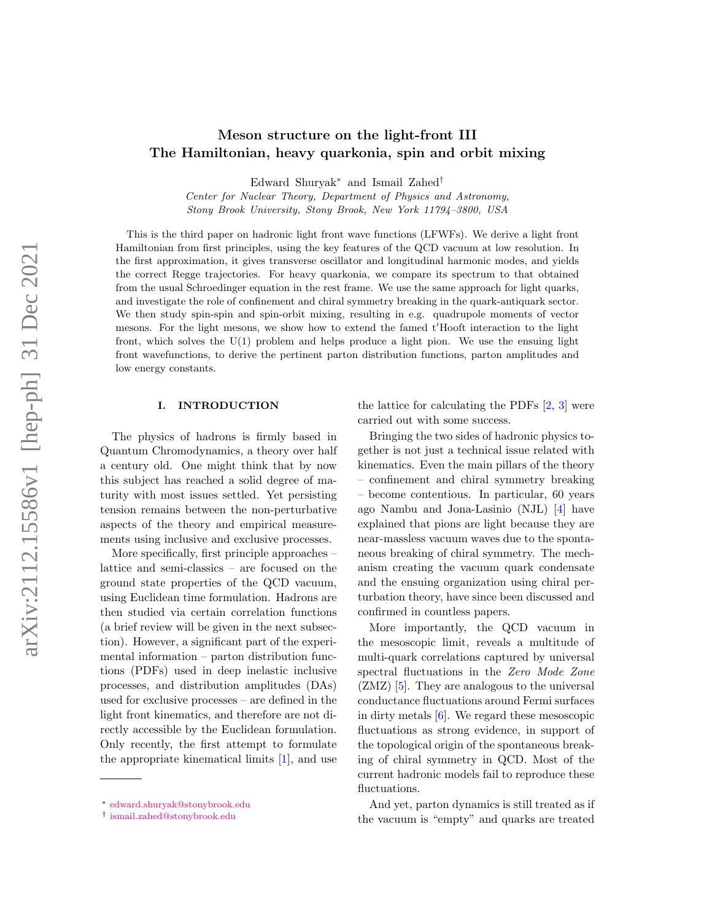# Meson structure on the light-front III The Hamiltonian, heavy quarkonia, spin and orbit mixing

Edward Shuryak[∗](#page-0-0) and Ismail Zahed[†](#page-0-1)

Center for Nuclear Theory, Department of Physics and Astronomy, Stony Brook University, Stony Brook, New York 11794–3800, USA

This is the third paper on hadronic light front wave functions (LFWFs). We derive a light front Hamiltonian from first principles, using the key features of the QCD vacuum at low resolution. In the first approximation, it gives transverse oscillator and longitudinal harmonic modes, and yields the correct Regge trajectories. For heavy quarkonia, we compare its spectrum to that obtained from the usual Schroedinger equation in the rest frame. We use the same approach for light quarks, and investigate the role of confinement and chiral symmetry breaking in the quark-antiquark sector. We then study spin-spin and spin-orbit mixing, resulting in e.g. quadrupole moments of vector mesons. For the light mesons, we show how to extend the famed t'Hooft interaction to the light front, which solves the U(1) problem and helps produce a light pion. We use the ensuing light front wavefunctions, to derive the pertinent parton distribution functions, parton amplitudes and low energy constants.

### I. INTRODUCTION

The physics of hadrons is firmly based in Quantum Chromodynamics, a theory over half a century old. One might think that by now this subject has reached a solid degree of maturity with most issues settled. Yet persisting tension remains between the non-perturbative aspects of the theory and empirical measurements using inclusive and exclusive processes.

More specifically, first principle approaches – lattice and semi-classics – are focused on the ground state properties of the QCD vacuum, using Euclidean time formulation. Hadrons are then studied via certain correlation functions (a brief review will be given in the next subsection). However, a significant part of the experimental information – parton distribution functions (PDFs) used in deep inelastic inclusive processes, and distribution amplitudes (DAs) used for exclusive processes – are defined in the light front kinematics, and therefore are not directly accessible by the Euclidean formulation. Only recently, the first attempt to formulate the appropriate kinematical limits [\[1\]](#page-33-0), and use

the lattice for calculating the PDFs  $[2, 3]$  $[2, 3]$  $[2, 3]$  were carried out with some success.

Bringing the two sides of hadronic physics together is not just a technical issue related with kinematics. Even the main pillars of the theory – confinement and chiral symmetry breaking – become contentious. In particular, 60 years ago Nambu and Jona-Lasinio (NJL) [\[4\]](#page-34-1) have explained that pions are light because they are near-massless vacuum waves due to the spontaneous breaking of chiral symmetry. The mechanism creating the vacuum quark condensate and the ensuing organization using chiral perturbation theory, have since been discussed and confirmed in countless papers.

More importantly, the QCD vacuum in the mesoscopic limit, reveals a multitude of multi-quark correlations captured by universal spectral fluctuations in the Zero Mode Zone (ZMZ) [\[5\]](#page-34-2). They are analogous to the universal conductance fluctuations around Fermi surfaces in dirty metals [\[6\]](#page-34-3). We regard these mesoscopic fluctuations as strong evidence, in support of the topological origin of the spontaneous breaking of chiral symmetry in QCD. Most of the current hadronic models fail to reproduce these fluctuations.

And yet, parton dynamics is still treated as if the vacuum is "empty" and quarks are treated

<span id="page-0-0"></span><sup>∗</sup> [edward.shuryak@stonybrook.edu](mailto:edward.shuryak@stonybrook.edu)

<span id="page-0-1"></span><sup>†</sup> [ismail.zahed@stonybrook.edu](mailto:ismail.zahed@stonybrook.edu)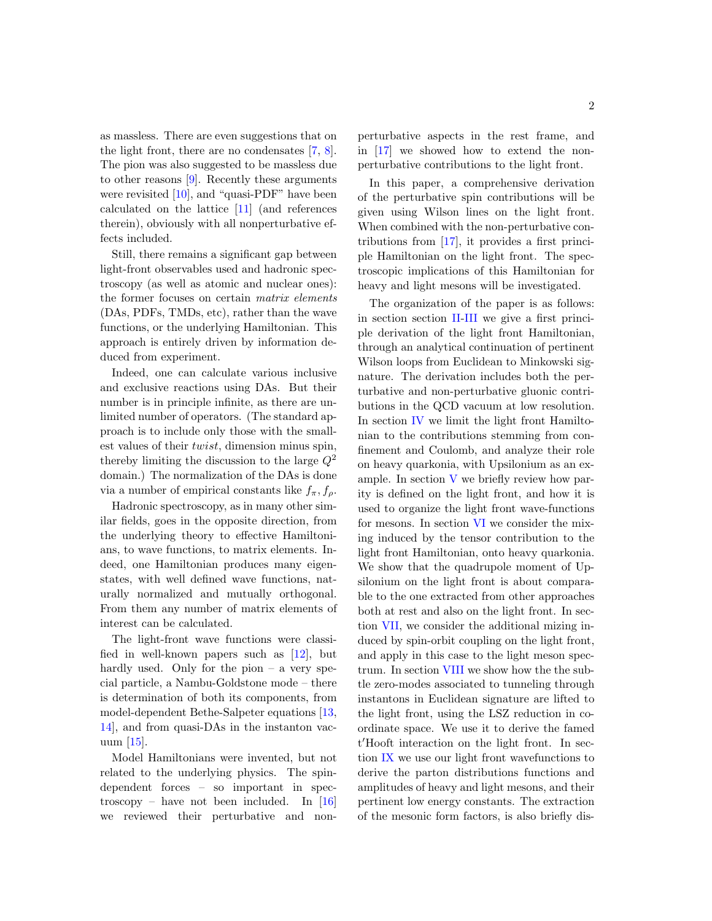as massless. There are even suggestions that on the light front, there are no condensates [\[7,](#page-34-4) [8\]](#page-34-5). The pion was also suggested to be massless due to other reasons [\[9\]](#page-34-6). Recently these arguments were revisited [\[10\]](#page-34-7), and "quasi-PDF" have been calculated on the lattice [\[11\]](#page-34-8) (and references therein), obviously with all nonperturbative effects included.

Still, there remains a significant gap between light-front observables used and hadronic spectroscopy (as well as atomic and nuclear ones): the former focuses on certain matrix elements (DAs, PDFs, TMDs, etc), rather than the wave functions, or the underlying Hamiltonian. This approach is entirely driven by information deduced from experiment.

Indeed, one can calculate various inclusive and exclusive reactions using DAs. But their number is in principle infinite, as there are unlimited number of operators. (The standard approach is to include only those with the smallest values of their twist, dimension minus spin, thereby limiting the discussion to the large  $Q^2$ domain.) The normalization of the DAs is done via a number of empirical constants like  $f_{\pi}, f_{\rho}$ .

Hadronic spectroscopy, as in many other similar fields, goes in the opposite direction, from the underlying theory to effective Hamiltonians, to wave functions, to matrix elements. Indeed, one Hamiltonian produces many eigenstates, with well defined wave functions, naturally normalized and mutually orthogonal. From them any number of matrix elements of interest can be calculated.

The light-front wave functions were classified in well-known papers such as [\[12\]](#page-34-9), but hardly used. Only for the pion – a very special particle, a Nambu-Goldstone mode – there is determination of both its components, from model-dependent Bethe-Salpeter equations [\[13,](#page-34-10) [14\]](#page-34-11), and from quasi-DAs in the instanton vacuum [\[15\]](#page-34-12).

Model Hamiltonians were invented, but not related to the underlying physics. The spindependent forces – so important in spectroscopy – have not been included. In  $[16]$ we reviewed their perturbative and non-

perturbative aspects in the rest frame, and in [\[17\]](#page-34-14) we showed how to extend the nonperturbative contributions to the light front.

In this paper, a comprehensive derivation of the perturbative spin contributions will be given using Wilson lines on the light front. When combined with the non-perturbative contributions from [\[17\]](#page-34-14), it provides a first principle Hamiltonian on the light front. The spectroscopic implications of this Hamiltonian for heavy and light mesons will be investigated.

The organization of the paper is as follows: in section section [II-](#page-2-0)[III](#page-6-0) we give a first principle derivation of the light front Hamiltonian, through an analytical continuation of pertinent Wilson loops from Euclidean to Minkowski signature. The derivation includes both the perturbative and non-perturbative gluonic contributions in the QCD vacuum at low resolution. In section [IV](#page-8-0) we limit the light front Hamiltonian to the contributions stemming from confinement and Coulomb, and analyze their role on heavy quarkonia, with Upsilonium as an example. In section [V](#page-12-0) we briefly review how parity is defined on the light front, and how it is used to organize the light front wave-functions for mesons. In section [VI](#page-14-0) we consider the mixing induced by the tensor contribution to the light front Hamiltonian, onto heavy quarkonia. We show that the quadrupole moment of Upsilonium on the light front is about comparable to the one extracted from other approaches both at rest and also on the light front. In section [VII,](#page-17-0) we consider the additional mizing induced by spin-orbit coupling on the light front, and apply in this case to the light meson spectrum. In section [VIII](#page-19-0) we show how the the subtle zero-modes associated to tunneling through instantons in Euclidean signature are lifted to the light front, using the LSZ reduction in coordinate space. We use it to derive the famed t'Hooft interaction on the light front. In section [IX](#page-23-0) we use our light front wavefunctions to derive the parton distributions functions and amplitudes of heavy and light mesons, and their pertinent low energy constants. The extraction of the mesonic form factors, is also briefly dis-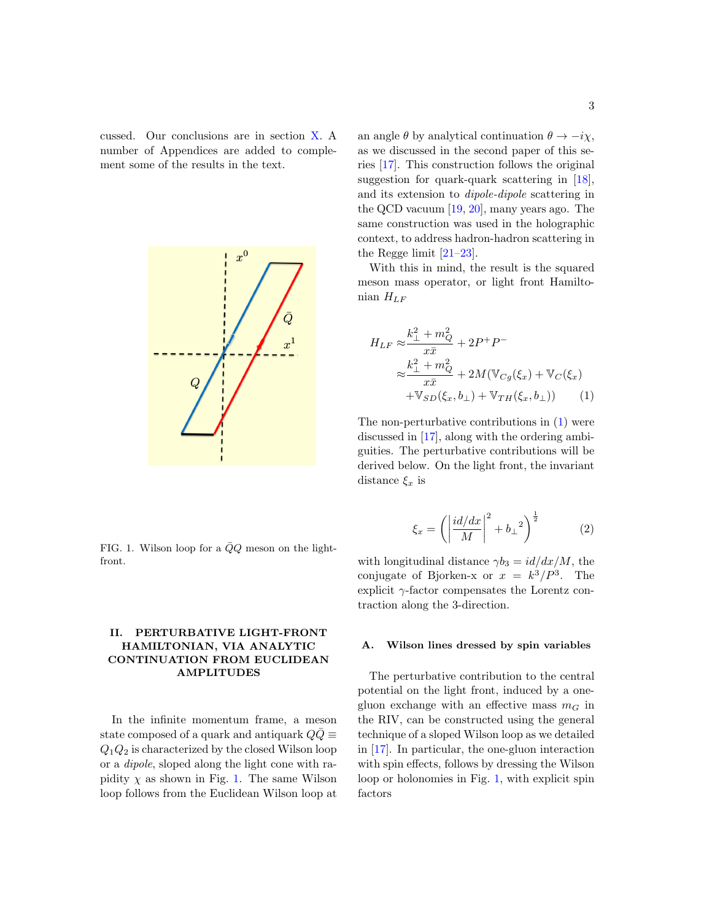cussed. Our conclusions are in section [X.](#page-27-0) A number of Appendices are added to complement some of the results in the text.



<span id="page-2-1"></span>FIG. 1. Wilson loop for a  $\bar{Q}Q$  meson on the lightfront.

## <span id="page-2-0"></span>II. PERTURBATIVE LIGHT-FRONT HAMILTONIAN, VIA ANALYTIC CONTINUATION FROM EUCLIDEAN AMPLITUDES

In the infinite momentum frame, a meson state composed of a quark and antiquark  $QQ\equiv$  $Q_1Q_2$  is characterized by the closed Wilson loop or a dipole, sloped along the light cone with rapidity  $\chi$  as shown in Fig. [1.](#page-2-1) The same Wilson loop follows from the Euclidean Wilson loop at

an angle  $\theta$  by analytical continuation  $\theta \to -i\chi$ , as we discussed in the second paper of this series [\[17\]](#page-34-14). This construction follows the original suggestion for quark-quark scattering in [\[18\]](#page-34-15), and its extension to dipole-dipole scattering in the QCD vacuum [\[19,](#page-34-16) [20\]](#page-34-17), many years ago. The same construction was used in the holographic context, to address hadron-hadron scattering in the Regge limit  $[21-23]$  $[21-23]$ .

With this in mind, the result is the squared meson mass operator, or light front Hamiltonian  $H_{LF}$ 

<span id="page-2-2"></span>
$$
H_{LF} \approx \frac{k_{\perp}^{2} + m_{Q}^{2}}{x\bar{x}} + 2P^{+}P^{-}
$$
  

$$
\approx \frac{k_{\perp}^{2} + m_{Q}^{2}}{x\bar{x}} + 2M(\mathbb{V}_{Cg}(\xi_{x}) + \mathbb{V}_{C}(\xi_{x})
$$
  

$$
+\mathbb{V}_{SD}(\xi_{x}, b_{\perp}) + \mathbb{V}_{TH}(\xi_{x}, b_{\perp})) \tag{1}
$$

The non-perturbative contributions in [\(1\)](#page-2-2) were discussed in [\[17\]](#page-34-14), along with the ordering ambiguities. The perturbative contributions will be derived below. On the light front, the invariant distance  $\xi_x$  is

$$
\xi_x = \left( \left| \frac{i d/dx}{M} \right|^2 + b_\perp{}^2 \right)^{\frac{1}{2}} \tag{2}
$$

with longitudinal distance  $\gamma b_3 = id/dx/M$ , the conjugate of Bjorken-x or  $x = k^3/P^3$ . The explicit  $\gamma$ -factor compensates the Lorentz contraction along the 3-direction.

### A. Wilson lines dressed by spin variables

The perturbative contribution to the central potential on the light front, induced by a onegluon exchange with an effective mass  $m<sub>G</sub>$  in the RIV, can be constructed using the general technique of a sloped Wilson loop as we detailed in [\[17\]](#page-34-14). In particular, the one-gluon interaction with spin effects, follows by dressing the Wilson loop or holonomies in Fig. [1,](#page-2-1) with explicit spin factors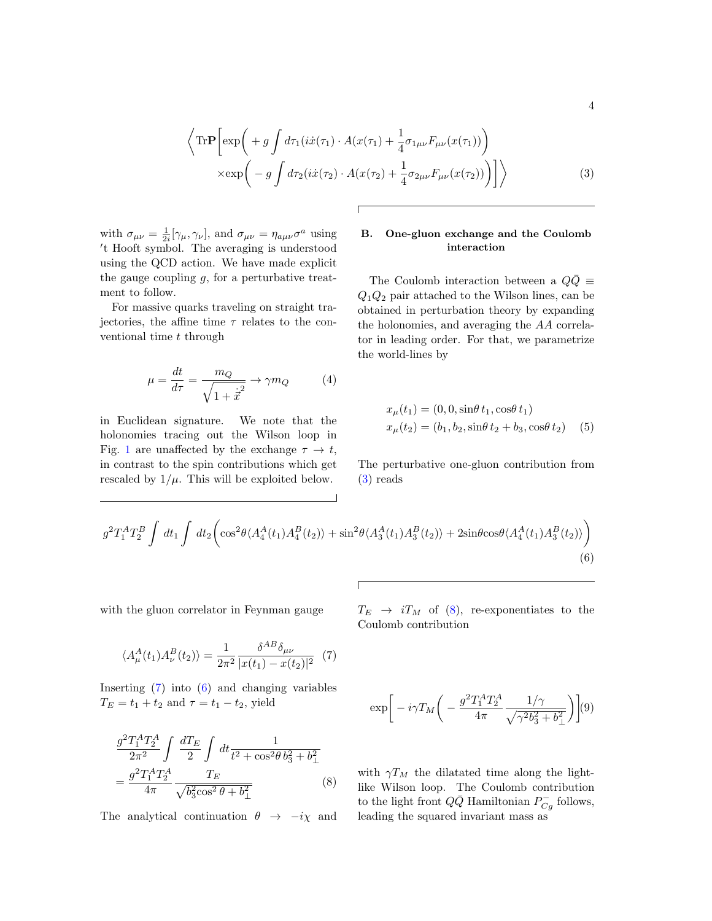<span id="page-3-0"></span>
$$
\left\langle \text{Tr}\mathbf{P} \left[ \exp\left( + g \int d\tau_1(i\dot{x}(\tau_1) \cdot A(x(\tau_1) + \frac{1}{4}\sigma_{1\mu\nu}F_{\mu\nu}(x(\tau_1)) \right) \times \exp\left( - g \int d\tau_2(i\dot{x}(\tau_2) \cdot A(x(\tau_2) + \frac{1}{4}\sigma_{2\mu\nu}F_{\mu\nu}(x(\tau_2)) \right) \right] \right\rangle
$$
\n(3)

with  $\sigma_{\mu\nu} = \frac{1}{2i} [\gamma_{\mu}, \gamma_{\nu}]$ , and  $\sigma_{\mu\nu} = \eta_{a\mu\nu} \sigma^a$  using 't Hooft symbol. The averaging is understood using the QCD action. We have made explicit the gauge coupling  $g$ , for a perturbative treatment to follow.

For massive quarks traveling on straight trajectories, the affine time  $\tau$  relates to the conventional time  $t$  through

<span id="page-3-4"></span>
$$
\mu = \frac{dt}{d\tau} = \frac{m_Q}{\sqrt{1 + \dot{x}^2}} \to \gamma m_Q \tag{4}
$$

in Euclidean signature. We note that the holonomies tracing out the Wilson loop in Fig. [1](#page-2-1) are unaffected by the exchange  $\tau \to t$ , in contrast to the spin contributions which get rescaled by  $1/\mu$ . This will be exploited below.

## B. One-gluon exchange and the Coulomb interaction

The Coulomb interaction between a  $Q\bar{Q}$  ≡  $Q_1Q_2$  pair attached to the Wilson lines, can be obtained in perturbation theory by expanding the holonomies, and averaging the AA correlator in leading order. For that, we parametrize the world-lines by

$$
x_{\mu}(t_1) = (0, 0, \sin\theta t_1, \cos\theta t_1)
$$
  

$$
x_{\mu}(t_2) = (b_1, b_2, \sin\theta t_2 + b_3, \cos\theta t_2)
$$
 (5)

The perturbative one-gluon contribution from [\(3\)](#page-3-0) reads

<span id="page-3-2"></span>
$$
g^{2}T_{1}^{A}T_{2}^{B}\int dt_{1}\int dt_{2}\left(\cos^{2}\theta\langle A_{4}^{A}(t_{1})A_{4}^{B}(t_{2})\rangle+\sin^{2}\theta\langle A_{3}^{A}(t_{1})A_{3}^{B}(t_{2})\rangle+2\sin\theta\cos\theta\langle A_{4}^{A}(t_{1})A_{3}^{B}(t_{2})\rangle\right)
$$
\n(6)

with the gluon correlator in Feynman gauge

<span id="page-3-1"></span>
$$
\langle A_{\mu}^{A}(t_{1}) A_{\nu}^{B}(t_{2}) \rangle = \frac{1}{2\pi^{2}} \frac{\delta^{AB} \delta_{\mu\nu}}{|x(t_{1}) - x(t_{2})|^{2}} \tag{7}
$$

Inserting [\(7\)](#page-3-1) into [\(6\)](#page-3-2) and changing variables  $T_E = t_1 + t_2$  and  $\tau = t_1 - t_2$ , yield

<span id="page-3-3"></span>
$$
\frac{g^2 T_1^A T_2^A}{2\pi^2} \int \frac{dT_E}{2} \int dt \frac{1}{t^2 + \cos^2\theta b_3^2 + b_\perp^2}
$$

$$
= \frac{g^2 T_1^A T_2^A}{4\pi} \frac{T_E}{\sqrt{b_3^2 \cos^2\theta + b_\perp^2}}
$$
(8)

The analytical continuation  $\theta \rightarrow -i\chi$  and

 $T_E \rightarrow iT_M$  of [\(8\)](#page-3-3), re-exponentiates to the Coulomb contribution

$$
\exp\bigg[-i\gamma T_M\bigg(-\frac{g^2T_1^AT_2^A}{4\pi}\frac{1/\gamma}{\sqrt{\gamma^2b_3^2+b_\perp^2}}\bigg)\bigg](9)
$$

with  $\gamma T_M$  the dilatated time along the lightlike Wilson loop. The Coulomb contribution to the light front  $Q\bar{Q}$  Hamiltonian  $P_{Cg}^-$  follows, leading the squared invariant mass as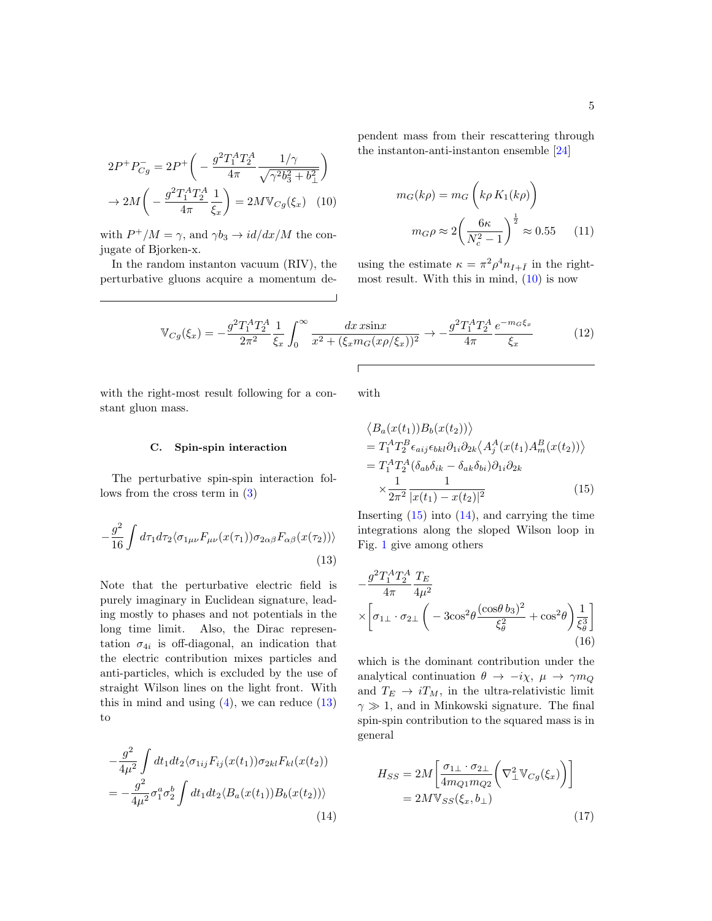<span id="page-4-0"></span> $2P^+P^-_{Cg} = 2P^+\left(-\frac{g^2T_1^AT_2^A}{4\pi}\right)$  $4\pi$  $1/\gamma$  $\sqrt{\gamma^2 b_3^2 + b_\perp^2}$  $\setminus$  $\rightarrow 2M\left(1-\frac{g^2T_1^AT_2^A}{4}\right)$  $4\pi$ 1  $\xi_x$  $= 2M \mathbb{V}_{Cg}(\xi_x)$  (10)

with  $P^+/M = \gamma$ , and  $\gamma b_3 \to id/dx/M$  the conjugate of Bjorken-x.

In the random instanton vacuum (RIV), the perturbative gluons acquire a momentum dependent mass from their rescattering through the instanton-anti-instanton ensemble [\[24\]](#page-34-20)

$$
m_G(k\rho) = m_G\left(k\rho K_1(k\rho)\right)
$$

$$
m_G\rho \approx 2\left(\frac{6\kappa}{N_c^2 - 1}\right)^{\frac{1}{2}} \approx 0.55\tag{11}
$$

using the estimate  $\kappa = \pi^2 \rho^4 n_{I + \bar{I}}$  in the rightmost result. With this in mind, [\(10\)](#page-4-0) is now

$$
\mathbb{V}_{Cg}(\xi_x) = -\frac{g^2 T_1^A T_2^A}{2\pi^2} \frac{1}{\xi_x} \int_0^\infty \frac{dx \sin x}{x^2 + (\xi_x m_G(x\rho/\xi_x))^2} \to -\frac{g^2 T_1^A T_2^A}{4\pi} \frac{e^{-m_G \xi_x}}{\xi_x}
$$
(12)

with the right-most result following for a constant gluon mass.

with

### C. Spin-spin interaction

The perturbative spin-spin interaction follows from the cross term in [\(3\)](#page-3-0)

<span id="page-4-1"></span>
$$
-\frac{g^2}{16}\int d\tau_1 d\tau_2 \langle \sigma_{1\mu\nu} F_{\mu\nu}(x(\tau_1)) \sigma_{2\alpha\beta} F_{\alpha\beta}(x(\tau_2)) \rangle
$$
\n(13)

Note that the perturbative electric field is purely imaginary in Euclidean signature, leading mostly to phases and not potentials in the long time limit. Also, the Dirac representation  $\sigma_{4i}$  is off-diagonal, an indication that the electric contribution mixes particles and anti-particles, which is excluded by the use of straight Wilson lines on the light front. With this in mind and using  $(4)$ , we can reduce  $(13)$ to

<span id="page-4-3"></span>
$$
-\frac{g^2}{4\mu^2} \int dt_1 dt_2 \langle \sigma_{1ij} F_{ij}(x(t_1)) \sigma_{2kl} F_{kl}(x(t_2))
$$
  
= 
$$
-\frac{g^2}{4\mu^2} \sigma_1^a \sigma_2^b \int dt_1 dt_2 \langle B_a(x(t_1)) B_b(x(t_2)) \rangle
$$
(14)

$$
\cdots
$$

<span id="page-4-2"></span>
$$
\langle B_a(x(t_1))B_b(x(t_2))\rangle
$$
  
=  $T_1^A T_2^B \epsilon_{aij} \epsilon_{bkl} \partial_{1i} \partial_{2k} \langle A_j^A(x(t_1) A_m^B(x(t_2))\rangle$   
=  $T_1^A T_2^A (\delta_{ab} \delta_{ik} - \delta_{ak} \delta_{bi}) \partial_{1i} \partial_{2k}$   

$$
\times \frac{1}{2\pi^2} \frac{1}{|x(t_1) - x(t_2)|^2}
$$
(15)

Inserting  $(15)$  into  $(14)$ , and carrying the time integrations along the sloped Wilson loop in Fig. [1](#page-2-1) give among others

$$
-\frac{g^2 T_1^A T_2^A}{4\pi} \frac{T_E}{4\mu^2}
$$
  
 
$$
\times \left[ \sigma_{1\perp} \cdot \sigma_{2\perp} \left( -3\cos^2 \theta \frac{(\cos \theta \, b_3)^2}{\xi_\theta^2} + \cos^2 \theta \right) \frac{1}{\xi_\theta^3} \right]
$$
(16)

which is the dominant contribution under the analytical continuation  $\theta \to -i\chi$ ,  $\mu \to \gamma m_Q$ and  $T_E \rightarrow iT_M$ , in the ultra-relativistic limit  $\gamma \gg 1$ , and in Minkowski signature. The final spin-spin contribution to the squared mass is in general

<span id="page-4-4"></span>
$$
H_{SS} = 2M \left[ \frac{\sigma_{1\perp} \cdot \sigma_{2\perp}}{4m_{Q1}m_{Q2}} \left( \nabla_{\perp}^{2} \mathbb{V}_{Cg}(\xi_{x}) \right) \right]
$$
  
= 2M \mathbb{V}\_{SS}(\xi\_{x}, b\_{\perp}) (17)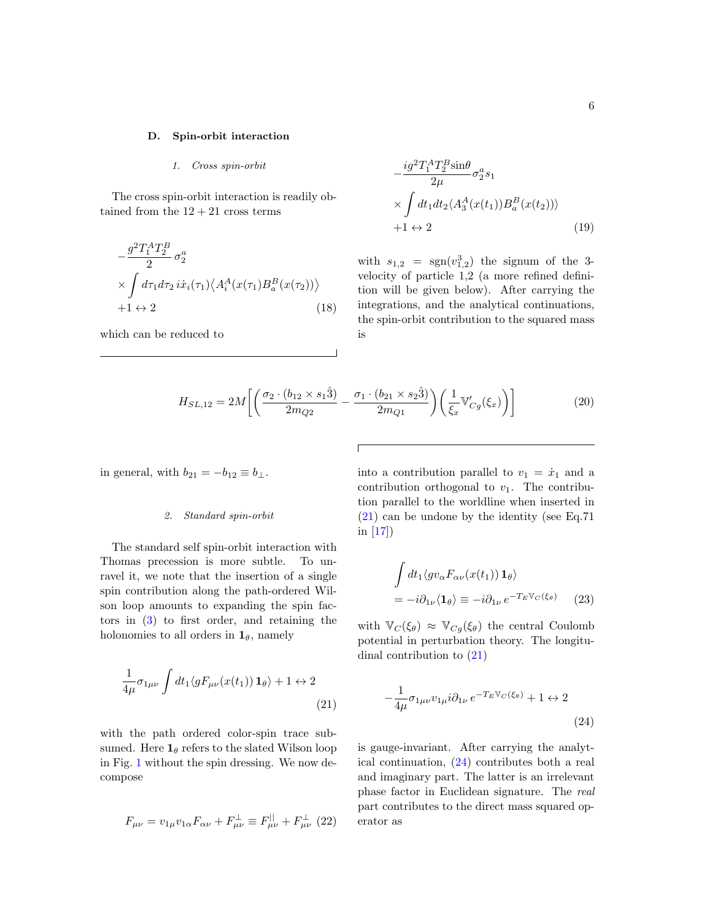#### D. Spin-orbit interaction

### 1. Cross spin-orbit

The cross spin-orbit interaction is readily obtained from the  $12 + 21$  cross terms

$$
-\frac{g^2T_1^AT_2^B}{2}\sigma_2^a
$$
  
 
$$
\times \int d\tau_1 d\tau_2 \, i\dot{x}_i(\tau_1) \langle A_i^A(x(\tau_1)B_a^B(x(\tau_2))\rangle
$$
  
 
$$
+1 \leftrightarrow 2
$$
 (18)

which can be reduced to

$$
-\frac{ig^2T_1^AT_2^B\sin\theta}{2\mu}\sigma_2^a s_1
$$
  
 
$$
\times \int dt_1 dt_2 \langle A_3^A(x(t_1))B_a^B(x(t_2))\rangle
$$
  
+1 \leftrightarrow 2 (19)

with  $s_{1,2}$  =  $sgn(v_{1,2}^3)$  the signum of the 3velocity of particle 1,2 (a more refined definition will be given below). After carrying the integrations, and the analytical continuations, the spin-orbit contribution to the squared mass is

<span id="page-5-2"></span>
$$
H_{SL,12} = 2M \left[ \left( \frac{\sigma_2 \cdot (b_{12} \times s_1 \hat{3})}{2m_{Q2}} - \frac{\sigma_1 \cdot (b_{21} \times s_2 \hat{3})}{2m_{Q1}} \right) \left( \frac{1}{\xi_x} \mathbb{V}_{Cg}'(\xi_x) \right) \right]
$$
(20)

in general, with  $b_{21} = -b_{12} \equiv b_{\perp}$ .

#### 2. Standard spin-orbit

The standard self spin-orbit interaction with Thomas precession is more subtle. To unravel it, we note that the insertion of a single spin contribution along the path-ordered Wilson loop amounts to expanding the spin factors in [\(3\)](#page-3-0) to first order, and retaining the holonomies to all orders in  $\mathbf{1}_{\theta}$ , namely

<span id="page-5-0"></span>
$$
\frac{1}{4\mu}\sigma_{1\mu\nu}\int dt_1 \langle gF_{\mu\nu}(x(t_1))\mathbf{1}_{\theta}\rangle + 1 \leftrightarrow 2\tag{21}
$$

with the path ordered color-spin trace subsumed. Here  $\mathbf{1}_{\theta}$  refers to the slated Wilson loop in Fig. [1](#page-2-1) without the spin dressing. We now decompose

$$
F_{\mu\nu} = v_{1\mu}v_{1\alpha}F_{\alpha\nu} + F_{\mu\nu}^{\perp} \equiv F_{\mu\nu}^{||} + F_{\mu\nu}^{\perp} (22)
$$

into a contribution parallel to  $v_1 = \dot{x}_1$  and a contribution orthogonal to  $v_1$ . The contribution parallel to the worldline when inserted in [\(21\)](#page-5-0) can be undone by the identity (see Eq.71 in [\[17\]](#page-34-14))

$$
\int dt_1 \langle gv_\alpha F_{\alpha\nu}(x(t_1)) \mathbf{1}_{\theta} \rangle
$$
  
=  $-i\partial_{1\nu} \langle \mathbf{1}_{\theta} \rangle \equiv -i\partial_{1\nu} e^{-T_E \mathbb{V}_C(\xi_{\theta})}$  (23)

with  $\mathbb{V}_C(\xi_\theta) \approx \mathbb{V}_{C_g}(\xi_\theta)$  the central Coulomb potential in perturbation theory. The longitudinal contribution to [\(21\)](#page-5-0)

<span id="page-5-1"></span>
$$
-\frac{1}{4\mu}\sigma_{1\mu\nu}v_{1\mu}i\partial_{1\nu}e^{-T_EV_C(\xi_{\theta})} + 1 \leftrightarrow 2
$$
\n(24)

is gauge-invariant. After carrying the analytical continuation, [\(24\)](#page-5-1) contributes both a real and imaginary part. The latter is an irrelevant phase factor in Euclidean signature. The real part contributes to the direct mass squared operator as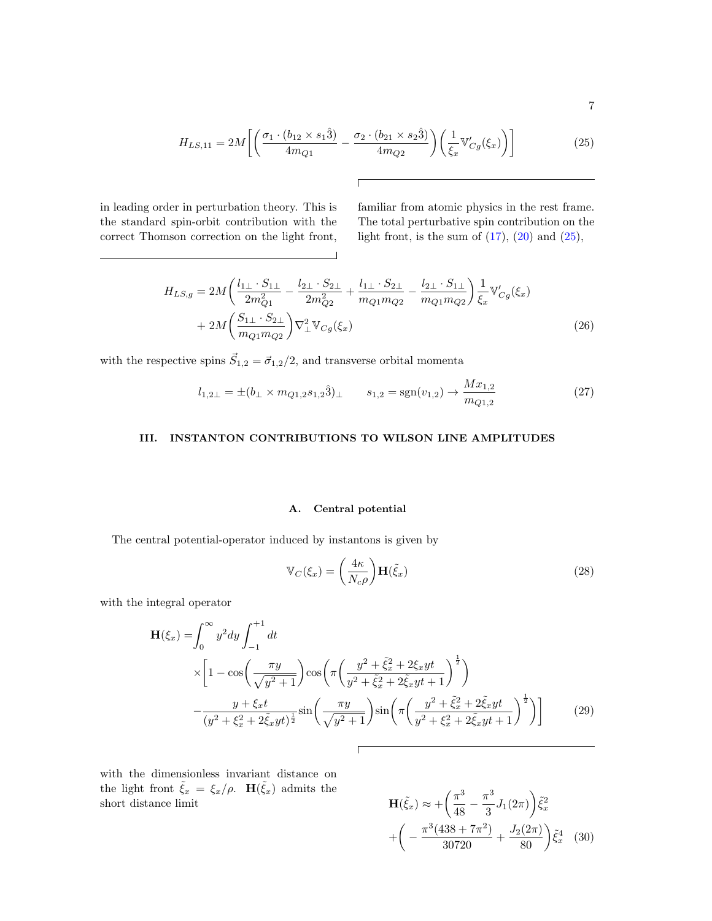$$
7\,
$$

<span id="page-6-1"></span>
$$
H_{LS,11} = 2M \left[ \left( \frac{\sigma_1 \cdot (b_{12} \times s_1 \hat{3})}{4m_{Q1}} - \frac{\sigma_2 \cdot (b_{21} \times s_2 \hat{3})}{4m_{Q2}} \right) \left( \frac{1}{\xi_x} \mathbb{V}_{Cg}'(\xi_x) \right) \right]
$$
(25)

 $\Gamma$ 

 $\Box$ 

in leading order in perturbation theory. This is the standard spin-orbit contribution with the correct Thomson correction on the light front,

<u> 1989 - Johann Barn, mars eta bainar eta industrial eta baina eta baina eta baina eta baina eta baina eta bain</u>

familiar from atomic physics in the rest frame. The total perturbative spin contribution on the light front, is the sum of  $(17)$ ,  $(20)$  and  $(25)$ ,

<span id="page-6-4"></span>
$$
H_{LS,g} = 2M \left( \frac{l_{1\perp} \cdot S_{1\perp}}{2m_{Q1}^2} - \frac{l_{2\perp} \cdot S_{2\perp}}{2m_{Q2}^2} + \frac{l_{1\perp} \cdot S_{2\perp}}{m_{Q1}m_{Q2}} - \frac{l_{2\perp} \cdot S_{1\perp}}{m_{Q1}m_{Q2}} \right) \frac{1}{\xi_x} \mathbb{V}_{Cg}'(\xi_x)
$$
  
+ 
$$
2M \left( \frac{S_{1\perp} \cdot S_{2\perp}}{m_{Q1}m_{Q2}} \right) \nabla_{\perp}^2 \mathbb{V}_{Cg}(\xi_x)
$$
(26)

with the respective spins  $\vec{S}_{1,2} = \vec{\sigma}_{1,2}/2$ , and transverse orbital momenta

<span id="page-6-3"></span>
$$
l_{1,2\perp} = \pm (b_{\perp} \times m_{Q1,2} s_{1,2} \hat{3})_{\perp} \qquad s_{1,2} = \text{sgn}(v_{1,2}) \to \frac{Mx_{1,2}}{m_{Q1,2}} \tag{27}
$$

## <span id="page-6-0"></span>III. INSTANTON CONTRIBUTIONS TO WILSON LINE AMPLITUDES

### A. Central potential

The central potential-operator induced by instantons is given by

<span id="page-6-2"></span>
$$
\mathbb{V}_C(\xi_x) = \left(\frac{4\kappa}{N_c\rho}\right) \mathbf{H}(\tilde{\xi}_x)
$$
\n(28)

with the integral operator

$$
\mathbf{H}(\xi_x) = \int_0^\infty y^2 dy \int_{-1}^{+1} dt
$$
  
\n
$$
\times \left[ 1 - \cos\left(\frac{\pi y}{\sqrt{y^2 + 1}}\right) \cos\left(\pi \left(\frac{y^2 + \tilde{\xi}_x^2 + 2\xi_x y t}{y^2 + \tilde{\xi}_x^2 + 2\tilde{\xi}_x y t + 1}\right)^{\frac{1}{2}} \right) \right]
$$
  
\n
$$
- \frac{y + \xi_x t}{(y^2 + \xi_x^2 + 2\tilde{\xi}_x y t)^{\frac{1}{2}}} \sin\left(\frac{\pi y}{\sqrt{y^2 + 1}}\right) \sin\left(\pi \left(\frac{y^2 + \tilde{\xi}_x^2 + 2\tilde{\xi}_x y t}{y^2 + \xi_x^2 + 2\tilde{\xi}_x y t + 1}\right)^{\frac{1}{2}} \right) \right]
$$
(29)

with the dimensionless invariant distance on the light front  $\tilde{\xi}_x = \xi_x/\rho$ .  $\mathbf{H}(\tilde{\xi}_x)$  admits the short distance limit

$$
\mathbf{H}(\tilde{\xi}_x) \approx + \left(\frac{\pi^3}{48} - \frac{\pi^3}{3} J_1(2\pi)\right) \tilde{\xi}_x^2
$$

$$
+ \left(-\frac{\pi^3 (438 + 7\pi^2)}{30720} + \frac{J_2(2\pi)}{80}\right) \tilde{\xi}_x^4 \quad (30)
$$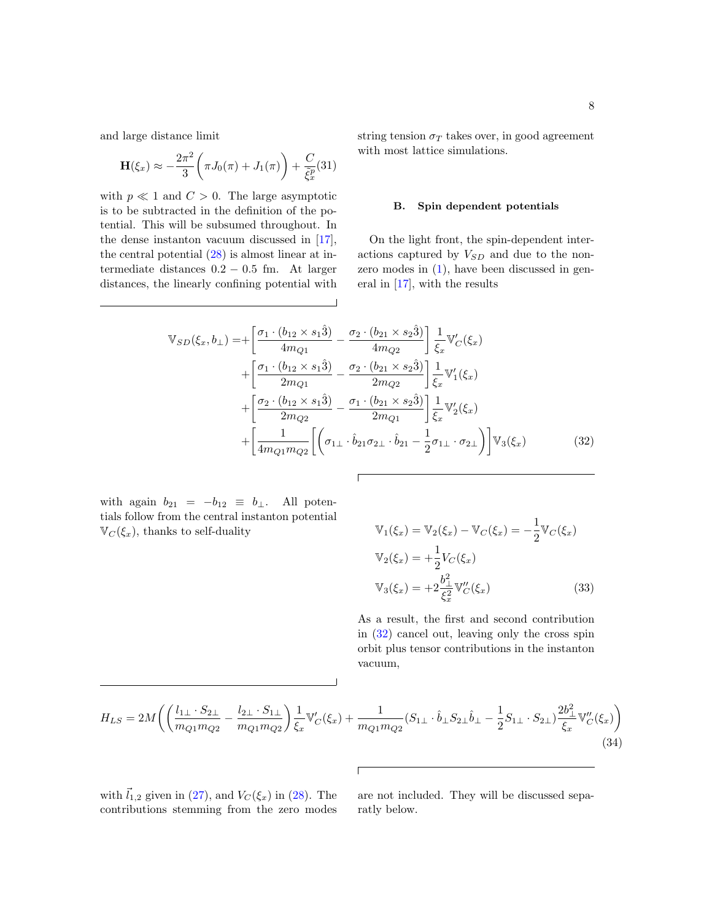and large distance limit

$$
\mathbf{H}(\xi_x) \approx -\frac{2\pi^2}{3} \left( \pi J_0(\pi) + J_1(\pi) \right) + \frac{C}{\tilde{\xi}_x^p} (31)
$$

with  $p \ll 1$  and  $C > 0$ . The large asymptotic is to be subtracted in the definition of the potential. This will be subsumed throughout. In the dense instanton vacuum discussed in [\[17\]](#page-34-14), the central potential  $(28)$  is almost linear at intermediate distances  $0.2 - 0.5$  fm. At larger distances, the linearly confining potential with

string tension  $\sigma_T$  takes over, in good agreement with most lattice simulations.

#### B. Spin dependent potentials

On the light front, the spin-dependent interactions captured by  $V_{SD}$  and due to the nonzero modes in  $(1)$ , have been discussed in general in [\[17\]](#page-34-14), with the results

<span id="page-7-0"></span>
$$
\mathbb{V}_{SD}(\xi_x, b_{\perp}) = + \left[ \frac{\sigma_1 \cdot (b_{12} \times s_1 \hat{3})}{4m_{Q1}} - \frac{\sigma_2 \cdot (b_{21} \times s_2 \hat{3})}{4m_{Q2}} \right] \frac{1}{\xi_x} \mathbb{V}'_C(\xi_x) \n+ \left[ \frac{\sigma_1 \cdot (b_{12} \times s_1 \hat{3})}{2m_{Q1}} - \frac{\sigma_2 \cdot (b_{21} \times s_2 \hat{3})}{2m_{Q2}} \right] \frac{1}{\xi_x} \mathbb{V}'_1(\xi_x) \n+ \left[ \frac{\sigma_2 \cdot (b_{12} \times s_1 \hat{3})}{2m_{Q2}} - \frac{\sigma_1 \cdot (b_{21} \times s_2 \hat{3})}{2m_{Q1}} \right] \frac{1}{\xi_x} \mathbb{V}'_2(\xi_x) \n+ \left[ \frac{1}{4m_{Q1}m_{Q2}} \left[ \left( \sigma_{1\perp} \cdot \hat{b}_{21} \sigma_{2\perp} \cdot \hat{b}_{21} - \frac{1}{2} \sigma_{1\perp} \cdot \sigma_{2\perp} \right) \right] \mathbb{V}_3(\xi_x)
$$
\n(32)

Г

with again  $b_{21} = -b_{12} \equiv b_{\perp}$ . All potentials follow from the central instanton potential  $\mathbb{V}_C(\xi_x)$ , thanks to self-duality

$$
\mathbb{V}_1(\xi_x) = \mathbb{V}_2(\xi_x) - \mathbb{V}_C(\xi_x) = -\frac{1}{2} \mathbb{V}_C(\xi_x)
$$
  

$$
\mathbb{V}_2(\xi_x) = +\frac{1}{2} V_C(\xi_x)
$$
  

$$
\mathbb{V}_3(\xi_x) = +2 \frac{b_\perp^2}{\xi_x^2} \mathbb{V}_C''(\xi_x)
$$
(33)

As a result, the first and second contribution in [\(32\)](#page-7-0) cancel out, leaving only the cross spin orbit plus tensor contributions in the instanton vacuum,

<span id="page-7-1"></span>
$$
H_{LS} = 2M\left( \left( \frac{l_{1\perp} \cdot S_{2\perp}}{m_{Q1}m_{Q2}} - \frac{l_{2\perp} \cdot S_{1\perp}}{m_{Q1}m_{Q2}} \right) \frac{1}{\xi_x} \mathbb{V}'_C(\xi_x) + \frac{1}{m_{Q1}m_{Q2}} (S_{1\perp} \cdot \hat{b}_\perp S_{2\perp} \hat{b}_\perp - \frac{1}{2} S_{1\perp} \cdot S_{2\perp}) \frac{2b_\perp^2}{\xi_x} \mathbb{V}''_C(\xi_x) \right)
$$
\n(34)

 $\sqrt{ }$ 

with  $\vec{l}_{1,2}$  given in [\(27\)](#page-6-3), and  $V_C(\xi_x)$  in [\(28\)](#page-6-2). The contributions stemming from the zero modes

are not included. They will be discussed separatly below.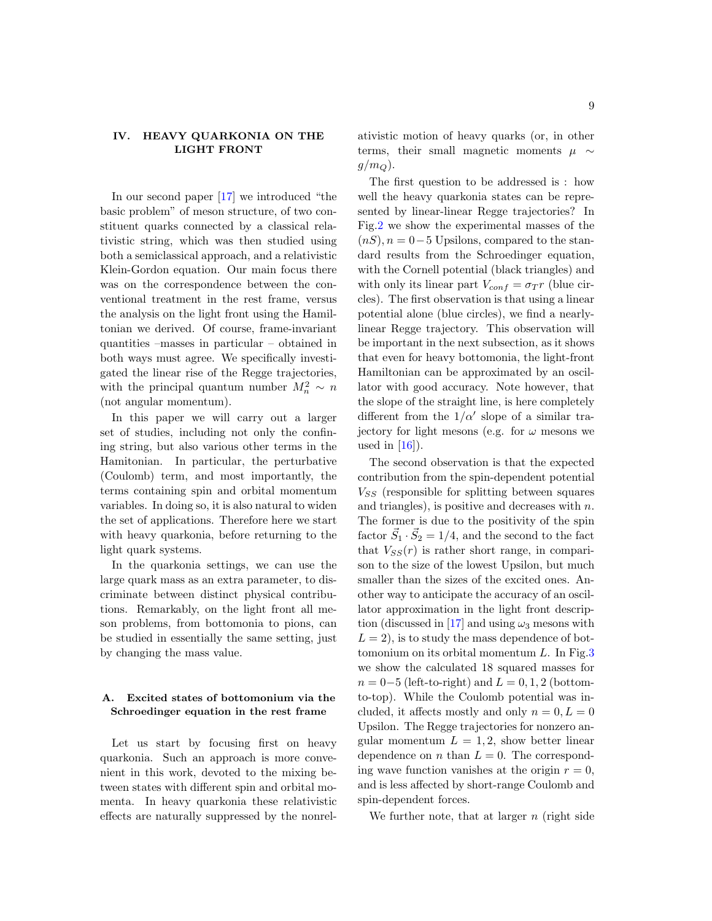## <span id="page-8-0"></span>IV. HEAVY QUARKONIA ON THE LIGHT FRONT

In our second paper [\[17\]](#page-34-14) we introduced "the basic problem" of meson structure, of two constituent quarks connected by a classical relativistic string, which was then studied using both a semiclassical approach, and a relativistic Klein-Gordon equation. Our main focus there was on the correspondence between the conventional treatment in the rest frame, versus the analysis on the light front using the Hamiltonian we derived. Of course, frame-invariant quantities –masses in particular – obtained in both ways must agree. We specifically investigated the linear rise of the Regge trajectories, with the principal quantum number  $M_n^2 \sim n$ (not angular momentum).

In this paper we will carry out a larger set of studies, including not only the confining string, but also various other terms in the Hamitonian. In particular, the perturbative (Coulomb) term, and most importantly, the terms containing spin and orbital momentum variables. In doing so, it is also natural to widen the set of applications. Therefore here we start with heavy quarkonia, before returning to the light quark systems.

In the quarkonia settings, we can use the large quark mass as an extra parameter, to discriminate between distinct physical contributions. Remarkably, on the light front all meson problems, from bottomonia to pions, can be studied in essentially the same setting, just by changing the mass value.

## A. Excited states of bottomonium via the Schroedinger equation in the rest frame

Let us start by focusing first on heavy quarkonia. Such an approach is more convenient in this work, devoted to the mixing between states with different spin and orbital momenta. In heavy quarkonia these relativistic effects are naturally suppressed by the nonrel-

ativistic motion of heavy quarks (or, in other terms, their small magnetic moments  $\mu \sim$  $g/m_Q$ ).

The first question to be addressed is : how well the heavy quarkonia states can be represented by linear-linear Regge trajectories? In Fig[.2](#page-9-0) we show the experimental masses of the  $(nS), n = 0-5$  Upsilons, compared to the standard results from the Schroedinger equation, with the Cornell potential (black triangles) and with only its linear part  $V_{conf} = \sigma_T r$  (blue circles). The first observation is that using a linear potential alone (blue circles), we find a nearlylinear Regge trajectory. This observation will be important in the next subsection, as it shows that even for heavy bottomonia, the light-front Hamiltonian can be approximated by an oscillator with good accuracy. Note however, that the slope of the straight line, is here completely different from the  $1/\alpha'$  slope of a similar trajectory for light mesons (e.g. for  $\omega$  mesons we used in  $[16]$ .

The second observation is that the expected contribution from the spin-dependent potential  $V_{SS}$  (responsible for splitting between squares and triangles), is positive and decreases with  $n$ . The former is due to the positivity of the spin factor  $\vec{S}_1 \cdot \vec{S}_2 = 1/4$ , and the second to the fact that  $V_{SS}(r)$  is rather short range, in comparison to the size of the lowest Upsilon, but much smaller than the sizes of the excited ones. Another way to anticipate the accuracy of an oscillator approximation in the light front descrip-tion (discussed in [\[17\]](#page-34-14) and using  $\omega_3$  mesons with  $L = 2$ , is to study the mass dependence of bottomonium on its orbital momentum  $L$ . In Fig. 3 we show the calculated 18 squared masses for  $n = 0-5$  (left-to-right) and  $L = 0, 1, 2$  (bottomto-top). While the Coulomb potential was included, it affects mostly and only  $n = 0, L = 0$ Upsilon. The Regge trajectories for nonzero angular momentum  $L = 1, 2$ , show better linear dependence on *n* than  $L = 0$ . The corresponding wave function vanishes at the origin  $r = 0$ , and is less affected by short-range Coulomb and spin-dependent forces.

We further note, that at larger  $n$  (right side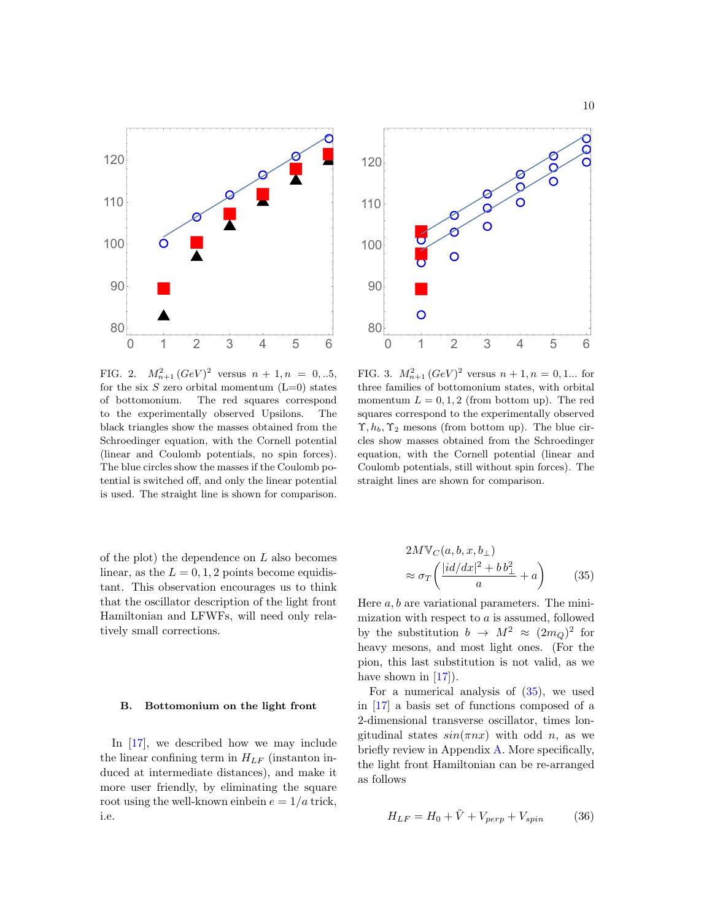

<span id="page-9-0"></span>FIG. 2.  $M_{n+1}^2 (GeV)^2$  versus  $n+1, n = 0, ...5,$ for the six  $S$  zero orbital momentum  $(L=0)$  states of bottomonium. The red squares correspond to the experimentally observed Upsilons. The black triangles show the masses obtained from the Schroedinger equation, with the Cornell potential (linear and Coulomb potentials, no spin forces). The blue circles show the masses if the Coulomb potential is switched off, and only the linear potential is used. The straight line is shown for comparison.

of the plot) the dependence on  $L$  also becomes linear, as the  $L = 0, 1, 2$  points become equidistant. This observation encourages us to think that the oscillator description of the light front Hamiltonian and LFWFs, will need only relatively small corrections.

#### B. Bottomonium on the light front

In [\[17\]](#page-34-14), we described how we may include the linear confining term in  $H_{LF}$  (instanton induced at intermediate distances), and make it more user friendly, by eliminating the square root using the well-known einbein  $e = 1/a$  trick, i.e.



<span id="page-9-1"></span>FIG. 3.  $M_{n+1}^2 (GeV)^2$  versus  $n+1, n = 0, 1...$  for three families of bottomonium states, with orbital momentum  $L = 0, 1, 2$  (from bottom up). The red squares correspond to the experimentally observed  $\Upsilon$ ,  $h_b$ ,  $\Upsilon_2$  mesons (from bottom up). The blue circles show masses obtained from the Schroedinger equation, with the Cornell potential (linear and Coulomb potentials, still without spin forces). The straight lines are shown for comparison.

<span id="page-9-2"></span>
$$
2M\mathbb{V}_C(a, b, x, b_\perp)
$$
  

$$
\approx \sigma_T \left( \frac{|id/dx|^2 + b b_\perp^2}{a} + a \right)
$$
 (35)

Here  $a, b$  are variational parameters. The minimization with respect to  $a$  is assumed, followed by the substitution  $b \to M^2 \approx (2m_Q)^2$  for heavy mesons, and most light ones. (For the pion, this last substitution is not valid, as we have shown in  $[17]$ .

For a numerical analysis of  $(35)$ , we used in [\[17\]](#page-34-14) a basis set of functions composed of a 2-dimensional transverse oscillator, times longitudinal states  $sin(\pi nx)$  with odd *n*, as we briefly review in Appendix [A.](#page-28-0) More specifically, the light front Hamiltonian can be re-arranged as follows

<span id="page-9-3"></span>
$$
H_{LF} = H_0 + \tilde{V} + V_{perp} + V_{spin}
$$
 (36)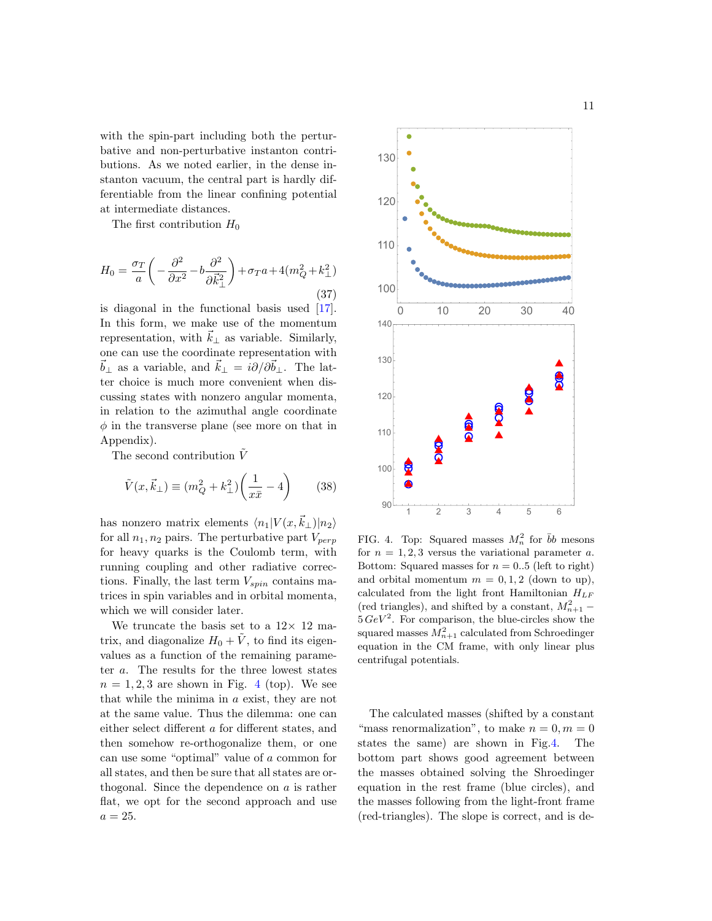with the spin-part including both the perturbative and non-perturbative instanton contributions. As we noted earlier, in the dense instanton vacuum, the central part is hardly differentiable from the linear confining potential at intermediate distances.

The first contribution  $H_0$ 

<span id="page-10-1"></span>
$$
H_0 = \frac{\sigma_T}{a} \left( -\frac{\partial^2}{\partial x^2} - b \frac{\partial^2}{\partial \vec{k}_{\perp}^2} \right) + \sigma_T a + 4(m_Q^2 + k_\perp^2)
$$
\n(37)

is diagonal in the functional basis used [\[17\]](#page-34-14). In this form, we make use of the momentum representation, with  $\vec{k}_{\perp}$  as variable. Similarly, one can use the coordinate representation with  $\vec{b}_\perp$  as a variable, and  $\vec{k}_\perp = i\partial/\partial \vec{b}_\perp$ . The latter choice is much more convenient when discussing states with nonzero angular momenta, in relation to the azimuthal angle coordinate  $\phi$  in the transverse plane (see more on that in Appendix).

The second contribution  $\tilde{V}$ 

$$
\tilde{V}(x, \vec{k}_{\perp}) \equiv (m_Q^2 + k_{\perp}^2) \left(\frac{1}{x\bar{x}} - 4\right) \tag{38}
$$

has nonzero matrix elements  $\langle n_1|V(x,\vec{k}_\perp)|n_2\rangle$ for all  $n_1, n_2$  pairs. The perturbative part  $V_{perp}$ for heavy quarks is the Coulomb term, with running coupling and other radiative corrections. Finally, the last term  $V_{spin}$  contains matrices in spin variables and in orbital momenta, which we will consider later.

We truncate the basis set to a  $12 \times 12$  matrix, and diagonalize  $H_0 + \tilde{V}$ , to find its eigenvalues as a function of the remaining parameter a. The results for the three lowest states  $n = 1, 2, 3$  are shown in Fig. [4](#page-10-0) (top). We see that while the minima in a exist, they are not at the same value. Thus the dilemma: one can either select different a for different states, and then somehow re-orthogonalize them, or one can use some "optimal" value of a common for all states, and then be sure that all states are orthogonal. Since the dependence on  $a$  is rather flat, we opt for the second approach and use  $a=25.$ 



<span id="page-10-0"></span>FIG. 4. Top: Squared masses  $M_n^2$  for  $\bar{b}b$  mesons for  $n = 1, 2, 3$  versus the variational parameter a. Bottom: Squared masses for  $n = 0.5$  (left to right) and orbital momentum  $m = 0, 1, 2$  (down to up), calculated from the light front Hamiltonian  $H_{LF}$ (red triangles), and shifted by a constant,  $M_{n+1}^2$  –  $5 \text{ GeV}^2$ . For comparison, the blue-circles show the squared masses  $M_{n+1}^2$  calculated from Schroedinger equation in the CM frame, with only linear plus centrifugal potentials.

The calculated masses (shifted by a constant "mass renormalization", to make  $n = 0, m = 0$ states the same) are shown in Fig[.4.](#page-10-0) The bottom part shows good agreement between the masses obtained solving the Shroedinger equation in the rest frame (blue circles), and the masses following from the light-front frame (red-triangles). The slope is correct, and is de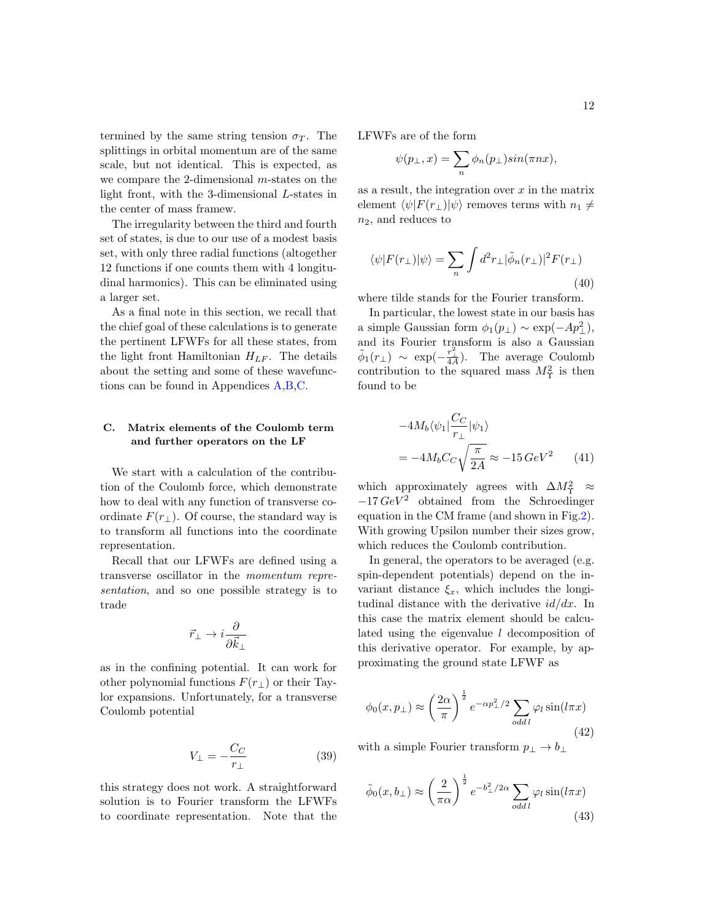termined by the same string tension  $\sigma_T$ . The splittings in orbital momentum are of the same scale, but not identical. This is expected, as we compare the 2-dimensional m-states on the light front, with the 3-dimensional L-states in the center of mass framew.

The irregularity between the third and fourth set of states, is due to our use of a modest basis set, with only three radial functions (altogether 12 functions if one counts them with 4 longitudinal harmonics). This can be eliminated using a larger set.

As a final note in this section, we recall that the chief goal of these calculations is to generate the pertinent LFWFs for all these states, from the light front Hamiltonian  $H_{LF}$ . The details about the setting and some of these wavefunctions can be found in Appendices [A,](#page-28-0)[B](#page-29-0)[,C.](#page-30-0)

## C. Matrix elements of the Coulomb term and further operators on the LF

We start with a calculation of the contribution of the Coulomb force, which demonstrate how to deal with any function of transverse coordinate  $F(r_{\perp})$ . Of course, the standard way is to transform all functions into the coordinate representation.

Recall that our LFWFs are defined using a transverse oscillator in the momentum representation, and so one possible strategy is to trade

$$
\vec{r}_{\perp} \rightarrow i \frac{\partial}{\partial \vec{k}_{\perp}}
$$

as in the confining potential. It can work for other polynomial functions  $F(r_{\perp})$  or their Taylor expansions. Unfortunately, for a transverse Coulomb potential

$$
V_{\perp} = -\frac{C_C}{r_{\perp}}\tag{39}
$$

this strategy does not work. A straightforward solution is to Fourier transform the LFWFs to coordinate representation. Note that the LFWFs are of the form

$$
\psi(p_\perp,x)=\sum_n\phi_n(p_\perp)sin(\pi nx),
$$

as a result, the integration over  $x$  in the matrix element  $\langle \psi|F(r_{\perp})|\psi\rangle$  removes terms with  $n_1 \neq$  $n_2$ , and reduces to

$$
\langle \psi | F(r_{\perp}) | \psi \rangle = \sum_{n} \int d^{2}r_{\perp} |\tilde{\phi}_{n}(r_{\perp})|^{2} F(r_{\perp})
$$
\n(40)

where tilde stands for the Fourier transform.

In particular, the lowest state in our basis has a simple Gaussian form  $\phi_1(p_\perp) \sim \exp(-Ap_\perp^2)$ , and its Fourier transform is also a Gaussian  $\tilde{\phi}_1(r_\perp) \sim \exp(-\frac{r_\perp^2}{4A}).$  The average Coulomb contribution to the squared mass  $M_{\Upsilon}^2$  is then found to be

$$
-4M_b \langle \psi_1 | \frac{C_C}{r_\perp} | \psi_1 \rangle
$$
  
= -4M\_b C\_C \sqrt{\frac{\pi}{2A}} \approx -15 \, GeV^2 \tag{41}

which approximately agrees with  $\Delta M_{\Upsilon}^2 \approx$  $-17 \, GeV^2$  obtained from the Schroedinger equation in the CM frame (and shown in Fig[.2\)](#page-9-0). With growing Upsilon number their sizes grow, which reduces the Coulomb contribution.

In general, the operators to be averaged (e.g. spin-dependent potentials) depend on the invariant distance  $\xi_x$ , which includes the longitudinal distance with the derivative  $id/dx$ . In this case the matrix element should be calculated using the eigenvalue  $l$  decomposition of this derivative operator. For example, by approximating the ground state LFWF as

$$
\phi_0(x, p_\perp) \approx \left(\frac{2\alpha}{\pi}\right)^{\frac{1}{2}} e^{-\alpha p_\perp^2/2} \sum_{\text{odd }l} \varphi_l \sin(l\pi x) \tag{42}
$$

with a simple Fourier transform  $p_{\perp} \to b_{\perp}$ 

$$
\tilde{\phi}_0(x, b_\perp) \approx \left(\frac{2}{\pi \alpha}\right)^{\frac{1}{2}} e^{-b_\perp^2/2\alpha} \sum_{\text{odd }l} \varphi_l \sin(l\pi x) \tag{43}
$$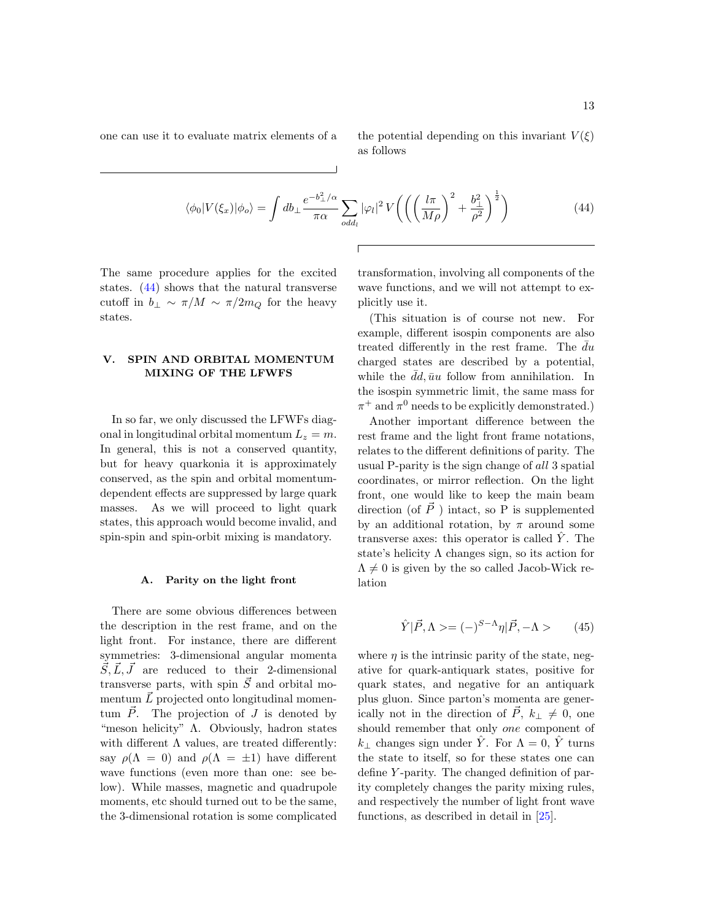one can use it to evaluate matrix elements of a the potential depending on this invariant  $V(\xi)$ as follows

<span id="page-12-1"></span>
$$
\langle \phi_0 | V(\xi_x) | \phi_0 \rangle = \int db_\perp \frac{e^{-b_\perp^2/\alpha}}{\pi \alpha} \sum_{\text{odd}_l} |\varphi_l|^2 V \left( \left( \left( \frac{l\pi}{M\rho} \right)^2 + \frac{b_\perp^2}{\rho^2} \right)^{\frac{1}{2}} \right) \tag{44}
$$

The same procedure applies for the excited states. [\(44\)](#page-12-1) shows that the natural transverse cutoff in  $b_{\perp} \sim \pi/M \sim \pi/2m_Q$  for the heavy states.

## <span id="page-12-0"></span>V. SPIN AND ORBITAL MOMENTUM MIXING OF THE LFWFS

In so far, we only discussed the LFWFs diagonal in longitudinal orbital momentum  $L_z = m$ . In general, this is not a conserved quantity, but for heavy quarkonia it is approximately conserved, as the spin and orbital momentumdependent effects are suppressed by large quark masses. As we will proceed to light quark states, this approach would become invalid, and spin-spin and spin-orbit mixing is mandatory.

#### A. Parity on the light front

There are some obvious differences between the description in the rest frame, and on the light front. For instance, there are different symmetries: 3-dimensional angular momenta  $\vec{S}, \vec{L}, \vec{J}$  are reduced to their 2-dimensional transverse parts, with spin  $\vec{S}$  and orbital momentum  $\vec{L}$  projected onto longitudinal momentum  $\vec{P}$ . The projection of J is denoted by "meson helicity" Λ. Obviously, hadron states with different  $\Lambda$  values, are treated differently: say  $\rho(\Lambda = 0)$  and  $\rho(\Lambda = \pm 1)$  have different wave functions (even more than one: see below). While masses, magnetic and quadrupole moments, etc should turned out to be the same, the 3-dimensional rotation is some complicated

transformation, involving all components of the wave functions, and we will not attempt to explicitly use it.

(This situation is of course not new. For example, different isospin components are also treated differently in the rest frame. The  $du$ charged states are described by a potential, while the  $\bar{d}d, \bar{u}u$  follow from annihilation. In the isospin symmetric limit, the same mass for  $\pi^+$  and  $\pi^0$  needs to be explicitly demonstrated.)

Another important difference between the rest frame and the light front frame notations, relates to the different definitions of parity. The usual P-parity is the sign change of all 3 spatial coordinates, or mirror reflection. On the light front, one would like to keep the main beam direction (of  $\vec{P}$ ) intact, so P is supplemented by an additional rotation, by  $\pi$  around some transverse axes: this operator is called  $\hat{Y}$ . The state's helicity  $\Lambda$  changes sign, so its action for  $\Lambda \neq 0$  is given by the so called Jacob-Wick relation

$$
\hat{Y}|\vec{P},\Lambda\rangle = (-)^{S-\Lambda}\eta|\vec{P},-\Lambda\rangle \tag{45}
$$

where  $\eta$  is the intrinsic parity of the state, negative for quark-antiquark states, positive for quark states, and negative for an antiquark plus gluon. Since parton's momenta are generically not in the direction of  $\vec{P}$ ,  $k_{\perp} \neq 0$ , one should remember that only one component of  $k_{\perp}$  changes sign under  $\hat{Y}$ . For  $\Lambda = 0$ ,  $\hat{Y}$  turns the state to itself, so for these states one can define Y -parity. The changed definition of parity completely changes the parity mixing rules, and respectively the number of light front wave functions, as described in detail in [\[25\]](#page-34-21).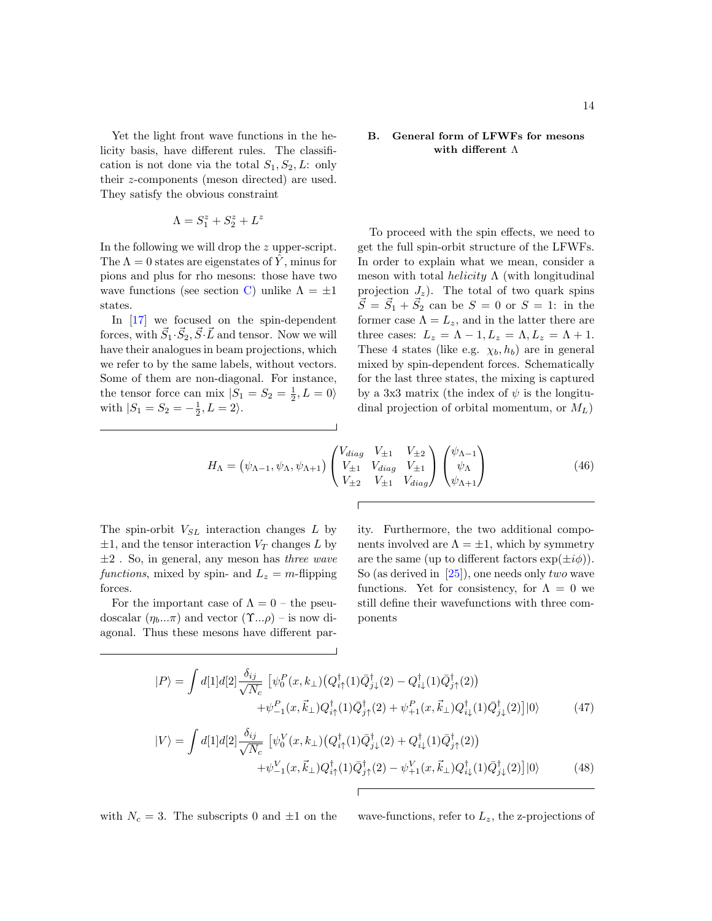Yet the light front wave functions in the helicity basis, have different rules. The classification is not done via the total  $S_1, S_2, L:$  only their z-components (meson directed) are used. They satisfy the obvious constraint

$$
\Lambda = S_1^z + S_2^z + L^z
$$

In the following we will drop the z upper-script. The  $\Lambda = 0$  states are eigenstates of  $\hat{Y}$ , minus for pions and plus for rho mesons: those have two wave functions (see section [C\)](#page-30-0) unlike  $\Lambda = \pm 1$ states.

In [\[17\]](#page-34-14) we focused on the spin-dependent forces, with  $\vec{S}_1 \cdot \vec{S}_2$ ,  $\vec{S} \cdot \vec{L}$  and tensor. Now we will have their analogues in beam projections, which we refer to by the same labels, without vectors. Some of them are non-diagonal. For instance, the tensor force can mix  $|S_1 = S_2 = \frac{1}{2}, L = 0\rangle$ with  $|S_1 = S_2 = -\frac{1}{2}, L = 2\rangle$ .

### B. General form of LFWFs for mesons with different Λ

To proceed with the spin effects, we need to get the full spin-orbit structure of the LFWFs. In order to explain what we mean, consider a meson with total *helicity*  $\Lambda$  (with longitudinal projection  $J_z$ ). The total of two quark spins  $\vec{S} = \vec{S}_1 + \vec{S}_2$  can be  $S = 0$  or  $S = 1$ : in the former case  $\Lambda = L_z$ , and in the latter there are three cases:  $L_z = \Lambda - 1, L_z = \Lambda, L_z = \Lambda + 1.$ These 4 states (like e.g.  $\chi_b, h_b$ ) are in general mixed by spin-dependent forces. Schematically for the last three states, the mixing is captured by a 3x3 matrix (the index of  $\psi$  is the longitudinal projection of orbital momentum, or  $M_L$ )

<span id="page-13-2"></span>
$$
H_{\Lambda} = (\psi_{\Lambda-1}, \psi_{\Lambda}, \psi_{\Lambda+1}) \begin{pmatrix} V_{diag} & V_{\pm 1} & V_{\pm 2} \\ V_{\pm 1} & V_{diag} & V_{\pm 1} \\ V_{\pm 2} & V_{\pm 1} & V_{diag} \end{pmatrix} \begin{pmatrix} \psi_{\Lambda-1} \\ \psi_{\Lambda} \\ \psi_{\Lambda+1} \end{pmatrix}
$$
(46)

The spin-orbit  $V_{SL}$  interaction changes L by  $\pm 1$ , and the tensor interaction  $V_T$  changes L by  $\pm 2$ . So, in general, any meson has three wave functions, mixed by spin- and  $L_z = m$ -flipping forces.

For the important case of  $\Lambda = 0$  – the pseudoscalar  $(\eta_b...\pi)$  and vector  $(\Upsilon...\rho)$  – is now diagonal. Thus these mesons have different par-

ity. Furthermore, the two additional components involved are  $\Lambda = \pm 1$ , which by symmetry are the same (up to different factors  $\exp(\pm i\phi)$ ). So (as derived in  $[25]$ ), one needs only two wave functions. Yet for consistency, for  $\Lambda = 0$  we still define their wavefunctions with three components

<span id="page-13-0"></span>
$$
|P\rangle = \int d[1]d[2] \frac{\delta_{ij}}{\sqrt{N_c}} \left[ \psi_0^P(x, k_\perp) \left( Q_{i\uparrow}^\dagger(1) \bar{Q}_{j\downarrow}^\dagger(2) - Q_{i\downarrow}^\dagger(1) \bar{Q}_{j\uparrow}^\dagger(2) \right) \right. \\
\left. + \psi_{-1}^P(x, \vec{k}_\perp) Q_{i\uparrow}^\dagger(1) \bar{Q}_{j\uparrow}^\dagger(2) + \psi_{+1}^P(x, \vec{k}_\perp) Q_{i\downarrow}^\dagger(1) \bar{Q}_{j\downarrow}^\dagger(2) \right] |0\rangle \tag{47}
$$

<span id="page-13-1"></span>
$$
|V\rangle = \int d[1]d[2]\frac{\delta_{ij}}{\sqrt{N_c}}\left[\psi_0^V(x,k_\perp)(Q_{i\uparrow}^\dagger(1)\bar{Q}_{j\downarrow}^\dagger(2) + Q_{i\downarrow}^\dagger(1)\bar{Q}_{j\uparrow}^\dagger(2))\right.+\psi_{-1}^V(x,\vec{k}_\perp)Q_{i\uparrow}^\dagger(1)\bar{Q}_{j\uparrow}^\dagger(2) - \psi_{+1}^V(x,\vec{k}_\perp)Q_{i\downarrow}^\dagger(1)\bar{Q}_{j\downarrow}^\dagger(2)\right]|0\rangle
$$
(48)

with  $N_c = 3$ . The subscripts 0 and  $\pm 1$  on the wave-functions, refer to  $L_z$ , the z-projections of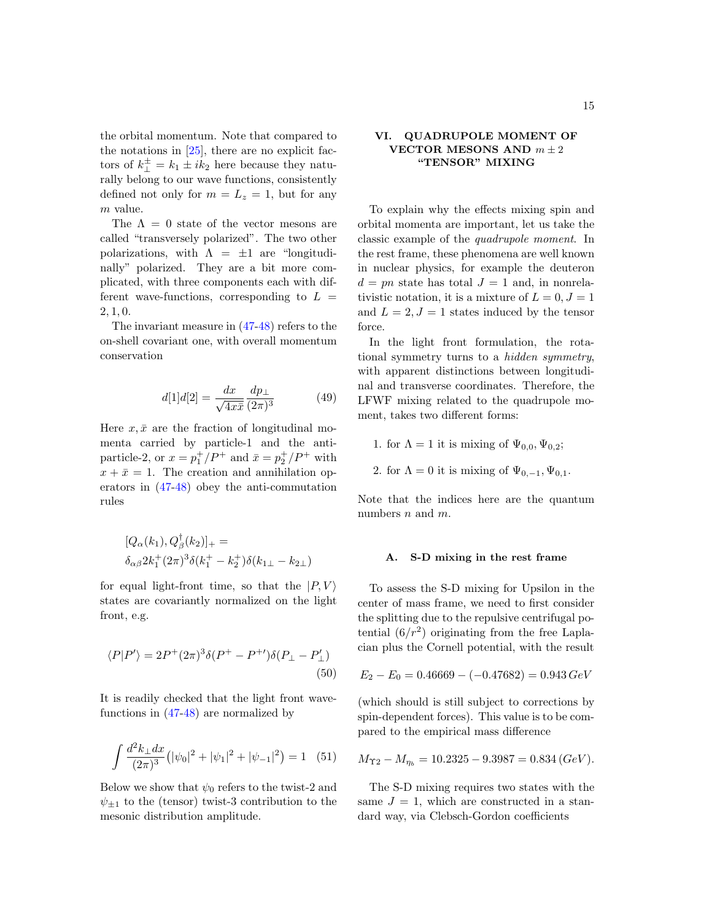the orbital momentum. Note that compared to the notations in  $[25]$ , there are no explicit factors of  $k_{\perp}^{\pm} = k_1 \pm ik_2$  here because they naturally belong to our wave functions, consistently defined not only for  $m = L_z = 1$ , but for any m value.

The  $\Lambda = 0$  state of the vector mesons are called "transversely polarized". The two other polarizations, with  $\Lambda = \pm 1$  are "longitudinally" polarized. They are a bit more complicated, with three components each with different wave-functions, corresponding to  $L =$ 2, 1, 0.

The invariant measure in [\(47](#page-13-0)[-48\)](#page-13-1) refers to the on-shell covariant one, with overall momentum conservation

$$
d[1]d[2] = \frac{dx}{\sqrt{4x\bar{x}}} \frac{dp_\perp}{(2\pi)^3} \tag{49}
$$

Here  $x, \bar{x}$  are the fraction of longitudinal momenta carried by particle-1 and the antiparticle-2, or  $x = p_1^+/P^+$  and  $\bar{x} = p_2^+/P^+$  with  $x + \bar{x} = 1$ . The creation and annihilation operators in [\(47-](#page-13-0)[48\)](#page-13-1) obey the anti-commutation rules

$$
[Q_{\alpha}(k_1), Q_{\beta}^{\dagger}(k_2)]_{+} =
$$
  

$$
\delta_{\alpha\beta} 2k_1^+(2\pi)^3 \delta(k_1^+ - k_2^+) \delta(k_1 \pi - k_2 \pi)
$$

for equal light-front time, so that the  $|P, V\rangle$ states are covariantly normalized on the light front, e.g.

$$
\langle P|P'\rangle = 2P^+(2\pi)^3 \delta(P^+ - P^{+\prime})\delta(P_\perp - P'_\perp)
$$
\n(50)

It is readily checked that the light front wavefunctions in [\(47-](#page-13-0)[48\)](#page-13-1) are normalized by

<span id="page-14-1"></span>
$$
\int \frac{d^2 k_{\perp} dx}{(2\pi)^3} \left( |\psi_0|^2 + |\psi_1|^2 + |\psi_{-1}|^2 \right) = 1 \quad (51)
$$

Below we show that  $\psi_0$  refers to the twist-2 and  $\psi_{\pm 1}$  to the (tensor) twist-3 contribution to the mesonic distribution amplitude.

## <span id="page-14-0"></span>VI. QUADRUPOLE MOMENT OF VECTOR MESONS AND  $m \pm 2$ "TENSOR" MIXING

To explain why the effects mixing spin and orbital momenta are important, let us take the classic example of the quadrupole moment. In the rest frame, these phenomena are well known in nuclear physics, for example the deuteron  $d = pn$  state has total  $J = 1$  and, in nonrelativistic notation, it is a mixture of  $L = 0, J = 1$ and  $L = 2, J = 1$  states induced by the tensor force.

In the light front formulation, the rotational symmetry turns to a hidden symmetry, with apparent distinctions between longitudinal and transverse coordinates. Therefore, the LFWF mixing related to the quadrupole moment, takes two different forms:

- 1. for  $\Lambda = 1$  it is mixing of  $\Psi_{0.0}$ ,  $\Psi_{0.2}$ ;
- 2. for  $\Lambda = 0$  it is mixing of  $\Psi_{0,-1}, \Psi_{0,1}$ .

Note that the indices here are the quantum numbers  $n$  and  $m$ .

#### A. S-D mixing in the rest frame

To assess the S-D mixing for Upsilon in the center of mass frame, we need to first consider the splitting due to the repulsive centrifugal potential  $(6/r^2)$  originating from the free Laplacian plus the Cornell potential, with the result

$$
E_2 - E_0 = 0.46669 - (-0.47682) = 0.943 \, GeV
$$

(which should is still subject to corrections by spin-dependent forces). This value is to be compared to the empirical mass difference

$$
M_{\Upsilon2} - M_{\eta_b} = 10.2325 - 9.3987 = 0.834 (GeV).
$$

The S-D mixing requires two states with the same  $J = 1$ , which are constructed in a standard way, via Clebsch-Gordon coefficients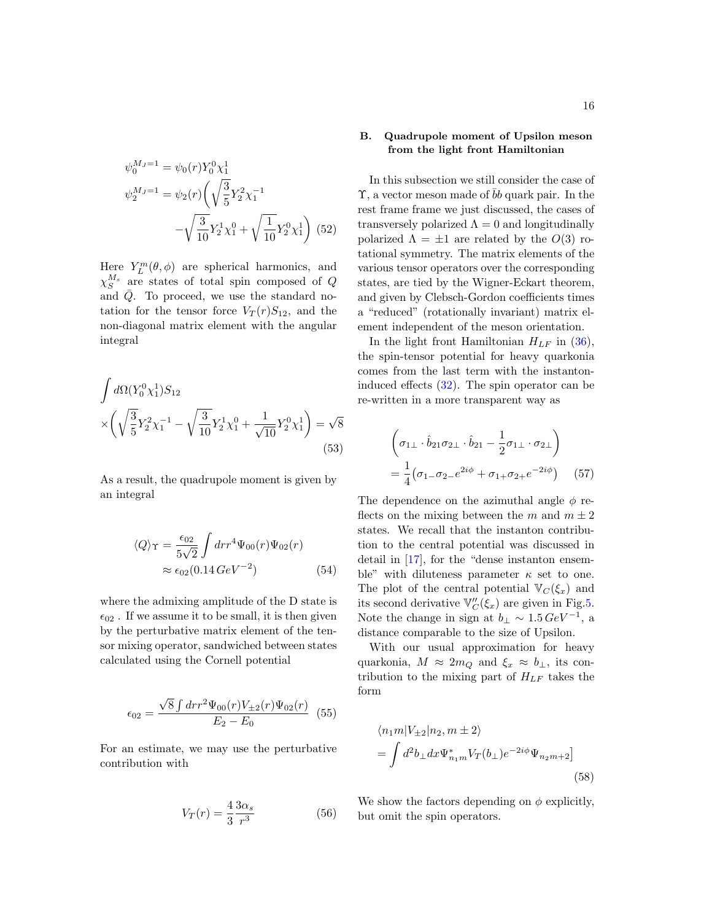$$
\psi_0^{M_J=1} = \psi_0(r) Y_0^0 \chi_1^1
$$
  

$$
\psi_2^{M_J=1} = \psi_2(r) \left( \sqrt{\frac{3}{5}} Y_2^2 \chi_1^{-1} - \sqrt{\frac{3}{10}} Y_2^1 \chi_1^0 + \sqrt{\frac{1}{10}} Y_2^0 \chi_1^1 \right)
$$
(52)

Here  $Y_L^m(\theta, \phi)$  are spherical harmonics, and  $\chi_{S}^{M_s}$  are states of total spin composed of Q and  $\overline{Q}$ . To proceed, we use the standard notation for the tensor force  $V_T(r)S_{12}$ , and the non-diagonal matrix element with the angular integral

$$
\int d\Omega (Y_0^0 \chi_1^1) S_{12}
$$
\n
$$
\times \left( \sqrt{\frac{3}{5}} Y_2^2 \chi_1^{-1} - \sqrt{\frac{3}{10}} Y_2^1 \chi_1^0 + \frac{1}{\sqrt{10}} Y_2^0 \chi_1^1 \right) = \sqrt{8}
$$
\n(53)

As a result, the quadrupole moment is given by an integral

$$
\langle Q \rangle_{\Upsilon} = \frac{\epsilon_{02}}{5\sqrt{2}} \int dr r^4 \Psi_{00}(r) \Psi_{02}(r)
$$
  

$$
\approx \epsilon_{02} (0.14 \, GeV^{-2}) \tag{54}
$$

where the admixing amplitude of the D state is  $\epsilon_{02}$ . If we assume it to be small, it is then given by the perturbative matrix element of the tensor mixing operator, sandwiched between states calculated using the Cornell potential

$$
\epsilon_{02} = \frac{\sqrt{8} \int dr r^2 \Psi_{00}(r) V_{\pm 2}(r) \Psi_{02}(r)}{E_2 - E_0} \tag{55}
$$

For an estimate, we may use the perturbative contribution with

$$
V_T(r) = \frac{4}{3} \frac{3\alpha_s}{r^3} \tag{56}
$$

## B. Quadrupole moment of Upsilon meson from the light front Hamiltonian

In this subsection we still consider the case of  $\Upsilon$ , a vector meson made of b quark pair. In the rest frame frame we just discussed, the cases of transversely polarized  $\Lambda = 0$  and longitudinally polarized  $\Lambda = \pm 1$  are related by the  $O(3)$  rotational symmetry. The matrix elements of the various tensor operators over the corresponding states, are tied by the Wigner-Eckart theorem, and given by Clebsch-Gordon coefficients times a "reduced" (rotationally invariant) matrix element independent of the meson orientation.

In the light front Hamiltonian  $H_{LF}$  in [\(36\)](#page-9-3), the spin-tensor potential for heavy quarkonia comes from the last term with the instantoninduced effects [\(32\)](#page-7-0). The spin operator can be re-written in a more transparent way as

$$
\begin{aligned}\n\left(\sigma_{1\perp} \cdot \hat{b}_{21}\sigma_{2\perp} \cdot \hat{b}_{21} - \frac{1}{2}\sigma_{1\perp} \cdot \sigma_{2\perp}\right) \\
= \frac{1}{4} \left(\sigma_{1\perp}\sigma_{2\perp}e^{2i\phi} + \sigma_{1\perp}\sigma_{2\perp}e^{-2i\phi}\right) \quad (57)\n\end{aligned}
$$

The dependence on the azimuthal angle  $\phi$  reflects on the mixing between the m and  $m \pm 2$ states. We recall that the instanton contribution to the central potential was discussed in detail in [\[17\]](#page-34-14), for the "dense instanton ensemble" with diluteness parameter  $\kappa$  set to one. The plot of the central potential  $\mathbb{V}_C(\xi_x)$  and its second derivative  $\mathbb{V}_C''(\xi_x)$  are given in Fig[.5.](#page-16-0) Note the change in sign at  $b_{\perp} \sim 1.5 \, GeV^{-1}$ , a distance comparable to the size of Upsilon.

With our usual approximation for heavy quarkonia,  $M \approx 2m_Q$  and  $\xi_x \approx b_\perp$ , its contribution to the mixing part of  $H_{LF}$  takes the form

$$
\langle n_1 m | V_{\pm 2} | n_2, m \pm 2 \rangle
$$
  
=  $\int d^2 b_\perp dx \Psi_{n_1 m}^* V_T(b_\perp) e^{-2i\phi} \Psi_{n_2 m + 2}$  (58)

We show the factors depending on  $\phi$  explicitly, but omit the spin operators.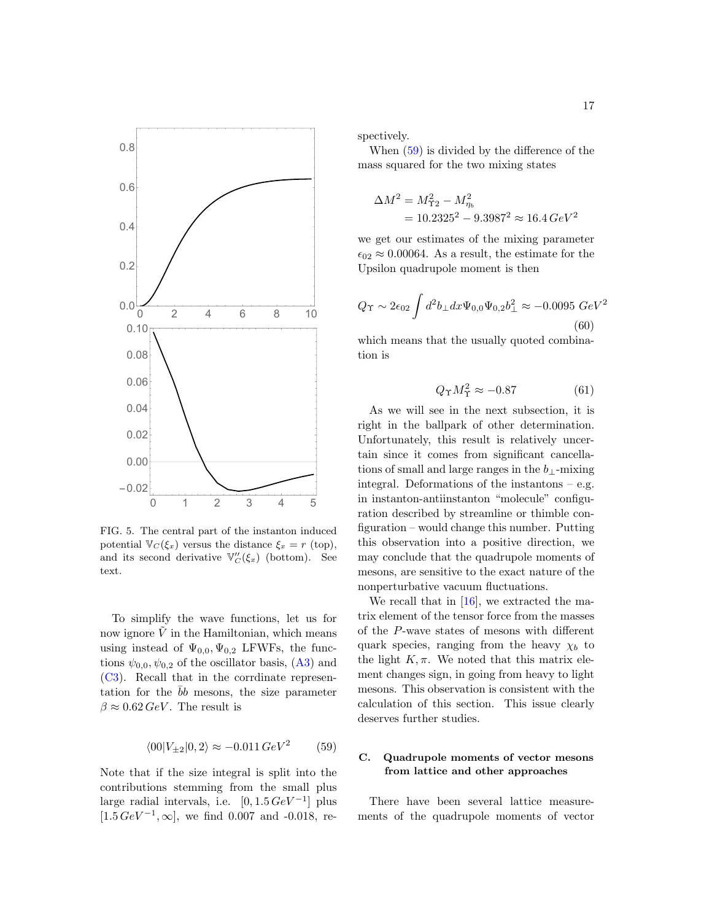

<span id="page-16-0"></span>FIG. 5. The central part of the instanton induced potential  $\mathbb{V}_C(\xi_x)$  versus the distance  $\xi_x = r$  (top), and its second derivative  $\mathbb{V}_C''(\xi_x)$  (bottom). See text.

To simplify the wave functions, let us for now ignore  $\tilde{V}$  in the Hamiltonian, which means using instead of  $\Psi_{0,0}, \Psi_{0,2}$  LFWFs, the functions  $\psi_{0,0}, \psi_{0,2}$  of the oscillator basis, [\(A3\)](#page-29-1) and [\(C3\)](#page-31-0). Recall that in the corrdinate representation for the  $\bar{b}b$  mesons, the size parameter  $\beta \approx 0.62 \, \text{GeV}$ . The result is

<span id="page-16-1"></span>
$$
\langle 00|V_{\pm 2}|0,2\rangle \approx -0.011 \, GeV^2 \qquad (59)
$$

Note that if the size integral is split into the contributions stemming from the small plus large radial intervals, i.e.  $[0, 1.5 \, GeV^{-1}]$  plus  $[1.5 \, GeV^{-1}, \infty]$ , we find 0.007 and -0.018, respectively.

When [\(59\)](#page-16-1) is divided by the difference of the mass squared for the two mixing states

$$
\Delta M^2 = M_{\Upsilon 2}^2 - M_{\eta_b}^2
$$
  
= 10.2325<sup>2</sup> - 9.3987<sup>2</sup>  $\approx$  16.4 GeV<sup>2</sup>

we get our estimates of the mixing parameter  $\epsilon_{02} \approx 0.00064$ . As a result, the estimate for the Upsilon quadrupole moment is then

$$
Q_{\Upsilon} \sim 2\epsilon_{02} \int d^2 b_{\perp} dx \Psi_{0,0} \Psi_{0,2} b_{\perp}^2 \approx -0.0095 \ GeV^2
$$
\n(60)

which means that the usually quoted combination is

$$
Q_{\Upsilon} M_{\Upsilon}^2 \approx -0.87\tag{61}
$$

As we will see in the next subsection, it is right in the ballpark of other determination. Unfortunately, this result is relatively uncertain since it comes from significant cancellations of small and large ranges in the  $b_+$ -mixing integral. Deformations of the instantons  $-$  e.g. in instanton-antiinstanton "molecule" configuration described by streamline or thimble configuration – would change this number. Putting this observation into a positive direction, we may conclude that the quadrupole moments of mesons, are sensitive to the exact nature of the nonperturbative vacuum fluctuations.

We recall that in [\[16\]](#page-34-13), we extracted the matrix element of the tensor force from the masses of the P-wave states of mesons with different quark species, ranging from the heavy  $\chi_b$  to the light  $K, \pi$ . We noted that this matrix element changes sign, in going from heavy to light mesons. This observation is consistent with the calculation of this section. This issue clearly deserves further studies.

## C. Quadrupole moments of vector mesons from lattice and other approaches

There have been several lattice measurements of the quadrupole moments of vector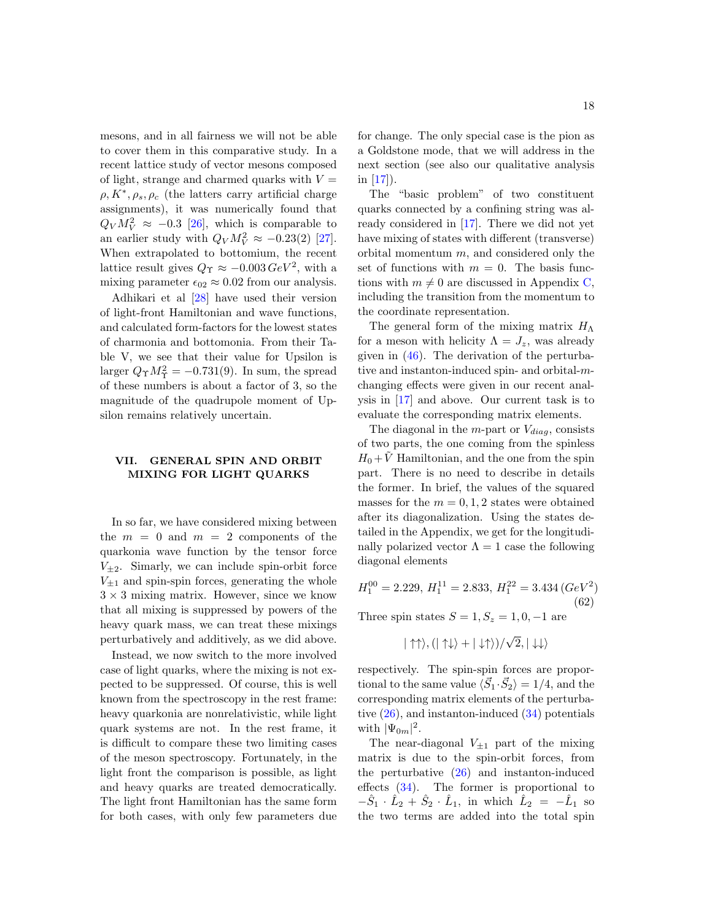mesons, and in all fairness we will not be able to cover them in this comparative study. In a recent lattice study of vector mesons composed of light, strange and charmed quarks with  $V =$  $\rho, K^*, \rho_s, \rho_c$  (the latters carry artificial charge assignments), it was numerically found that  $Q_V M_V^2 \approx -0.3$  [\[26\]](#page-34-22), which is comparable to an earlier study with  $Q_V M_V^2 \approx -0.23(2)$  [\[27\]](#page-34-23). When extrapolated to bottomium, the recent lattice result gives  $Q_{\Upsilon} \approx -0.003 \, GeV^2$ , with a mixing parameter  $\epsilon_{02} \approx 0.02$  from our analysis.

Adhikari et al [\[28\]](#page-34-24) have used their version of light-front Hamiltonian and wave functions, and calculated form-factors for the lowest states of charmonia and bottomonia. From their Table V, we see that their value for Upsilon is larger  $Q_{\Upsilon}M_{\Upsilon}^2 = -0.731(9)$ . In sum, the spread of these numbers is about a factor of 3, so the magnitude of the quadrupole moment of Upsilon remains relatively uncertain.

## <span id="page-17-0"></span>VII. GENERAL SPIN AND ORBIT MIXING FOR LIGHT QUARKS

In so far, we have considered mixing between the  $m = 0$  and  $m = 2$  components of the quarkonia wave function by the tensor force  $V_{\pm 2}$ . Simarly, we can include spin-orbit force  $V_{\pm 1}$  and spin-spin forces, generating the whole  $3 \times 3$  mixing matrix. However, since we know that all mixing is suppressed by powers of the heavy quark mass, we can treat these mixings perturbatively and additively, as we did above.

Instead, we now switch to the more involved case of light quarks, where the mixing is not expected to be suppressed. Of course, this is well known from the spectroscopy in the rest frame: heavy quarkonia are nonrelativistic, while light quark systems are not. In the rest frame, it is difficult to compare these two limiting cases of the meson spectroscopy. Fortunately, in the light front the comparison is possible, as light and heavy quarks are treated democratically. The light front Hamiltonian has the same form for both cases, with only few parameters due

for change. The only special case is the pion as a Goldstone mode, that we will address in the next section (see also our qualitative analysis in [\[17\]](#page-34-14)).

The "basic problem" of two constituent quarks connected by a confining string was already considered in [\[17\]](#page-34-14). There we did not yet have mixing of states with different (transverse) orbital momentum  $m$ , and considered only the set of functions with  $m = 0$ . The basis functions with  $m \neq 0$  are discussed in Appendix [C,](#page-30-0) including the transition from the momentum to the coordinate representation.

The general form of the mixing matrix  $H_\Lambda$ for a meson with helicity  $\Lambda = J_z$ , was already given in  $(46)$ . The derivation of the perturbative and instanton-induced spin- and orbital-mchanging effects were given in our recent analysis in [\[17\]](#page-34-14) and above. Our current task is to evaluate the corresponding matrix elements.

The diagonal in the  $m$ -part or  $V_{diaa}$ , consists of two parts, the one coming from the spinless  $H_0 + V$  Hamiltonian, and the one from the spin part. There is no need to describe in details the former. In brief, the values of the squared masses for the  $m = 0, 1, 2$  states were obtained after its diagonalization. Using the states detailed in the Appendix, we get for the longitudinally polarized vector  $\Lambda = 1$  case the following diagonal elements

$$
H_1^{00} = 2.229, H_1^{11} = 2.833, H_1^{22} = 3.434 (GeV^2)
$$
\n(62)

Three spin states  $S = 1, S_z = 1, 0, -1$  are

$$
|\uparrow\uparrow\rangle, (|\uparrow\downarrow\rangle + |\downarrow\uparrow\rangle)/\sqrt{2}, |\downarrow\downarrow\rangle
$$

respectively. The spin-spin forces are proportional to the same value  $\langle \vec{S}_1 \cdot \vec{S}_2 \rangle = 1/4$ , and the corresponding matrix elements of the perturbative  $(26)$ , and instanton-induced  $(34)$  potentials with  $|\Psi_{0m}|^2$ .

The near-diagonal  $V_{\pm 1}$  part of the mixing matrix is due to the spin-orbit forces, from the perturbative [\(26\)](#page-6-4) and instanton-induced effects [\(34\)](#page-7-1). The former is proportional to  $-\hat{S}_1 \cdot \hat{L}_2 + \hat{S}_2 \cdot \hat{L}_1$ , in which  $\hat{L}_2 = -\hat{L}_1$  so the two terms are added into the total spin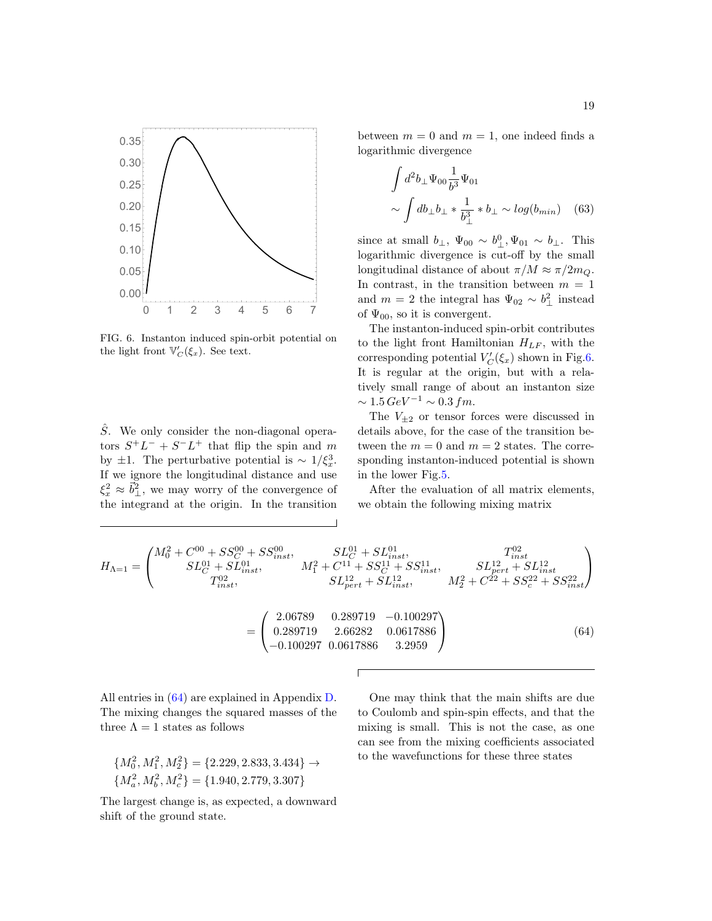

<span id="page-18-0"></span>FIG. 6. Instanton induced spin-orbit potential on the light front  $\mathbb{V}'_C(\xi_x)$ . See text.

 $\hat{S}$ . We only consider the non-diagonal operators  $S^+L^- + S^-L^+$  that flip the spin and m by  $\pm 1$ . The perturbative potential is ~ 1/ $\xi_x^3$ . If we ignore the longitudinal distance and use  $\xi_x^2 \approx \vec{b}_{\perp}^2$ , we may worry of the convergence of the integrand at the origin. In the transition between  $m = 0$  and  $m = 1$ , one indeed finds a logarithmic divergence

$$
\int d^2 b_\perp \Psi_{00} \frac{1}{b^3} \Psi_{01} \sim \int db_\perp b_\perp * \frac{1}{b_\perp^3} * b_\perp \sim \log(b_{min}) \quad (63)
$$

since at small  $b_{\perp}$ ,  $\Psi_{00} \sim b_{\perp}^0$ ,  $\Psi_{01} \sim b_{\perp}$ . This logarithmic divergence is cut-off by the small longitudinal distance of about  $\pi/M \approx \pi/2m_Q$ . In contrast, in the transition between  $m = 1$ and  $m = 2$  the integral has  $\Psi_{02} \sim b_\perp^2$  instead of  $\Psi_{00}$ , so it is convergent.

The instanton-induced spin-orbit contributes to the light front Hamiltonian  $H_{LF}$ , with the corresponding potential  $V'_C(\xi_x)$  shown in Fig[.6.](#page-18-0) It is regular at the origin, but with a relatively small range of about an instanton size  $\sim 1.5 \, GeV^{-1} \sim 0.3 \, fm.$ 

The  $V_{\pm 2}$  or tensor forces were discussed in details above, for the case of the transition between the  $m = 0$  and  $m = 2$  states. The corresponding instanton-induced potential is shown in the lower Fig[.5.](#page-16-0)

After the evaluation of all matrix elements, we obtain the following mixing matrix

<span id="page-18-1"></span>
$$
H_{\Lambda=1} = \begin{pmatrix} M_0^2 + C^{00} + SS_C^{00} + SS_{inst}^{00}, & SL_C^{01} + SL_{inst}^{01}, & T_{inst}^{02} \\ SU_C^1 + SL_{inst}^{01}, & M_1^2 + C^{11} + SS_C^{11} + SS_{inst}^{11}, & SL_{pert}^{12} + SL_{inst}^{12} \\ T_{inst}^{02}, & SU_{pert}^1 + SL_{inst}^{12}, & M_2^2 + C^{22} + SS_c^{22} + SS_{inst}^{22} \end{pmatrix}
$$

$$
= \begin{pmatrix} 2.06789 & 0.289719 & -0.100297 \\ 0.289719 & 2.66282 & 0.0617886 \\ -0.100297 & 0.0617886 & 3.2959 \end{pmatrix}
$$
(64)

All entries in [\(64\)](#page-18-1) are explained in Appendix [D.](#page-32-0) The mixing changes the squared masses of the three  $\Lambda = 1$  states as follows

$$
{M_0^2, M_1^2, M_2^2} = {2.229, 2.833, 3.434} \rightarrow {M_a^2, M_b^2, M_c^2} = {1.940, 2.779, 3.307}
$$

The largest change is, as expected, a downward shift of the ground state.

One may think that the main shifts are due to Coulomb and spin-spin effects, and that the mixing is small. This is not the case, as one can see from the mixing coefficients associated to the wavefunctions for these three states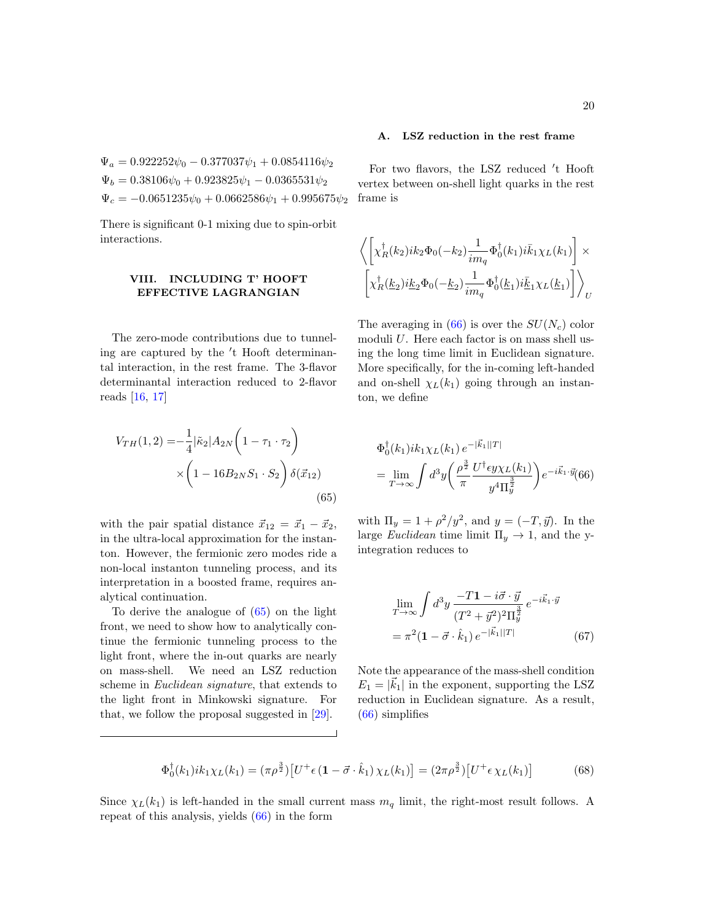$\Psi_a = 0.922252\psi_0 - 0.377037\psi_1 + 0.0854116\psi_2$  $\Psi_b = 0.38106\psi_0 + 0.923825\psi_1 - 0.0365531\psi_2$  $\Psi_c = -0.0651235\psi_0 + 0.0662586\psi_1 + 0.995675\psi_2$ 

There is significant 0-1 mixing due to spin-orbit interactions.

## <span id="page-19-0"></span>VIII. INCLUDING T' HOOFT EFFECTIVE LAGRANGIAN

The zero-mode contributions due to tunneling are captured by the 't Hooft determinantal interaction, in the rest frame. The 3-flavor determinantal interaction reduced to 2-flavor reads [\[16,](#page-34-13) [17\]](#page-34-14)

<span id="page-19-1"></span>
$$
V_{TH}(1,2) = -\frac{1}{4} |\tilde{\kappa}_2| A_{2N} \left( 1 - \tau_1 \cdot \tau_2 \right)
$$

$$
\times \left( 1 - 16 B_{2N} S_1 \cdot S_2 \right) \delta(\vec{x}_{12})
$$
(65)

with the pair spatial distance  $\vec{x}_{12} = \vec{x}_1 - \vec{x}_2$ , in the ultra-local approximation for the instanton. However, the fermionic zero modes ride a non-local instanton tunneling process, and its interpretation in a boosted frame, requires analytical continuation.

To derive the analogue of [\(65\)](#page-19-1) on the light front, we need to show how to analytically continue the fermionic tunneling process to the light front, where the in-out quarks are nearly on mass-shell. We need an LSZ reduction scheme in Euclidean signature, that extends to the light front in Minkowski signature. For that, we follow the proposal suggested in [\[29\]](#page-34-25).

### A. LSZ reduction in the rest frame

For two flavors, the LSZ reduced 't Hooft vertex between on-shell light quarks in the rest frame is

<span id="page-19-2"></span>
$$
\begin{aligned}&\left\langle\left[\chi_R^{\dagger}(k_2)ik_2\Phi_0(-k_2)\frac{1}{im_q}\Phi_0^{\dagger}(k_1)i\bar{k}_1\chi_L(k_1)\right]\times\right.\\&\left.\left[\chi_R^{\dagger}(\underline{k}_2)i\underline{k}_2\Phi_0(-\underline{k}_2)\frac{1}{im_q}\Phi_0^{\dagger}(\underline{k}_1)i\bar{\underline{k}}_1\chi_L(\underline{k}_1)\right]\right\rangle_U\end{aligned}
$$

The averaging in  $(66)$  is over the  $SU(N_c)$  color moduli  $U$ . Here each factor is on mass shell using the long time limit in Euclidean signature. More specifically, for the in-coming left-handed and on-shell  $\chi_L(k_1)$  going through an instanton, we define

$$
\Phi_0^{\dagger}(k_1)ik_1\chi_L(k_1) e^{-|\vec{k}_1||T|}
$$
\n
$$
= \lim_{T \to \infty} \int d^3y \left( \frac{\rho^{\frac{3}{2}}}{\pi} \frac{U^{\dagger} \epsilon y \chi_L(k_1)}{y^4 \Pi_y^{\frac{3}{2}}} \right) e^{-i\vec{k}_1 \cdot \vec{y}} (66)
$$

with  $\Pi_y = 1 + \rho^2/y^2$ , and  $y = (-T, \vec{y})$ . In the large *Euclidean* time limit  $\Pi_y \to 1$ , and the yintegration reduces to

<span id="page-19-3"></span>
$$
\lim_{T \to \infty} \int d^3 y \, \frac{-T \mathbf{1} - i \vec{\sigma} \cdot \vec{y}}{(T^2 + \vec{y}^2)^2 \Pi_{\vec{y}}^{\frac{3}{2}}} e^{-i \vec{k}_1 \cdot \vec{y}} \n= \pi^2 (\mathbf{1} - \vec{\sigma} \cdot \hat{k}_1) \, e^{-|\vec{k}_1||T|}
$$
\n(67)

Note the appearance of the mass-shell condition  $E_1 = |\vec{k}_1|$  in the exponent, supporting the LSZ reduction in Euclidean signature. As a result, [\(66\)](#page-19-2) simplifies

<span id="page-19-4"></span>
$$
\Phi_0^{\dagger}(k_1)ik_1\chi_L(k_1) = (\pi \rho^{\frac{3}{2}}) \left[ U^+ \epsilon \left( \mathbf{1} - \vec{\sigma} \cdot \hat{k}_1 \right) \chi_L(k_1) \right] = (2\pi \rho^{\frac{3}{2}}) \left[ U^+ \epsilon \chi_L(k_1) \right] \tag{68}
$$

Since  $\chi_L(k_1)$  is left-handed in the small current mass  $m_q$  limit, the right-most result follows. A repeat of this analysis, yields [\(66\)](#page-19-2) in the form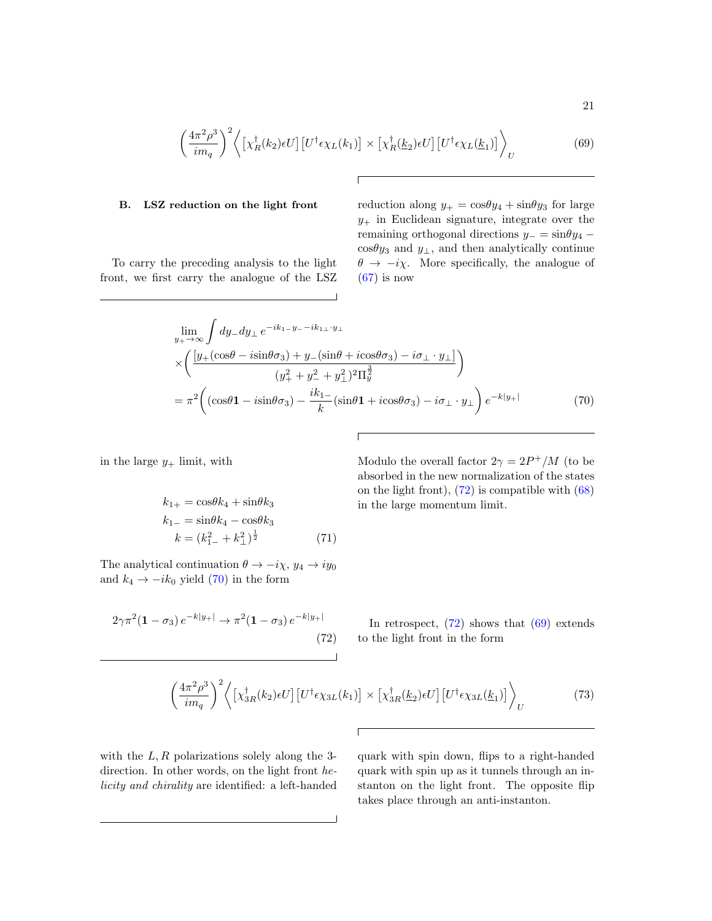<span id="page-20-2"></span>
$$
\left(\frac{4\pi^2\rho^3}{im_q}\right)^2 \left\langle \left[\chi_R^\dagger(k_2)\epsilon U\right] \left[U^\dagger \epsilon \chi_L(k_1)\right] \times \left[\chi_R^\dagger(\underline{k}_2)\epsilon U\right] \left[U^\dagger \epsilon \chi_L(\underline{k}_1)\right] \right\rangle_U \tag{69}
$$

### B. LSZ reduction on the light front

To carry the preceding analysis to the light front, we first carry the analogue of the LSZ reduction along  $y_+ = \cos{\theta}y_4 + \sin{\theta}y_3$  for large  $y_+$  in Euclidean signature, integrate over the remaining orthogonal directions  $y_ - = \sin \theta y_4$  −  $\cos\theta y_3$  and  $y_\perp$ , and then analytically continue  $\theta \rightarrow -i\chi$ . More specifically, the analogue of  $(67)$  is now

<span id="page-20-0"></span>
$$
\lim_{y_{+} \to \infty} \int dy_{-} dy_{\perp} e^{-ik_{1-}y_{-}-ik_{1\perp} \cdot y_{\perp}}
$$
\n
$$
\times \left( \frac{[y_{+}(\cos\theta - i\sin\theta\sigma_{3}) + y_{-}(\sin\theta + i\cos\theta\sigma_{3}) - i\sigma_{\perp} \cdot y_{\perp}]}{(y_{+}^{2} + y_{-}^{2})^{2}\Pi_{y}^{\frac{3}{2}}}\right)
$$
\n
$$
= \pi^{2} \left( (\cos\theta \mathbf{1} - i\sin\theta\sigma_{3}) - \frac{ik_{1-}}{k}(\sin\theta \mathbf{1} + i\cos\theta\sigma_{3}) - i\sigma_{\perp} \cdot y_{\perp} \right) e^{-k|y_{+}|}
$$
(70)

in the large  $y_+$  limit, with

$$
k_{1+} = \cos\theta k_4 + \sin\theta k_3
$$
  
\n
$$
k_{1-} = \sin\theta k_4 - \cos\theta k_3
$$
  
\n
$$
k = (k_{1-}^2 + k_{\perp}^2)^{\frac{1}{2}}
$$
 (71)

The analytical continuation  $\theta \to -i\chi$ ,  $y_4 \to iy_0$ and  $k_4 \rightarrow -ik_0$  yield [\(70\)](#page-20-0) in the form

<span id="page-20-1"></span>
$$
2\gamma \pi^2 (1 - \sigma_3) e^{-k|y_+|} \to \pi^2 (1 - \sigma_3) e^{-k|y_+|}
$$
\n(72)

Modulo the overall factor  $2\gamma = 2P^+/M$  (to be absorbed in the new normalization of the states on the light front),  $(72)$  is compatible with  $(68)$ in the large momentum limit.

In retrospect,  $(72)$  shows that  $(69)$  extends to the light front in the form

<span id="page-20-3"></span>
$$
\left(\frac{4\pi^2\rho^3}{im_q}\right)^2 \left\langle \left[\chi_{3R}^{\dagger}(k_2)\epsilon U\right] \left[U^{\dagger}\epsilon\chi_{3L}(k_1)\right] \times \left[\chi_{3R}^{\dagger}(k_2)\epsilon U\right] \left[U^{\dagger}\epsilon\chi_{3L}(k_1)\right] \right\rangle_U
$$
\n(73)

with the  $L, R$  polarizations solely along the 3direction. In other words, on the light front helicity and chirality are identified: a left-handed quark with spin down, flips to a right-handed quark with spin up as it tunnels through an instanton on the light front. The opposite flip takes place through an anti-instanton.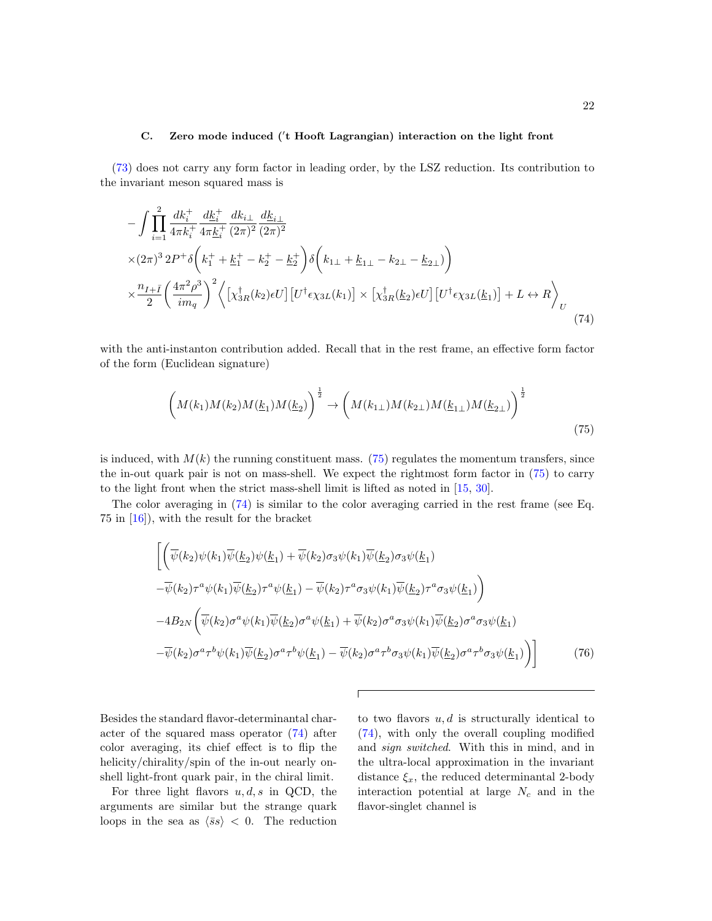## C. Zero mode induced ('t Hooft Lagrangian) interaction on the light front

[\(73\)](#page-20-3) does not carry any form factor in leading order, by the LSZ reduction. Its contribution to the invariant meson squared mass is

<span id="page-21-1"></span>
$$
-\int \prod_{i=1}^{2} \frac{dk_{i}^{+}}{4\pi k_{i}^{+}} \frac{dk_{i}^{+}}{4\pi k_{i}^{+}} \frac{dk_{i\perp}}{(2\pi)^{2}} \frac{dk_{i\perp}}{(2\pi)^{2}}
$$
  
×(2 $\pi$ )<sup>3</sup> 2 $P$ <sup>+</sup>  $\delta$   $\left(k_{1}^{+} + k_{1}^{+} - k_{2}^{+} - k_{2}^{+}\right) \delta\left(k_{1\perp} + k_{1\perp} - k_{2\perp} - k_{2\perp}\right)$   
× $\frac{n_{I+\bar{I}}}{2} \left(\frac{4\pi^{2}\rho^{3}}{im_{q}}\right)^{2} \left\langle \left[\chi_{3R}^{\dagger}(k_{2})\epsilon U\right] \left[U^{\dagger}\epsilon \chi_{3L}(k_{1})\right] \times \left[\chi_{3R}^{\dagger}(k_{2})\epsilon U\right] \left[U^{\dagger}\epsilon \chi_{3L}(k_{1})\right] + L \leftrightarrow R \right\rangle_{U}$ (74)

with the anti-instanton contribution added. Recall that in the rest frame, an effective form factor of the form (Euclidean signature)

<span id="page-21-0"></span>
$$
\left(M(k_1)M(k_2)M(\underline{k}_1)M(\underline{k}_2)\right)^{\frac{1}{2}} \to \left(M(k_{1\perp})M(k_{2\perp})M(\underline{k}_{1\perp})M(\underline{k}_{2\perp})\right)^{\frac{1}{2}}
$$
\n(75)

is induced, with  $M(k)$  the running constituent mass. [\(75\)](#page-21-0) regulates the momentum transfers, since the in-out quark pair is not on mass-shell. We expect the rightmost form factor in [\(75\)](#page-21-0) to carry to the light front when the strict mass-shell limit is lifted as noted in [\[15,](#page-34-12) [30\]](#page-34-26).

The color averaging in [\(74\)](#page-21-1) is similar to the color averaging carried in the rest frame (see Eq. 75 in [\[16\]](#page-34-13)), with the result for the bracket

<span id="page-21-2"></span>
$$
\begin{aligned}\n&\left[\left(\overline{\psi}(k_2)\psi(k_1)\overline{\psi}(k_2)\psi(k_1)+\overline{\psi}(k_2)\sigma_3\psi(k_1)\overline{\psi}(k_2)\sigma_3\psi(k_1)\right.\right.\\
&\left. -\overline{\psi}(k_2)\tau^a\psi(k_1)\overline{\psi}(k_2)\tau^a\psi(k_1)-\overline{\psi}(k_2)\tau^a\sigma_3\psi(k_1)\overline{\psi}(k_2)\tau^a\sigma_3\psi(k_1)\right)\right] \\
&\left.-4B_{2N}\left(\overline{\psi}(k_2)\sigma^a\psi(k_1)\overline{\psi}(k_2)\sigma^a\psi(k_1)+\overline{\psi}(k_2)\sigma^a\sigma_3\psi(k_1)\overline{\psi}(k_2)\sigma^a\sigma_3\psi(k_1)\right.\right.\\
&\left. -\overline{\psi}(k_2)\sigma^a\tau^b\psi(k_1)\overline{\psi}(k_2)\sigma^a\tau^b\psi(k_1)-\overline{\psi}(k_2)\sigma^a\tau^b\sigma_3\psi(k_1)\overline{\psi}(k_2)\sigma^a\tau^b\sigma_3\psi(k_1)\right)\right]\n\end{aligned} \tag{76}
$$

Besides the standard flavor-determinantal character of the squared mass operator [\(74\)](#page-21-1) after color averaging, its chief effect is to flip the helicity/chirality/spin of the in-out nearly onshell light-front quark pair, in the chiral limit.

For three light flavors  $u, d, s$  in QCD, the arguments are similar but the strange quark loops in the sea as  $\langle \bar{s}s \rangle$  < 0. The reduction to two flavors  $u, d$  is structurally identical to [\(74\)](#page-21-1), with only the overall coupling modified and sign switched. With this in mind, and in the ultra-local approximation in the invariant distance  $\xi_x$ , the reduced determinantal 2-body interaction potential at large  $N_c$  and in the flavor-singlet channel is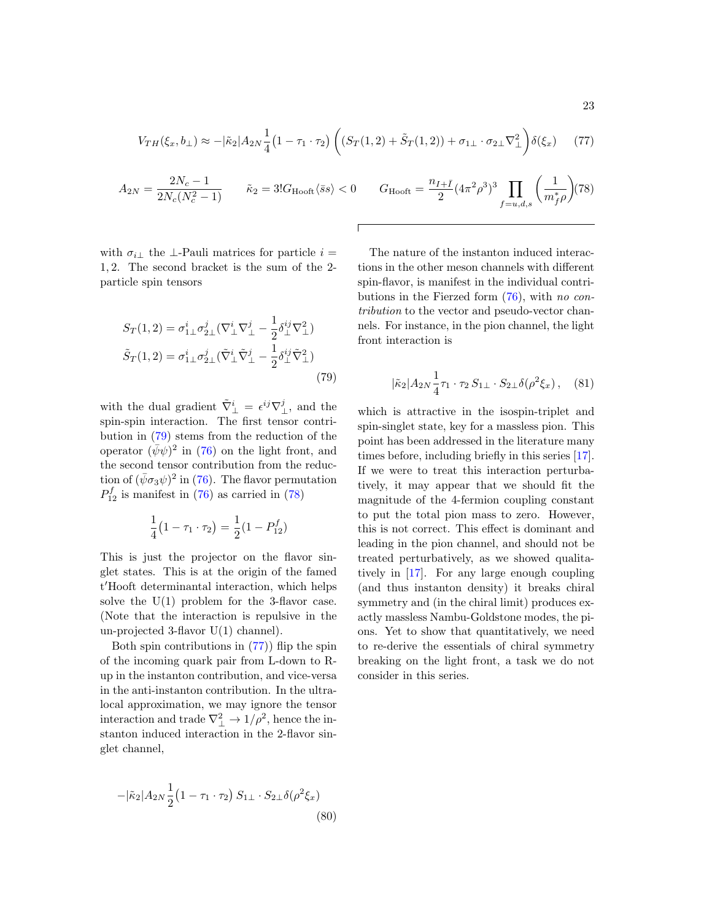<span id="page-22-2"></span>
$$
V_{TH}(\xi_x, b_\perp) \approx -|\tilde{\kappa}_2|A_{2N}\frac{1}{4}\left(1 - \tau_1 \cdot \tau_2\right)\left((S_T(1, 2) + \tilde{S}_T(1, 2)) + \sigma_{1\perp} \cdot \sigma_{2\perp}\nabla_\perp^2\right)\delta(\xi_x) \tag{77}
$$

<span id="page-22-1"></span>
$$
A_{2N} = \frac{2N_c - 1}{2N_c(N_c^2 - 1)} \qquad \tilde{\kappa}_2 = 3! G_{\text{Hooft}} \langle \bar{s}s \rangle < 0 \qquad G_{\text{Hooft}} = \frac{n_{I + \bar{I}}}{2} (4\pi^2 \rho^3)^3 \prod_{f = u, d, s} \left(\frac{1}{m_f^* \rho}\right) (78)
$$

with  $\sigma_{i\perp}$  the ⊥-Pauli matrices for particle  $i =$ 1, 2. The second bracket is the sum of the 2 particle spin tensors

<span id="page-22-0"></span>
$$
S_T(1,2) = \sigma_{1\perp}^i \sigma_{2\perp}^j (\nabla_\perp^i \nabla_\perp^j - \frac{1}{2} \delta_\perp^{ij} \nabla_\perp^2)
$$
  

$$
\tilde{S}_T(1,2) = \sigma_{1\perp}^i \sigma_{2\perp}^j (\tilde{\nabla}_\perp^i \tilde{\nabla}_\perp^j - \frac{1}{2} \delta_\perp^{ij} \tilde{\nabla}_\perp^2)
$$
 (79)

with the dual gradient  $\tilde{\nabla}^i_{\perp} = \epsilon^{ij} \nabla^j_{\perp}$ , and the spin-spin interaction. The first tensor contribution in [\(79\)](#page-22-0) stems from the reduction of the operator  $(\bar{\psi}\psi)^2$  in [\(76\)](#page-21-2) on the light front, and the second tensor contribution from the reduction of  $(\bar{\psi}\sigma_3\psi)^2$  in [\(76\)](#page-21-2). The flavor permutation  $P_{12}^f$  is manifest in [\(76\)](#page-21-2) as carried in [\(78\)](#page-22-1)

$$
\frac{1}{4}(1 - \tau_1 \cdot \tau_2) = \frac{1}{2}(1 - P_{12}^f)
$$

This is just the projector on the flavor singlet states. This is at the origin of the famed t'Hooft determinantal interaction, which helps solve the  $U(1)$  problem for the 3-flavor case. (Note that the interaction is repulsive in the un-projected 3-flavor U(1) channel).

Both spin contributions in  $(77)$  flip the spin of the incoming quark pair from L-down to Rup in the instanton contribution, and vice-versa in the anti-instanton contribution. In the ultralocal approximation, we may ignore the tensor interaction and trade  $\nabla^2_{\perp} \to 1/\rho^2$ , hence the instanton induced interaction in the 2-flavor singlet channel,

$$
-|\tilde{\kappa}_2|A_{2N}\frac{1}{2}(1-\tau_1\cdot\tau_2)S_{1\perp}\cdot S_{2\perp}\delta(\rho^2\xi_x)
$$
\n(80)

The nature of the instanton induced interactions in the other meson channels with different spin-flavor, is manifest in the individual contributions in the Fierzed form [\(76\)](#page-21-2), with no contribution to the vector and pseudo-vector channels. For instance, in the pion channel, the light front interaction is

$$
|\tilde{\kappa}_2|A_{2N}\frac{1}{4}\tau_1\cdot\tau_2\,S_{1\perp}\cdot S_{2\perp}\delta(\rho^2\xi_x)\,,\quad(81)
$$

which is attractive in the isospin-triplet and spin-singlet state, key for a massless pion. This point has been addressed in the literature many times before, including briefly in this series [\[17\]](#page-34-14). If we were to treat this interaction perturbatively, it may appear that we should fit the magnitude of the 4-fermion coupling constant to put the total pion mass to zero. However, this is not correct. This effect is dominant and leading in the pion channel, and should not be treated perturbatively, as we showed qualitatively in [\[17\]](#page-34-14). For any large enough coupling (and thus instanton density) it breaks chiral symmetry and (in the chiral limit) produces exactly massless Nambu-Goldstone modes, the pions. Yet to show that quantitatively, we need to re-derive the essentials of chiral symmetry breaking on the light front, a task we do not consider in this series.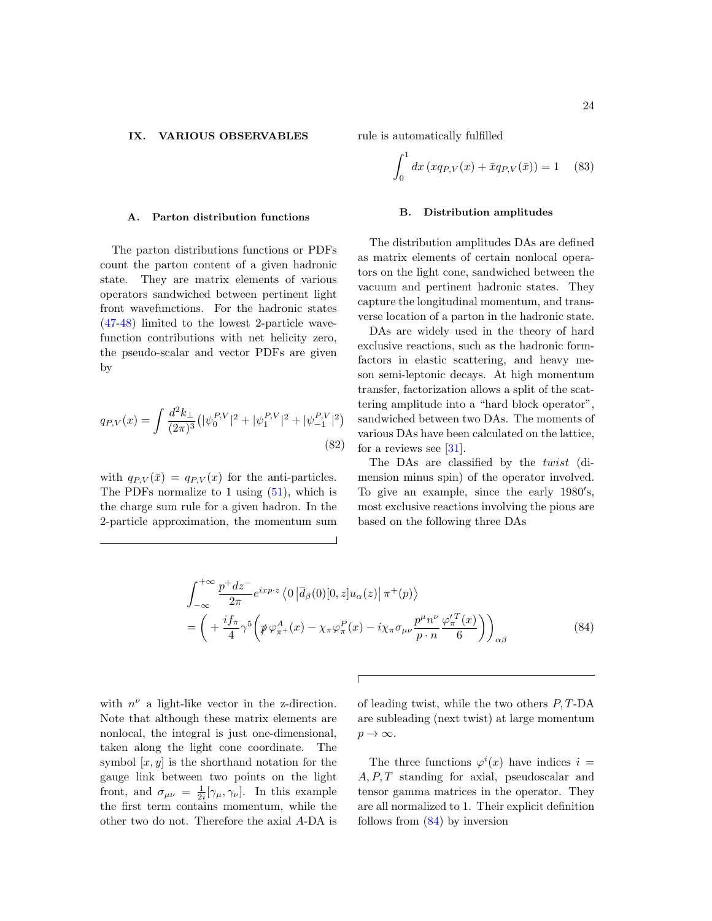#### <span id="page-23-0"></span>IX. VARIOUS OBSERVABLES

#### A. Parton distribution functions

The parton distributions functions or PDFs count the parton content of a given hadronic state. They are matrix elements of various operators sandwiched between pertinent light front wavefunctions. For the hadronic states [\(47](#page-13-0)[-48\)](#page-13-1) limited to the lowest 2-particle wavefunction contributions with net helicity zero, the pseudo-scalar and vector PDFs are given by

$$
q_{P,V}(x) = \int \frac{d^2 k_{\perp}}{(2\pi)^3} \left( |\psi_0^{P,V}|^2 + |\psi_1^{P,V}|^2 + |\psi_{-1}^{P,V}|^2 \right)
$$
\n(82)

with  $q_{P,V}(\bar{x}) = q_{P,V}(x)$  for the anti-particles. The PDFs normalize to 1 using  $(51)$ , which is the charge sum rule for a given hadron. In the 2-particle approximation, the momentum sum rule is automatically fulfilled

$$
\int_0^1 dx \left( x q_{P,V}(x) + \bar{x} q_{P,V}(\bar{x}) \right) = 1 \quad (83)
$$

#### B. Distribution amplitudes

The distribution amplitudes DAs are defined as matrix elements of certain nonlocal operators on the light cone, sandwiched between the vacuum and pertinent hadronic states. They capture the longitudinal momentum, and transverse location of a parton in the hadronic state.

DAs are widely used in the theory of hard exclusive reactions, such as the hadronic formfactors in elastic scattering, and heavy meson semi-leptonic decays. At high momentum transfer, factorization allows a split of the scattering amplitude into a "hard block operator", sandwiched between two DAs. The moments of various DAs have been calculated on the lattice, for a reviews see  $[31]$ .

The DAs are classified by the twist (dimension minus spin) of the operator involved. To give an example, since the early 1980's, most exclusive reactions involving the pions are based on the following three DAs

<span id="page-23-1"></span>
$$
\int_{-\infty}^{+\infty} \frac{p^+ dz^-}{2\pi} e^{ixp \cdot z} \langle 0 | \overline{d}_{\beta}(0) [0, z] u_{\alpha}(z) | \pi^+(p) \rangle
$$
  
= 
$$
\left( + \frac{if_{\pi}}{4} \gamma^5 \left( \rlap{\psi} \varphi_{\pi^+}^A(x) - \chi_{\pi} \varphi_{\pi}^P(x) - i \chi_{\pi} \sigma_{\mu\nu} \frac{p^{\mu} n^{\nu}}{p \cdot n} \frac{\varphi_{\pi}^{\prime T}(x)}{6} \right) \right)_{\alpha\beta}
$$
(84)

with  $n^{\nu}$  a light-like vector in the z-direction. Note that although these matrix elements are nonlocal, the integral is just one-dimensional, taken along the light cone coordinate. The symbol  $[x, y]$  is the shorthand notation for the gauge link between two points on the light front, and  $\sigma_{\mu\nu} = \frac{1}{2i} [\gamma_{\mu}, \gamma_{\nu}]$ . In this example the first term contains momentum, while the other two do not. Therefore the axial A-DA is

of leading twist, while the two others  $P, T\text{-}DA$ are subleading (next twist) at large momentum  $p \rightarrow \infty$ .

The three functions  $\varphi^{i}(x)$  have indices  $i =$  $A, P, T$  standing for axial, pseudoscalar and tensor gamma matrices in the operator. They are all normalized to 1. Their explicit definition follows from [\(84\)](#page-23-1) by inversion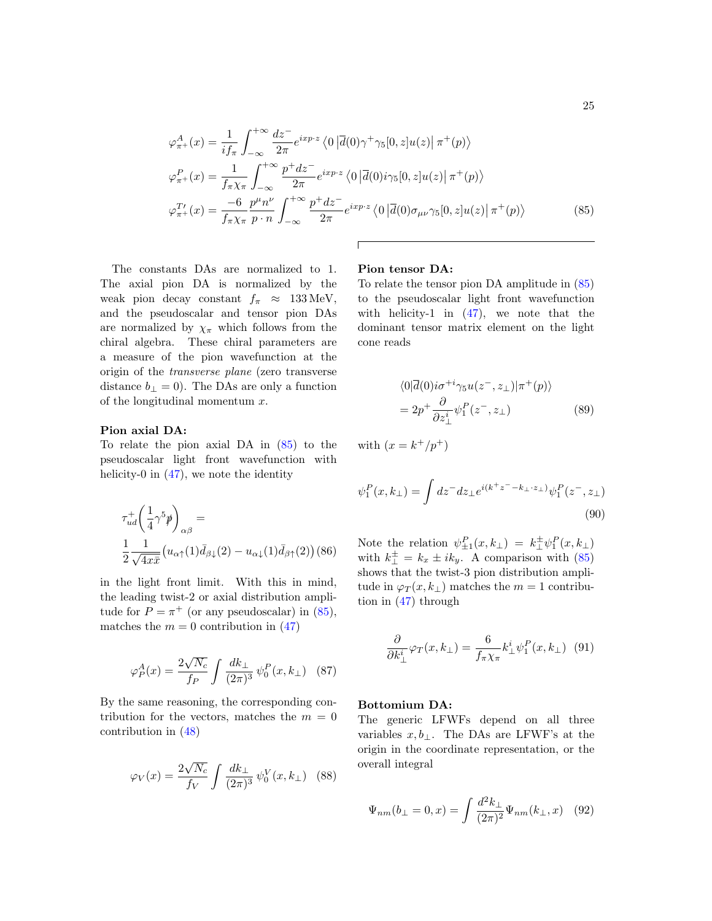<span id="page-24-0"></span>
$$
\varphi_{\pi^{+}}^{A}(x) = \frac{1}{if_{\pi}} \int_{-\infty}^{+\infty} \frac{dz^{-}}{2\pi} e^{ixp \cdot z} \langle 0 | \overline{d}(0) \gamma^{+} \gamma_{5}[0, z] u(z) | \pi^{+}(p) \rangle
$$
  
\n
$$
\varphi_{\pi^{+}}^{P}(x) = \frac{1}{f_{\pi} \chi_{\pi}} \int_{-\infty}^{+\infty} \frac{p^{+} dz^{-}}{2\pi} e^{ixp \cdot z} \langle 0 | \overline{d}(0) i \gamma_{5}[0, z] u(z) | \pi^{+}(p) \rangle
$$
  
\n
$$
\varphi_{\pi^{+}}^{T'}(x) = \frac{-6}{f_{\pi} \chi_{\pi}} \frac{p^{\mu} n^{\nu}}{p \cdot n} \int_{-\infty}^{+\infty} \frac{p^{+} dz^{-}}{2\pi} e^{ixp \cdot z} \langle 0 | \overline{d}(0) \sigma_{\mu\nu} \gamma_{5}[0, z] u(z) | \pi^{+}(p) \rangle
$$
(85)

The constants DAs are normalized to 1. The axial pion DA is normalized by the weak pion decay constant  $f_{\pi} \approx 133 \text{ MeV}$ , and the pseudoscalar and tensor pion DAs are normalized by  $\chi_{\pi}$  which follows from the chiral algebra. These chiral parameters are a measure of the pion wavefunction at the origin of the transverse plane (zero transverse distance  $b_{\perp} = 0$ . The DAs are only a function of the longitudinal momentum  $x$ .

### Pion axial DA:

To relate the pion axial DA in [\(85\)](#page-24-0) to the pseudoscalar light front wavefunction with helicity-0 in  $(47)$ , we note the identity

$$
\tau_{ud}^{+}\left(\frac{1}{4}\gamma^{5}\rlap{\,/}p\right)_{\alpha\beta} =
$$
\n
$$
\frac{1}{2}\frac{1}{\sqrt{4x\bar{x}}} \left(u_{\alpha\uparrow}(1)\bar{d}_{\beta\downarrow}(2) - u_{\alpha\downarrow}(1)\bar{d}_{\beta\uparrow}(2)\right)
$$
(86)

in the light front limit. With this in mind, the leading twist-2 or axial distribution amplitude for  $P = \pi^+$  (or any pseudoscalar) in [\(85\)](#page-24-0), matches the  $m = 0$  contribution in [\(47\)](#page-13-0)

$$
\varphi_P^A(x) = \frac{2\sqrt{N_c}}{f_P} \int \frac{dk_\perp}{(2\pi)^3} \psi_0^P(x, k_\perp) \quad (87)
$$

By the same reasoning, the corresponding contribution for the vectors, matches the  $m = 0$ contribution in [\(48\)](#page-13-1)

$$
\varphi_V(x) = \frac{2\sqrt{N_c}}{f_V} \int \frac{dk_\perp}{(2\pi)^3} \psi_0^V(x, k_\perp) \quad (88)
$$

### Pion tensor DA:

To relate the tensor pion DA amplitude in [\(85\)](#page-24-0) to the pseudoscalar light front wavefunction with helicity-1 in  $(47)$ , we note that the dominant tensor matrix element on the light cone reads

$$
\langle 0|\overline{d}(0)i\sigma^{+i}\gamma_5 u(z^-, z_\perp)|\pi^+(p)\rangle
$$
  
=  $2p^+ \frac{\partial}{\partial z^i_\perp} \psi_1^P(z^-, z_\perp)$  (89)

with  $(x = k^+/p^+)$ 

$$
\psi_1^P(x, k_\perp) = \int dz^- dz_\perp e^{i(k^+ z^- - k_\perp \cdot z_\perp)} \psi_1^P(z^-, z_\perp)
$$
\n(90)

Note the relation  $\psi_{\pm 1}^P(x, k_\perp) = k_\perp^{\pm} \psi_1^P(x, k_\perp)$ with  $k_{\perp}^{\pm} = k_x \pm ik_y$ . A comparison with [\(85\)](#page-24-0) shows that the twist-3 pion distribution amplitude in  $\varphi_T(x, k_\perp)$  matches the  $m = 1$  contribution in [\(47\)](#page-13-0) through

$$
\frac{\partial}{\partial k^i_\perp} \varphi_T(x, k_\perp) = \frac{6}{f_\pi \chi_\pi} k^i_\perp \psi_1^P(x, k_\perp) \tag{91}
$$

#### Bottomium DA:

The generic LFWFs depend on all three variables  $x, b_\perp$ . The DAs are LFWF's at the origin in the coordinate representation, or the overall integral

$$
\Psi_{nm}(b_{\perp} = 0, x) = \int \frac{d^2 k_{\perp}}{(2\pi)^2} \Psi_{nm}(k_{\perp}, x) \quad (92)
$$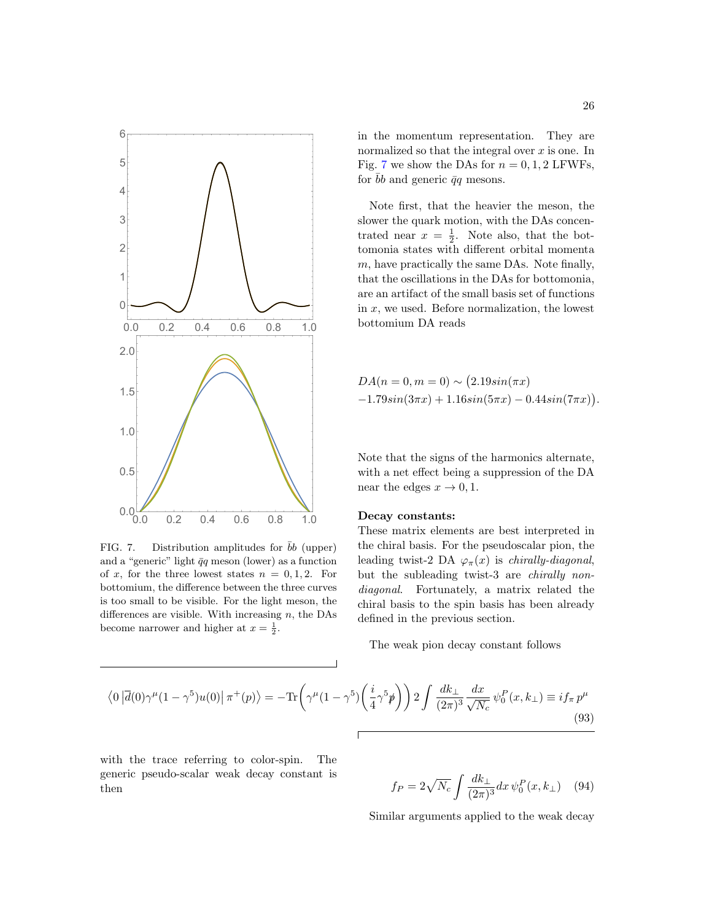

<span id="page-25-0"></span>FIG. 7. Distribution amplitudes for bb (upper) and a "generic" light  $\bar{q}q$  meson (lower) as a function of x, for the three lowest states  $n = 0, 1, 2$ . For bottomium, the difference between the three curves is too small to be visible. For the light meson, the differences are visible. With increasing  $n$ , the DAs become narrower and higher at  $x = \frac{1}{2}$ .

in the momentum representation. They are normalized so that the integral over  $x$  is one. In Fig. [7](#page-25-0) we show the DAs for  $n = 0, 1, 2$  LFWFs, for  $\bar{b}b$  and generic  $\bar{q}q$  mesons.

Note first, that the heavier the meson, the slower the quark motion, with the DAs concentrated near  $x = \frac{1}{2}$ . Note also, that the bottomonia states with different orbital momenta  $m$ , have practically the same DAs. Note finally, that the oscillations in the DAs for bottomonia, are an artifact of the small basis set of functions in  $x$ , we used. Before normalization, the lowest bottomium DA reads

$$
DA(n = 0, m = 0) \sim (2.19\sin(\pi x) -1.79\sin(3\pi x) + 1.16\sin(5\pi x) - 0.44\sin(7\pi x)).
$$

Note that the signs of the harmonics alternate, with a net effect being a suppression of the DA near the edges  $x \to 0, 1$ .

### Decay constants:

These matrix elements are best interpreted in the chiral basis. For the pseudoscalar pion, the leading twist-2 DA  $\varphi_{\pi}(x)$  is *chirally-diagonal*, but the subleading twist-3 are chirally nondiagonal. Fortunately, a matrix related the chiral basis to the spin basis has been already defined in the previous section.

The weak pion decay constant follows

$$
\langle 0|\overline{d}(0)\gamma^{\mu}(1-\gamma^{5})u(0)|\pi^{+}(p)\rangle = -\text{Tr}\left(\gamma^{\mu}(1-\gamma^{5})\left(\frac{i}{4}\gamma^{5}\rlap/p\right)\right)2\int\frac{dk_{\perp}}{(2\pi)^{3}}\frac{dx}{\sqrt{N_{c}}}\,\psi_{0}^{P}(x,k_{\perp})\equiv if_{\pi}\,p^{\mu}\tag{93}
$$

with the trace referring to color-spin. The generic pseudo-scalar weak decay constant is then  $f_P = 2\sqrt{ }$ 

$$
f_P = 2\sqrt{N_c} \int \frac{dk_\perp}{(2\pi)^3} dx \,\psi_0^P(x, k_\perp) \quad (94)
$$

Similar arguments applied to the weak decay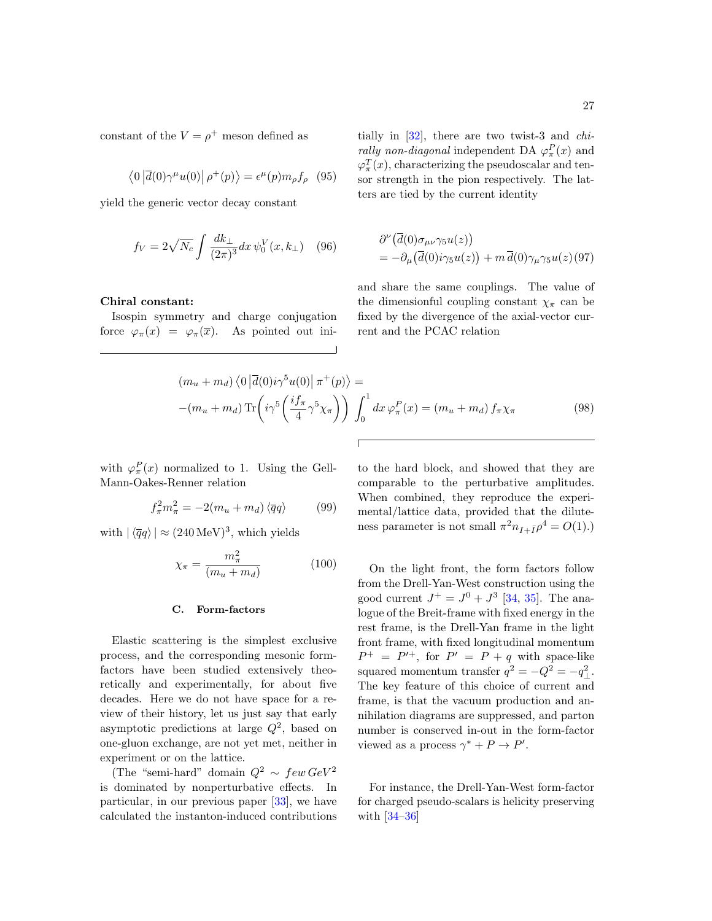constant of the  $V = \rho^+$  meson defined as

$$
\langle 0|\overline{d}(0)\gamma^{\mu}u(0)|\,\rho^{+}(p)\rangle = \epsilon^{\mu}(p)m_{\rho}f_{\rho} \quad (95)
$$

yield the generic vector decay constant

$$
f_V = 2\sqrt{N_c} \int \frac{dk_{\perp}}{(2\pi)^3} dx \, \psi_0^V(x, k_{\perp}) \quad (96)
$$

### Chiral constant:

Isospin symmetry and charge conjugation force  $\varphi_{\pi}(x) = \varphi_{\pi}(\overline{x})$ . As pointed out ini-

tially in [\[32\]](#page-34-28), there are two twist-3 and chi*rally non-diagonal* independent DA  $\varphi_{\pi}^{P}(x)$  and  $\varphi_{\pi}^{T}(x)$ , characterizing the pseudoscalar and tensor strength in the pion respectively. The latters are tied by the current identity

$$
\partial^{\nu} (\overline{d}(0)\sigma_{\mu\nu}\gamma_5 u(z)) \n= -\partial_{\mu} (\overline{d}(0)i\gamma_5 u(z)) + m \overline{d}(0)\gamma_{\mu}\gamma_5 u(z) (97)
$$

and share the same couplings. The value of the dimensionful coupling constant  $\chi_{\pi}$  can be fixed by the divergence of the axial-vector current and the PCAC relation

$$
(m_u + m_d) \langle 0 | \overline{d}(0) i \gamma^5 u(0) | \pi^+(p) \rangle =
$$
  
-(m\_u + m\_d) \operatorname{Tr} \left( i \gamma^5 \left( \frac{i f\_\pi}{4} \gamma^5 \chi\_\pi \right) \right) \int\_0^1 dx \, \varphi\_\pi^P(x) = (m\_u + m\_d) f\_\pi \chi\_\pi (98)

with  $\varphi_{\pi}^{P}(x)$  normalized to 1. Using the Gell-Mann-Oakes-Renner relation

$$
f_{\pi}^2 m_{\pi}^2 = -2(m_u + m_d) \langle \overline{q}q \rangle \tag{99}
$$

with  $|\langle \overline{q}q \rangle| \approx (240 \,\text{MeV})^3$ , which yields

$$
\chi_{\pi} = \frac{m_{\pi}^2}{(m_u + m_d)}\tag{100}
$$

#### C. Form-factors

Elastic scattering is the simplest exclusive process, and the corresponding mesonic formfactors have been studied extensively theoretically and experimentally, for about five decades. Here we do not have space for a review of their history, let us just say that early asymptotic predictions at large  $Q^2$ , based on one-gluon exchange, are not yet met, neither in experiment or on the lattice.

(The "semi-hard" domain  $Q^2 \sim few GeV^2$ is dominated by nonperturbative effects. In particular, in our previous paper [\[33\]](#page-34-29), we have calculated the instanton-induced contributions to the hard block, and showed that they are comparable to the perturbative amplitudes. When combined, they reproduce the experimental/lattice data, provided that the diluteness parameter is not small  $\pi^2 n_{I+\bar{I}} \rho^4 = O(1)$ .)

On the light front, the form factors follow from the Drell-Yan-West construction using the good current  $J^{+} = J^{0} + J^{3}$  [\[34,](#page-34-30) [35\]](#page-34-31). The analogue of the Breit-frame with fixed energy in the rest frame, is the Drell-Yan frame in the light front frame, with fixed longitudinal momentum  $P^+ = P'^+$ , for  $P' = P + q$  with space-like squared momentum transfer  $q^2 = -Q^2 = -q_{\perp}^2$ . The key feature of this choice of current and frame, is that the vacuum production and annihilation diagrams are suppressed, and parton number is conserved in-out in the form-factor viewed as a process  $\gamma^* + P \to P'$ .

For instance, the Drell-Yan-West form-factor for charged pseudo-scalars is helicity preserving with [\[34](#page-34-30)[–36\]](#page-34-32)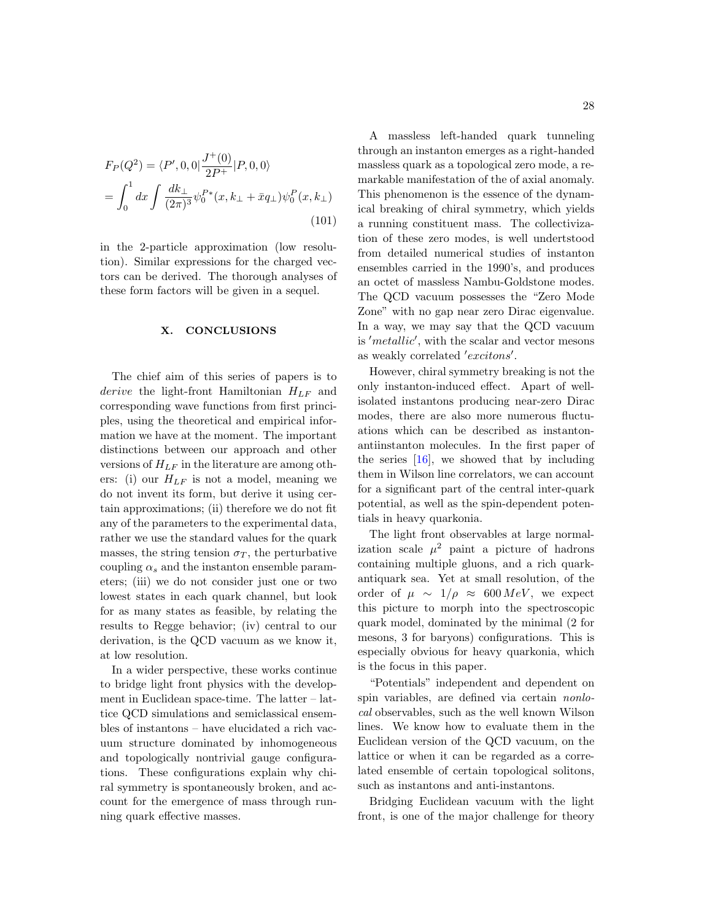$$
F_P(Q^2) = \langle P', 0, 0 | \frac{J^+(0)}{2P^+} | P, 0, 0 \rangle
$$
  
= 
$$
\int_0^1 dx \int \frac{dk_\perp}{(2\pi)^3} \psi_0^{P*}(x, k_\perp + \bar{x}q_\perp) \psi_0^P(x, k_\perp)
$$
 (101)

in the 2-particle approximation (low resolution). Similar expressions for the charged vectors can be derived. The thorough analyses of these form factors will be given in a sequel.

#### <span id="page-27-0"></span>X. CONCLUSIONS

The chief aim of this series of papers is to derive the light-front Hamiltonian  $H_{LF}$  and corresponding wave functions from first principles, using the theoretical and empirical information we have at the moment. The important distinctions between our approach and other versions of  $H_{LF}$  in the literature are among others: (i) our  $H_{LF}$  is not a model, meaning we do not invent its form, but derive it using certain approximations; (ii) therefore we do not fit any of the parameters to the experimental data, rather we use the standard values for the quark masses, the string tension  $\sigma_T$ , the perturbative coupling  $\alpha_s$  and the instanton ensemble parameters; (iii) we do not consider just one or two lowest states in each quark channel, but look for as many states as feasible, by relating the results to Regge behavior; (iv) central to our derivation, is the QCD vacuum as we know it, at low resolution.

In a wider perspective, these works continue to bridge light front physics with the development in Euclidean space-time. The latter – lattice QCD simulations and semiclassical ensembles of instantons – have elucidated a rich vacuum structure dominated by inhomogeneous and topologically nontrivial gauge configurations. These configurations explain why chiral symmetry is spontaneously broken, and account for the emergence of mass through running quark effective masses.

A massless left-handed quark tunneling through an instanton emerges as a right-handed massless quark as a topological zero mode, a remarkable manifestation of the of axial anomaly. This phenomenon is the essence of the dynamical breaking of chiral symmetry, which yields a running constituent mass. The collectivization of these zero modes, is well undertstood from detailed numerical studies of instanton ensembles carried in the 1990's, and produces an octet of massless Nambu-Goldstone modes. The QCD vacuum possesses the "Zero Mode Zone" with no gap near zero Dirac eigenvalue. In a way, we may say that the QCD vacuum is 'metallic', with the scalar and vector mesons as weakly correlated 'excitons'.

However, chiral symmetry breaking is not the only instanton-induced effect. Apart of wellisolated instantons producing near-zero Dirac modes, there are also more numerous fluctuations which can be described as instantonantiinstanton molecules. In the first paper of the series  $[16]$ , we showed that by including them in Wilson line correlators, we can account for a significant part of the central inter-quark potential, as well as the spin-dependent potentials in heavy quarkonia.

The light front observables at large normalization scale  $\mu^2$  paint a picture of hadrons containing multiple gluons, and a rich quarkantiquark sea. Yet at small resolution, of the order of  $\mu \sim 1/\rho \approx 600 \, MeV$ , we expect this picture to morph into the spectroscopic quark model, dominated by the minimal (2 for mesons, 3 for baryons) configurations. This is especially obvious for heavy quarkonia, which is the focus in this paper.

"Potentials" independent and dependent on spin variables, are defined via certain nonlocal observables, such as the well known Wilson lines. We know how to evaluate them in the Euclidean version of the QCD vacuum, on the lattice or when it can be regarded as a correlated ensemble of certain topological solitons, such as instantons and anti-instantons.

Bridging Euclidean vacuum with the light front, is one of the major challenge for theory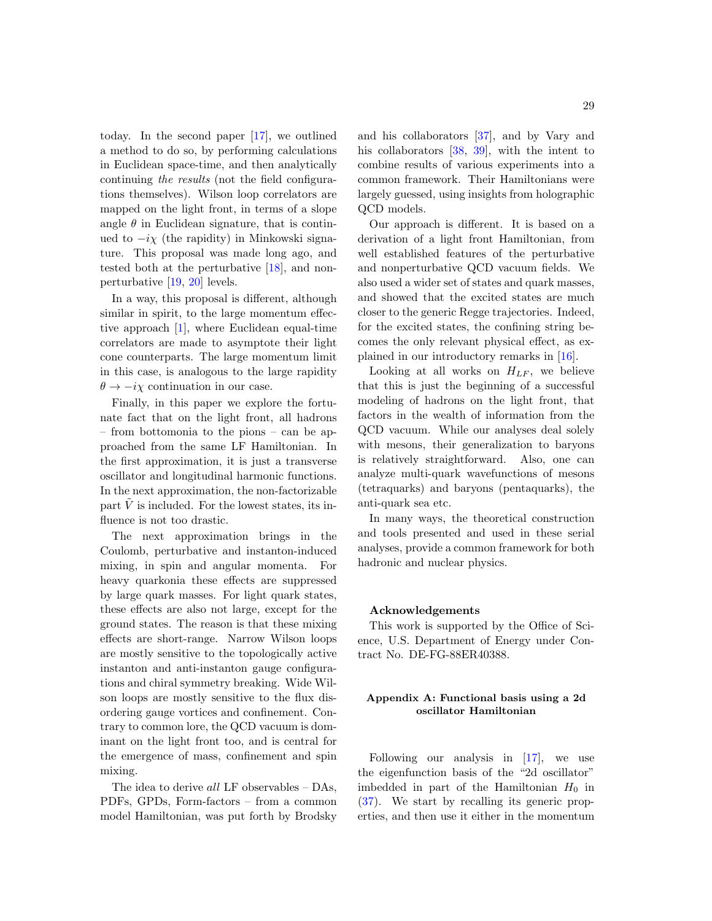today. In the second paper [\[17\]](#page-34-14), we outlined a method to do so, by performing calculations in Euclidean space-time, and then analytically continuing the results (not the field configurations themselves). Wilson loop correlators are mapped on the light front, in terms of a slope angle  $\theta$  in Euclidean signature, that is continued to  $-i\chi$  (the rapidity) in Minkowski signature. This proposal was made long ago, and tested both at the perturbative [\[18\]](#page-34-15), and nonperturbative [\[19,](#page-34-16) [20\]](#page-34-17) levels.

In a way, this proposal is different, although similar in spirit, to the large momentum effective approach [\[1\]](#page-33-0), where Euclidean equal-time correlators are made to asymptote their light cone counterparts. The large momentum limit in this case, is analogous to the large rapidity  $\theta \rightarrow -i\gamma$  continuation in our case.

Finally, in this paper we explore the fortunate fact that on the light front, all hadrons – from bottomonia to the pions – can be approached from the same LF Hamiltonian. In the first approximation, it is just a transverse oscillator and longitudinal harmonic functions. In the next approximation, the non-factorizable part  $\tilde{V}$  is included. For the lowest states, its influence is not too drastic.

The next approximation brings in the Coulomb, perturbative and instanton-induced mixing, in spin and angular momenta. For heavy quarkonia these effects are suppressed by large quark masses. For light quark states, these effects are also not large, except for the ground states. The reason is that these mixing effects are short-range. Narrow Wilson loops are mostly sensitive to the topologically active instanton and anti-instanton gauge configurations and chiral symmetry breaking. Wide Wilson loops are mostly sensitive to the flux disordering gauge vortices and confinement. Contrary to common lore, the QCD vacuum is dominant on the light front too, and is central for the emergence of mass, confinement and spin mixing.

The idea to derive all LF observables – DAs, PDFs, GPDs, Form-factors – from a common model Hamiltonian, was put forth by Brodsky

and his collaborators [\[37\]](#page-34-33), and by Vary and his collaborators [\[38,](#page-35-0) [39\]](#page-35-1), with the intent to combine results of various experiments into a common framework. Their Hamiltonians were largely guessed, using insights from holographic QCD models.

Our approach is different. It is based on a derivation of a light front Hamiltonian, from well established features of the perturbative and nonperturbative QCD vacuum fields. We also used a wider set of states and quark masses, and showed that the excited states are much closer to the generic Regge trajectories. Indeed, for the excited states, the confining string becomes the only relevant physical effect, as explained in our introductory remarks in [\[16\]](#page-34-13).

Looking at all works on  $H_{LF}$ , we believe that this is just the beginning of a successful modeling of hadrons on the light front, that factors in the wealth of information from the QCD vacuum. While our analyses deal solely with mesons, their generalization to baryons is relatively straightforward. Also, one can analyze multi-quark wavefunctions of mesons (tetraquarks) and baryons (pentaquarks), the anti-quark sea etc.

In many ways, the theoretical construction and tools presented and used in these serial analyses, provide a common framework for both hadronic and nuclear physics.

#### Acknowledgements

This work is supported by the Office of Science, U.S. Department of Energy under Contract No. DE-FG-88ER40388.

## <span id="page-28-0"></span>Appendix A: Functional basis using a 2d oscillator Hamiltonian

Following our analysis in [\[17\]](#page-34-14), we use the eigenfunction basis of the "2d oscillator" imbedded in part of the Hamiltonian  $H_0$  in [\(37\)](#page-10-1). We start by recalling its generic properties, and then use it either in the momentum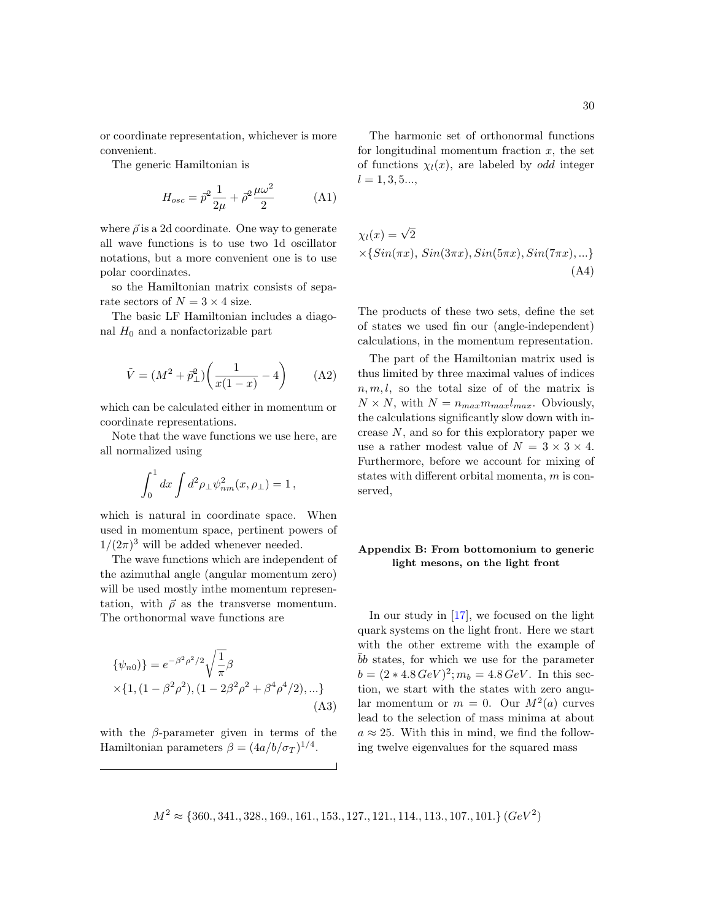or coordinate representation, whichever is more convenient.

The generic Hamiltonian is

$$
H_{osc} = \vec{p}^2 \frac{1}{2\mu} + \vec{\rho}^2 \frac{\mu \omega^2}{2}
$$
 (A1)

where  $\vec{\rho}$  is a 2d coordinate. One way to generate all wave functions is to use two 1d oscillator notations, but a more convenient one is to use polar coordinates.

so the Hamiltonian matrix consists of separate sectors of  $N = 3 \times 4$  size.

The basic LF Hamiltonian includes a diagonal  $H_0$  and a nonfactorizable part

$$
\tilde{V} = (M^2 + \bar{p}_{\perp}^2) \left(\frac{1}{x(1-x)} - 4\right) \tag{A2}
$$

which can be calculated either in momentum or coordinate representations.

Note that the wave functions we use here, are all normalized using

$$
\int_0^1 dx \int d^2 \rho_\perp \psi_{nm}^2(x, \rho_\perp) = 1,
$$

which is natural in coordinate space. When used in momentum space, pertinent powers of  $1/(2\pi)^3$  will be added whenever needed.

The wave functions which are independent of the azimuthal angle (angular momentum zero) will be used mostly inthe momentum representation, with  $\vec{\rho}$  as the transverse momentum. The orthonormal wave functions are

<span id="page-29-1"></span>
$$
\{\psi_{n0}\}\ = e^{-\beta^2 \rho^2/2} \sqrt{\frac{1}{\pi}} \beta
$$
  
×{1, (1 -  $\beta^2 \rho^2$ ), (1 -  $2\beta^2 \rho^2 + \beta^4 \rho^4/2$ ), ...} (A3)

with the  $\beta$ -parameter given in terms of the Hamiltonian parameters  $\beta = (4a/b/\sigma_T)^{1/4}$ .

The harmonic set of orthonormal functions for longitudinal momentum fraction  $x$ , the set of functions  $\chi_l(x)$ , are labeled by *odd* integer  $l = 1, 3, 5...$ 

$$
\chi_l(x) = \sqrt{2}
$$
  
×{ $Sin(\pi x)$ ,  $Sin(3\pi x)$ ,  $Sin(5\pi x)$ ,  $Sin(7\pi x)$ , ...} (A4)

The products of these two sets, define the set of states we used fin our (angle-independent) calculations, in the momentum representation.

The part of the Hamiltonian matrix used is thus limited by three maximal values of indices  $n, m, l$ , so the total size of of the matrix is  $N \times N$ , with  $N = n_{max} m_{max} l_{max}$ . Obviously, the calculations significantly slow down with increase N, and so for this exploratory paper we use a rather modest value of  $N = 3 \times 3 \times 4$ . Furthermore, before we account for mixing of states with different orbital momenta, m is conserved,

## <span id="page-29-0"></span>Appendix B: From bottomonium to generic light mesons, on the light front

In our study in [\[17\]](#page-34-14), we focused on the light quark systems on the light front. Here we start with the other extreme with the example of bb states, for which we use for the parameter  $b = (2 * 4.8 \text{ GeV})^2$ ;  $m_b = 4.8 \text{ GeV}$ . In this section, we start with the states with zero angular momentum or  $m = 0$ . Our  $M^2(a)$  curves lead to the selection of mass minima at about  $a \approx 25$ . With this in mind, we find the following twelve eigenvalues for the squared mass

 $M^2 \approx \{360., 341., 328., 169., 161., 153., 127., 121., 114., 113., 107., 101.\}$   $(GeV^2)$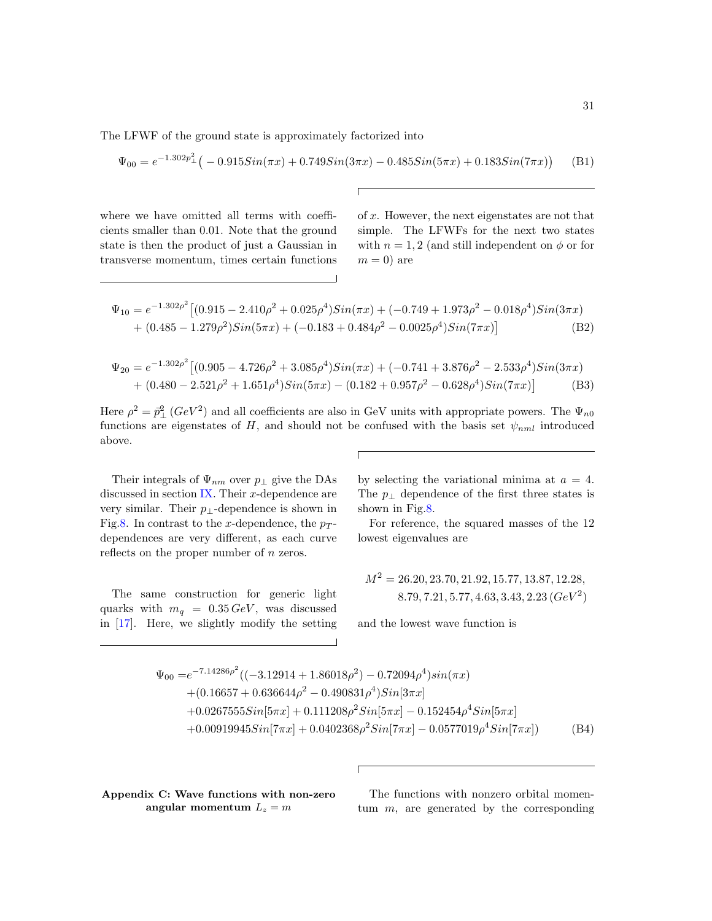The LFWF of the ground state is approximately factorized into

$$
\Psi_{00} = e^{-1.302p_{\perp}^{2}} \left( -0.915Sin(\pi x) + 0.749Sin(3\pi x) - 0.485Sin(5\pi x) + 0.183Sin(7\pi x) \right) \tag{B1}
$$

where we have omitted all terms with coefficients smaller than 0.01. Note that the ground state is then the product of just a Gaussian in transverse momentum, times certain functions of x. However, the next eigenstates are not that simple. The LFWFs for the next two states with  $n = 1, 2$  (and still independent on  $\phi$  or for  $m = 0$  are

$$
\Psi_{10} = e^{-1.302\rho^2} \left[ (0.915 - 2.410\rho^2 + 0.025\rho^4) Sin(\pi x) + (-0.749 + 1.973\rho^2 - 0.018\rho^4) Sin(3\pi x) + (0.485 - 1.279\rho^2) Sin(5\pi x) + (-0.183 + 0.484\rho^2 - 0.0025\rho^4) Sin(7\pi x) \right]
$$
(B2)

$$
\Psi_{20} = e^{-1.302\rho^2} \left[ (0.905 - 4.726\rho^2 + 3.085\rho^4) Sin(\pi x) + (-0.741 + 3.876\rho^2 - 2.533\rho^4) Sin(3\pi x) \right. \n+ (0.480 - 2.521\rho^2 + 1.651\rho^4) Sin(5\pi x) - (0.182 + 0.957\rho^2 - 0.628\rho^4) Sin(7\pi x) \right]
$$
\n(B3)

Here  $\rho^2 = \vec{p}_{\perp}^2 (GeV^2)$  and all coefficients are also in GeV units with appropriate powers. The  $\Psi_{n0}$ functions are eigenstates of H, and should not be confused with the basis set  $\psi_{nml}$  introduced above.

Their integrals of  $\Psi_{nm}$  over  $p_{\perp}$  give the DAs discussed in section  $IX$ . Their x-dependence are very similar. Their  $p_{\perp}$ -dependence is shown in Fig[.8.](#page-31-1) In contrast to the x-dependence, the  $p_T$ dependences are very different, as each curve reflects on the proper number of n zeros.

The same construction for generic light quarks with  $m_q = 0.35 \,\text{GeV}$ , was discussed in [\[17\]](#page-34-14). Here, we slightly modify the setting

by selecting the variational minima at  $a = 4$ . The  $p_{\perp}$  dependence of the first three states is shown in Fig[.8.](#page-31-1)

For reference, the squared masses of the 12 lowest eigenvalues are

$$
M^2 = 26.20, 23.70, 21.92, 15.77, 13.87, 12.28,
$$
  
8.79, 7.21, 5.77, 4.63, 3.43, 2.23 (*GeV*<sup>2</sup>)

and the lowest wave function is

$$
\Psi_{00} = e^{-7.14286\rho^2} \left( (-3.12914 + 1.86018\rho^2) - 0.72094\rho^4 \right) sin(\pi x)
$$
  
+ (0.16657 + 0.636644\rho^2 - 0.490831\rho^4) Sin[3\pi x]  
+ 0.02675555 Sin[5\pi x] + 0.111208\rho^2 Sin[5\pi x] - 0.152454\rho^4 Sin[5\pi x]  
+ 0.00919945Sin[7\pi x] + 0.0402368\rho^2 Sin[7\pi x] - 0.0577019\rho^4 Sin[7\pi x] \qquad (B4)

<span id="page-30-0"></span>Appendix C: Wave functions with non-zero angular momentum  $L_z = m$ 

The functions with nonzero orbital momentum  $m$ , are generated by the corresponding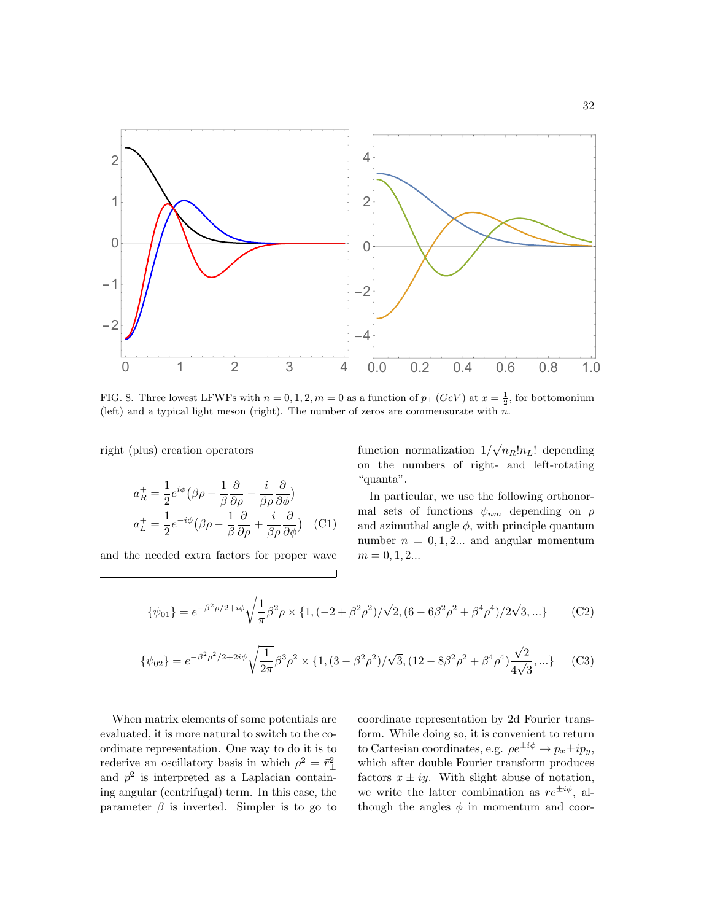

<span id="page-31-1"></span>FIG. 8. Three lowest LFWFs with  $n = 0, 1, 2, m = 0$  as a function of  $p_{\perp}$  (GeV) at  $x = \frac{1}{2}$ , for bottomonium (left) and a typical light meson (right). The number of zeros are commensurate with  $n$ .

right (plus) creation operators

$$
a_R^+ = \frac{1}{2} e^{i\phi} \left( \beta \rho - \frac{1}{\beta} \frac{\partial}{\partial \rho} - \frac{i}{\beta \rho} \frac{\partial}{\partial \phi} \right)
$$
  

$$
a_L^+ = \frac{1}{2} e^{-i\phi} \left( \beta \rho - \frac{1}{\beta} \frac{\partial}{\partial \rho} + \frac{i}{\beta \rho} \frac{\partial}{\partial \phi} \right) \quad \text{(C1)}
$$

and the needed extra factors for proper wave

function normalization  $1/\sqrt{n_R!n_L!}$  depending on the numbers of right- and left-rotating "quanta".

In particular, we use the following orthonormal sets of functions  $\psi_{nm}$  depending on  $\rho$ and azimuthal angle  $\phi$ , with principle quantum number  $n = 0, 1, 2...$  and angular momentum  $m = 0, 1, 2...$ 

$$
\{\psi_{01}\} = e^{-\beta^2 \rho/2 + i\phi} \sqrt{\frac{1}{\pi}} \beta^2 \rho \times \{1, (-2 + \beta^2 \rho^2) / \sqrt{2}, (6 - 6\beta^2 \rho^2 + \beta^4 \rho^4) / 2\sqrt{3}, ...\}
$$
 (C2)

<span id="page-31-0"></span>
$$
\{\psi_{02}\} = e^{-\beta^2 \rho^2/2 + 2i\phi} \sqrt{\frac{1}{2\pi}} \beta^3 \rho^2 \times \{1, (3 - \beta^2 \rho^2)/\sqrt{3}, (12 - 8\beta^2 \rho^2 + \beta^4 \rho^4) \frac{\sqrt{2}}{4\sqrt{3}}, ...\}
$$
 (C3)

When matrix elements of some potentials are evaluated, it is more natural to switch to the coordinate representation. One way to do it is to rederive an oscillatory basis in which  $\rho^2 = \vec{r}_{\perp}^2$ and  $\vec{p}^2$  is interpreted as a Laplacian containing angular (centrifugal) term. In this case, the parameter  $\beta$  is inverted. Simpler is to go to

coordinate representation by 2d Fourier transform. While doing so, it is convenient to return to Cartesian coordinates, e.g.  $\rho e^{\pm i\phi} \to p_x \pm i p_y$ , which after double Fourier transform produces factors  $x \pm iy$ . With slight abuse of notation, we write the latter combination as  $re^{\pm i\phi}$ , although the angles  $\phi$  in momentum and coor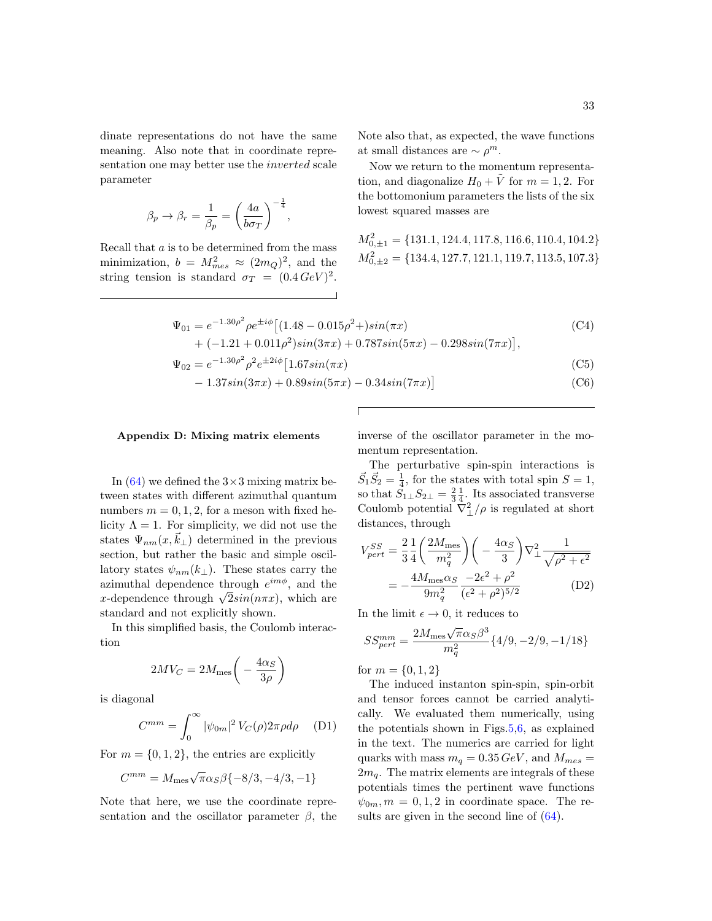dinate representations do not have the same meaning. Also note that in coordinate representation one may better use the inverted scale parameter

$$
\beta_p \rightarrow \beta_r = \frac{1}{\beta_p} = \left(\frac{4a}{b\sigma_T}\right)^{-\frac{1}{4}},
$$

Recall that a is to be determined from the mass minimization,  $b = M_{mes}^2 \approx (2m_Q)^2$ , and the string tension is standard  $\sigma_T = (0.4 \, GeV)^2$ . Note also that, as expected, the wave functions at small distances are  $\sim \rho^m$ .

Now we return to the momentum representation, and diagonalize  $H_0 + \tilde{V}$  for  $m = 1, 2$ . For the bottomonium parameters the lists of the six lowest squared masses are

$$
\begin{aligned} M_{0,\pm1}^2&=\{131.1,124.4,117.8,116.6,110.4,104.2\}\\ M_{0,\pm2}^2&=\{134.4,127.7,121.1,119.7,113.5,107.3\} \end{aligned}
$$

$$
\Psi_{01} = e^{-1.30\rho^2} \rho e^{\pm i\phi} \left[ (1.48 - 0.015\rho^2 + )\sin(\pi x) \right] \tag{C4}
$$
\n
$$
+ (-1.31 + 0.011\rho^2)\sin(3\pi x) + 0.787\sin(5\pi x) = 0.208\sin(7\pi x)
$$

$$
+\left(-1.21+0.011\rho^2\right)\sin(3\pi x)+0.787\sin(5\pi x)-0.298\sin(7\pi x)\right],
$$

$$
\Psi_{02} = e^{-1.30\rho^2} \rho^2 e^{\pm 2i\phi} \left[ 1.67 \sin(\pi x) \right] \tag{C5}
$$

$$
-1.37\sin(3\pi x) + 0.89\sin(5\pi x) - 0.34\sin(7\pi x)
$$
 (C6)

### <span id="page-32-0"></span>Appendix D: Mixing matrix elements

In  $(64)$  we defined the  $3\times3$  mixing matrix between states with different azimuthal quantum numbers  $m = 0, 1, 2$ , for a meson with fixed helicity  $\Lambda = 1$ . For simplicity, we did not use the states  $\Psi_{nm}(x,k_{\perp})$  determined in the previous section, but rather the basic and simple oscillatory states  $\psi_{nm}(k_{\perp})$ . These states carry the azimuthal dependence through  $e^{im\phi}$ , and the azimuthat dependence through  $e^{\gamma}$ , and the <br>*x*-dependence through  $\sqrt{2}sin(n\pi x)$ , which are standard and not explicitly shown.

In this simplified basis, the Coulomb interaction

$$
2MV_C = 2M_{\text{mes}} \left( -\frac{4\alpha_S}{3\rho} \right)
$$

is diagonal

$$
C^{mm} = \int_0^\infty |\psi_{0m}|^2 V_C(\rho) 2\pi \rho d\rho \quad (D1)
$$

For  $m = \{0, 1, 2\}$ , the entries are explicitly

$$
C^{mm} = M_{\text{mes}} \sqrt{\pi} \alpha_S \beta \{-8/3, -4/3, -1\}
$$

Note that here, we use the coordinate representation and the oscillator parameter  $\beta$ , the inverse of the oscillator parameter in the momentum representation.

The perturbative spin-spin interactions is  $\vec{S}_1 \vec{S}_2 = \frac{1}{4}$ , for the states with total spin  $S = 1$ , so that  $S_{1\perp}S_{2\perp}=\frac{2}{3}\frac{1}{4}$ . Its associated transverse Coulomb potential  $\nabla_{\perp}^2/\rho$  is regulated at short distances, through

$$
V_{pert}^{SS} = \frac{2}{3} \frac{1}{4} \left( \frac{2M_{\text{mes}}}{m_q^2} \right) \left( -\frac{4\alpha_S}{3} \right) \nabla_{\perp}^2 \frac{1}{\sqrt{\rho^2 + \epsilon^2}}
$$

$$
= -\frac{4M_{\text{mes}}\alpha_S}{9m_q^2} \frac{-2\epsilon^2 + \rho^2}{(\epsilon^2 + \rho^2)^{5/2}} \tag{D2}
$$

In the limit  $\epsilon \to 0$ , it reduces to

$$
SS_{pert}^{mm} = \frac{2M_{\text{mes}}\sqrt{\pi}\alpha_S\beta^3}{m_q^2} \{4/9, -2/9, -1/18\}
$$

for  $m = \{0, 1, 2\}$ 

The induced instanton spin-spin, spin-orbit and tensor forces cannot be carried analytically. We evaluated them numerically, using the potentials shown in Figs[.5,](#page-16-0)[6,](#page-18-0) as explained in the text. The numerics are carried for light quarks with mass  $m_q = 0.35 \text{ GeV}$ , and  $M_{mes} =$  $2m_q$ . The matrix elements are integrals of these potentials times the pertinent wave functions  $\psi_{0m}, m = 0, 1, 2$  in coordinate space. The results are given in the second line of  $(64)$ .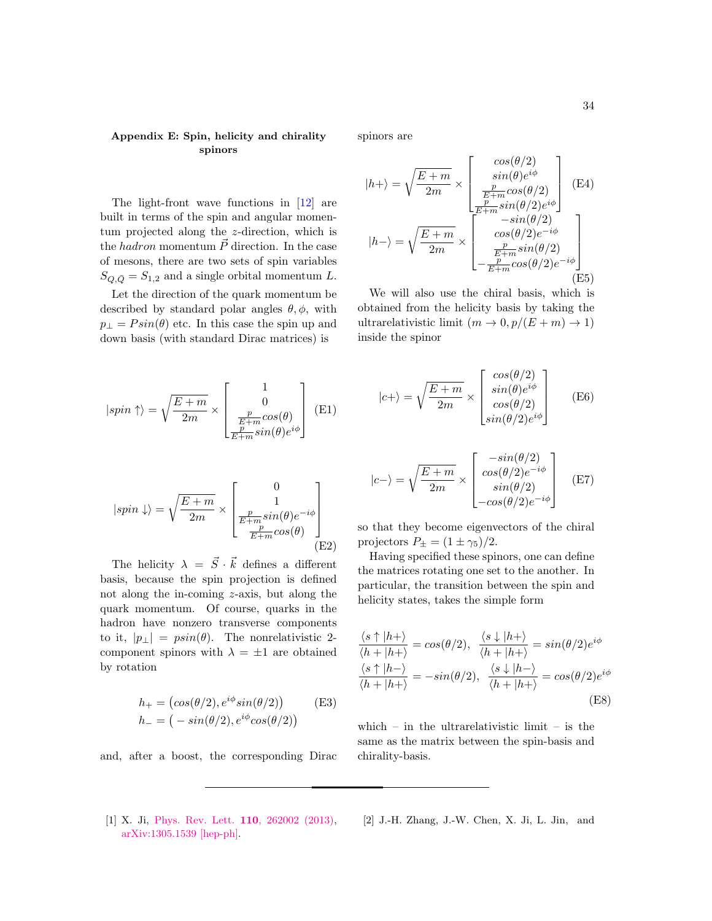## Appendix E: Spin, helicity and chirality spinors

The light-front wave functions in [\[12\]](#page-34-9) are built in terms of the spin and angular momentum projected along the z-direction, which is the hadron momentum  $\vec{P}$  direction. In the case of mesons, there are two sets of spin variables  $S_{Q,\bar{Q}} = S_{1,2}$  and a single orbital momentum L.

Let the direction of the quark momentum be described by standard polar angles  $\theta$ ,  $\phi$ , with  $p_{\perp} = P \sin(\theta)$  etc. In this case the spin up and down basis (with standard Dirac matrices) is

$$
|spin \uparrow \rangle = \sqrt{\frac{E+m}{2m}} \times \begin{bmatrix} 1 \\ 0 \\ \frac{p}{E+m}cos(\theta) \\ \frac{p}{E+m}sin(\theta)e^{i\phi} \end{bmatrix}
$$
 (E1)

$$
|spin \downarrow\rangle = \sqrt{\frac{E+m}{2m}} \times \begin{bmatrix} 0 \\ 1 \\ \frac{p}{E+m}sin(\theta)e^{-i\phi} \\ \frac{p}{E+m}cos(\theta) \end{bmatrix}
$$
(E2)

The helicity  $\lambda = \vec{S} \cdot \vec{k}$  defines a different basis, because the spin projection is defined not along the in-coming z-axis, but along the quark momentum. Of course, quarks in the hadron have nonzero transverse components to it,  $|p_{\perp}| = p\sin(\theta)$ . The nonrelativistic 2component spinors with  $\lambda = \pm 1$  are obtained by rotation

$$
h_{+} = (cos(\theta/2), e^{i\phi} sin(\theta/2))
$$
 (E3)  

$$
h_{-} = (-sin(\theta/2), e^{i\phi} cos(\theta/2))
$$

and, after a boost, the corresponding Dirac

spinors are

$$
|h+\rangle = \sqrt{\frac{E+m}{2m}} \times \begin{bmatrix} \cos(\theta/2) \\ \sin(\theta)e^{i\phi} \\ \frac{p}{E+m}\cos(\theta/2) \\ \frac{p}{E+m}\sin(\theta/2)e^{i\phi} \end{bmatrix}
$$
(E4)  

$$
|h-\rangle = \sqrt{\frac{E+m}{2m}} \times \begin{bmatrix} \cos(\theta/2) \\ -\sin(\theta/2) \\ \cos(\theta/2)e^{-i\phi} \\ \frac{p}{E+m}\sin(\theta/2) \\ -\frac{p}{E+m}\cos(\theta/2)e^{-i\phi} \end{bmatrix}
$$
(E5)

We will also use the chiral basis, which is obtained from the helicity basis by taking the ultrarelativistic limit  $(m \to 0, p/(E + m) \to 1)$ inside the spinor

$$
|c+\rangle = \sqrt{\frac{E+m}{2m}} \times \begin{bmatrix} \cos(\theta/2) \\ \sin(\theta)e^{i\phi} \\ \cos(\theta/2) \\ \sin(\theta/2)e^{i\phi} \end{bmatrix}
$$
 (E6)

$$
|c-\rangle = \sqrt{\frac{E+m}{2m}} \times \begin{bmatrix} -\sin(\theta/2) \\ \cos(\theta/2)e^{-i\phi} \\ \sin(\theta/2) \\ -\cos(\theta/2)e^{-i\phi} \end{bmatrix}
$$
 (E7)

so that they become eigenvectors of the chiral projectors  $P_{\pm} = (1 \pm \gamma_5)/2$ .

Having specified these spinors, one can define the matrices rotating one set to the another. In particular, the transition between the spin and helicity states, takes the simple form

$$
\frac{\langle s \uparrow | h + \rangle}{\langle h + | h + \rangle} = \cos(\theta/2), \quad \frac{\langle s \downarrow | h + \rangle}{\langle h + | h + \rangle} = \sin(\theta/2)e^{i\phi}
$$

$$
\frac{\langle s \uparrow | h - \rangle}{\langle h + | h + \rangle} = -\sin(\theta/2), \quad \frac{\langle s \downarrow | h - \rangle}{\langle h + | h + \rangle} = \cos(\theta/2)e^{i\phi}
$$
(E8)

which – in the ultrarelativistic limit – is the same as the matrix between the spin-basis and chirality-basis.

<span id="page-33-0"></span>[1] X. Ji, [Phys. Rev. Lett.](http://dx.doi.org/10.1103/PhysRevLett.110.262002) **110**, 262002 (2013), [arXiv:1305.1539 \[hep-ph\].](http://arxiv.org/abs/1305.1539)

<span id="page-33-1"></span>[2] J.-H. Zhang, J.-W. Chen, X. Ji, L. Jin, and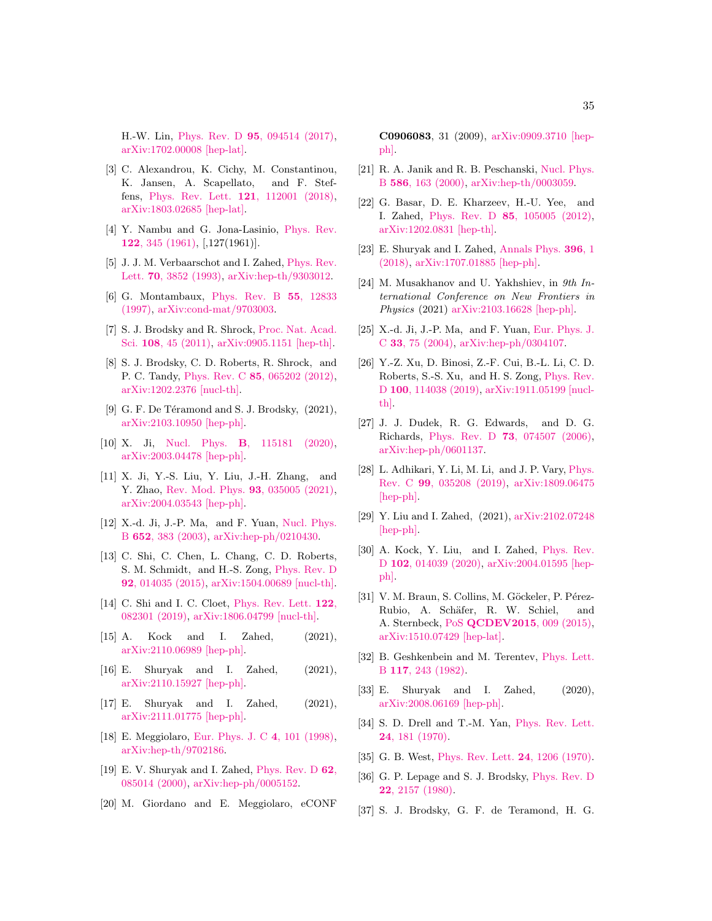H.-W. Lin, Phys. Rev. D 95[, 094514 \(2017\),](http://dx.doi.org/ 10.1103/PhysRevD.95.094514) [arXiv:1702.00008 \[hep-lat\].](http://arxiv.org/abs/1702.00008)

- <span id="page-34-0"></span>[3] C. Alexandrou, K. Cichy, M. Constantinou, K. Jansen, A. Scapellato, and F. Steffens, [Phys. Rev. Lett.](http://dx.doi.org/ 10.1103/PhysRevLett.121.112001) 121, 112001 (2018), [arXiv:1803.02685 \[hep-lat\].](http://arxiv.org/abs/1803.02685)
- <span id="page-34-1"></span>[4] Y. Nambu and G. Jona-Lasinio, [Phys. Rev.](http://dx.doi.org/10.1103/PhysRev.122.345) 122[, 345 \(1961\),](http://dx.doi.org/10.1103/PhysRev.122.345) [,127(1961)].
- <span id="page-34-2"></span>[5] J. J. M. Verbaarschot and I. Zahed, [Phys. Rev.](http://dx.doi.org/10.1103/PhysRevLett.70.3852) Lett. 70[, 3852 \(1993\),](http://dx.doi.org/10.1103/PhysRevLett.70.3852) [arXiv:hep-th/9303012.](http://arxiv.org/abs/hep-th/9303012)
- <span id="page-34-3"></span>[6] G. Montambaux, [Phys. Rev. B](http://dx.doi.org/10.1103/PhysRevB.55.12833) 55, 12833 [\(1997\),](http://dx.doi.org/10.1103/PhysRevB.55.12833) [arXiv:cond-mat/9703003.](http://arxiv.org/abs/cond-mat/9703003)
- <span id="page-34-4"></span>[7] S. J. Brodsky and R. Shrock, [Proc. Nat. Acad.](http://dx.doi.org/10.1073/pnas.1010113107) Sci. 108[, 45 \(2011\),](http://dx.doi.org/10.1073/pnas.1010113107) [arXiv:0905.1151 \[hep-th\].](http://arxiv.org/abs/0905.1151)
- <span id="page-34-5"></span>[8] S. J. Brodsky, C. D. Roberts, R. Shrock, and P. C. Tandy, Phys. Rev. C 85[, 065202 \(2012\),](http://dx.doi.org/10.1103/PhysRevC.85.065202) [arXiv:1202.2376 \[nucl-th\].](http://arxiv.org/abs/1202.2376)
- <span id="page-34-6"></span>[9] G. F. De Téramond and S. J. Brodsky,  $(2021)$ , [arXiv:2103.10950 \[hep-ph\].](http://arxiv.org/abs/2103.10950)
- <span id="page-34-7"></span>[10] X. Ji, Nucl. Phys. B[, 115181 \(2020\),](http://dx.doi.org/10.1016/j.nuclphysb.2020.115181) [arXiv:2003.04478 \[hep-ph\].](http://arxiv.org/abs/2003.04478)
- <span id="page-34-8"></span>[11] X. Ji, Y.-S. Liu, Y. Liu, J.-H. Zhang, and Y. Zhao, [Rev. Mod. Phys.](http://dx.doi.org/ 10.1103/RevModPhys.93.035005) 93, 035005 (2021), [arXiv:2004.03543 \[hep-ph\].](http://arxiv.org/abs/2004.03543)
- <span id="page-34-9"></span>[12] X.-d. Ji, J.-P. Ma, and F. Yuan, [Nucl. Phys.](http://dx.doi.org/ 10.1016/S0550-3213(03)00010-5) B 652[, 383 \(2003\),](http://dx.doi.org/ 10.1016/S0550-3213(03)00010-5) [arXiv:hep-ph/0210430.](http://arxiv.org/abs/hep-ph/0210430)
- <span id="page-34-10"></span>[13] C. Shi, C. Chen, L. Chang, C. D. Roberts, S. M. Schmidt, and H.-S. Zong, [Phys. Rev. D](http://dx.doi.org/ 10.1103/PhysRevD.92.014035) 92[, 014035 \(2015\),](http://dx.doi.org/ 10.1103/PhysRevD.92.014035) [arXiv:1504.00689 \[nucl-th\].](http://arxiv.org/abs/1504.00689)
- <span id="page-34-11"></span>[14] C. Shi and I. C. Cloet, [Phys. Rev. Lett.](http://dx.doi.org/10.1103/PhysRevLett.122.082301) 122, [082301 \(2019\),](http://dx.doi.org/10.1103/PhysRevLett.122.082301) [arXiv:1806.04799 \[nucl-th\].](http://arxiv.org/abs/1806.04799)
- <span id="page-34-12"></span>[15] A. Kock and I. Zahed, (2021), [arXiv:2110.06989 \[hep-ph\].](http://arxiv.org/abs/2110.06989)
- <span id="page-34-13"></span>[16] E. Shuryak and I. Zahed, (2021), [arXiv:2110.15927 \[hep-ph\].](http://arxiv.org/abs/2110.15927)
- <span id="page-34-14"></span>[17] E. Shuryak and I. Zahed, (2021), [arXiv:2111.01775 \[hep-ph\].](http://arxiv.org/abs/2111.01775)
- <span id="page-34-15"></span>[18] E. Meggiolaro, [Eur. Phys. J. C](http://dx.doi.org/10.1007/s100520050189) 4, 101 (1998), [arXiv:hep-th/9702186.](http://arxiv.org/abs/hep-th/9702186)
- <span id="page-34-16"></span>[19] E. V. Shuryak and I. Zahed, [Phys. Rev. D](http://dx.doi.org/10.1103/PhysRevD.62.085014) 62, [085014 \(2000\),](http://dx.doi.org/10.1103/PhysRevD.62.085014) [arXiv:hep-ph/0005152.](http://arxiv.org/abs/hep-ph/0005152)
- <span id="page-34-17"></span>[20] M. Giordano and E. Meggiolaro, eCONF

C0906083, 31 (2009), [arXiv:0909.3710 \[hep](http://arxiv.org/abs/0909.3710)[ph\].](http://arxiv.org/abs/0909.3710)

- <span id="page-34-18"></span>[21] R. A. Janik and R. B. Peschanski, [Nucl. Phys.](http://dx.doi.org/10.1016/S0550-3213(00)00405-3) B 586[, 163 \(2000\),](http://dx.doi.org/10.1016/S0550-3213(00)00405-3) [arXiv:hep-th/0003059.](http://arxiv.org/abs/hep-th/0003059)
- [22] G. Basar, D. E. Kharzeev, H.-U. Yee, and I. Zahed, Phys. Rev. D 85[, 105005 \(2012\),](http://dx.doi.org/10.1103/PhysRevD.85.105005) [arXiv:1202.0831 \[hep-th\].](http://arxiv.org/abs/1202.0831)
- <span id="page-34-19"></span>[23] E. Shuryak and I. Zahed, [Annals Phys.](http://dx.doi.org/10.1016/j.aop.2018.06.008) 396, 1 [\(2018\),](http://dx.doi.org/10.1016/j.aop.2018.06.008) [arXiv:1707.01885 \[hep-ph\].](http://arxiv.org/abs/1707.01885)
- <span id="page-34-20"></span>[24] M. Musakhanov and U. Yakhshiev, in 9th International Conference on New Frontiers in Physics (2021) [arXiv:2103.16628 \[hep-ph\].](http://arxiv.org/abs/2103.16628)
- <span id="page-34-21"></span>[25] X.-d. Ji, J.-P. Ma, and F. Yuan, [Eur. Phys. J.](http://dx.doi.org/ 10.1140/epjc/s2003-01563-y) C 33[, 75 \(2004\),](http://dx.doi.org/ 10.1140/epjc/s2003-01563-y) [arXiv:hep-ph/0304107.](http://arxiv.org/abs/hep-ph/0304107)
- <span id="page-34-22"></span>[26] Y.-Z. Xu, D. Binosi, Z.-F. Cui, B.-L. Li, C. D. Roberts, S.-S. Xu, and H. S. Zong, [Phys. Rev.](http://dx.doi.org/10.1103/PhysRevD.100.114038) D 100[, 114038 \(2019\),](http://dx.doi.org/10.1103/PhysRevD.100.114038) [arXiv:1911.05199 \[nucl](http://arxiv.org/abs/1911.05199)[th\].](http://arxiv.org/abs/1911.05199)
- <span id="page-34-23"></span>[27] J. J. Dudek, R. G. Edwards, and D. G. Richards, Phys. Rev. D 73[, 074507 \(2006\),](http://dx.doi.org/10.1103/PhysRevD.73.074507) [arXiv:hep-ph/0601137.](http://arxiv.org/abs/hep-ph/0601137)
- <span id="page-34-24"></span>[28] L. Adhikari, Y. Li, M. Li, and J. P. Vary, [Phys.](http://dx.doi.org/ 10.1103/PhysRevC.99.035208) Rev. C 99[, 035208 \(2019\),](http://dx.doi.org/ 10.1103/PhysRevC.99.035208) [arXiv:1809.06475](http://arxiv.org/abs/1809.06475) [\[hep-ph\].](http://arxiv.org/abs/1809.06475)
- <span id="page-34-25"></span>[29] Y. Liu and I. Zahed, (2021), [arXiv:2102.07248](http://arxiv.org/abs/2102.07248) [\[hep-ph\].](http://arxiv.org/abs/2102.07248)
- <span id="page-34-26"></span>[30] A. Kock, Y. Liu, and I. Zahed, [Phys. Rev.](http://dx.doi.org/10.1103/PhysRevD.102.014039) D 102[, 014039 \(2020\),](http://dx.doi.org/10.1103/PhysRevD.102.014039) [arXiv:2004.01595 \[hep](http://arxiv.org/abs/2004.01595)[ph\].](http://arxiv.org/abs/2004.01595)
- <span id="page-34-27"></span>[31] V. M. Braun, S. Collins, M. Göckeler, P. Pérez-Rubio, A. Schäfer, R. W. Schiel, and A. Sternbeck, PoS [QCDEV2015](http://dx.doi.org/ 10.22323/1.249.0009), 009 (2015), [arXiv:1510.07429 \[hep-lat\].](http://arxiv.org/abs/1510.07429)
- <span id="page-34-28"></span>[32] B. Geshkenbein and M. Terentev, [Phys. Lett.](http://dx.doi.org/10.1016/0370-2693(82)90555-X) B 117[, 243 \(1982\).](http://dx.doi.org/10.1016/0370-2693(82)90555-X)
- <span id="page-34-29"></span>[33] E. Shuryak and I. Zahed, (2020), [arXiv:2008.06169 \[hep-ph\].](http://arxiv.org/abs/2008.06169)
- <span id="page-34-30"></span>[34] S. D. Drell and T.-M. Yan, [Phys. Rev. Lett.](http://dx.doi.org/10.1103/PhysRevLett.24.181) 24[, 181 \(1970\).](http://dx.doi.org/10.1103/PhysRevLett.24.181)
- <span id="page-34-31"></span>[35] G. B. West, [Phys. Rev. Lett.](http://dx.doi.org/10.1103/PhysRevLett.24.1206) 24, 1206 (1970).
- <span id="page-34-32"></span>[36] G. P. Lepage and S. J. Brodsky, [Phys. Rev. D](http://dx.doi.org/10.1103/PhysRevD.22.2157) 22[, 2157 \(1980\).](http://dx.doi.org/10.1103/PhysRevD.22.2157)
- <span id="page-34-33"></span>[37] S. J. Brodsky, G. F. de Teramond, H. G.